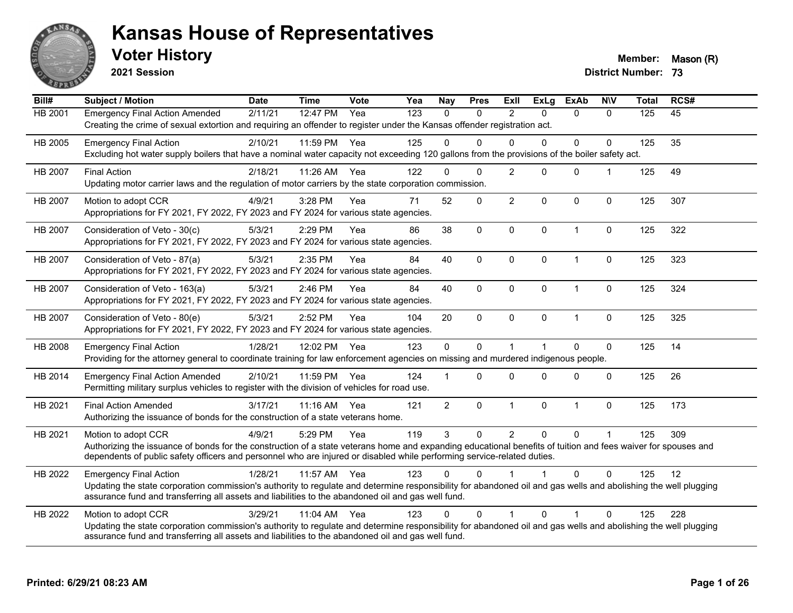

**2021 Session**

**Voter History Member:** Mason (R)

| Bill#   | <b>Subject / Motion</b>                                                                                                                                                                                                                                                                                         | <b>Date</b> | <b>Time</b> | Vote | Yea | <b>Nay</b>     | <b>Pres</b> | <b>ExII</b>    | <b>ExLg</b>  | <b>ExAb</b>  | <b>N\V</b>     | <b>Total</b> | RCS# |
|---------|-----------------------------------------------------------------------------------------------------------------------------------------------------------------------------------------------------------------------------------------------------------------------------------------------------------------|-------------|-------------|------|-----|----------------|-------------|----------------|--------------|--------------|----------------|--------------|------|
| HB 2001 | <b>Emergency Final Action Amended</b><br>Creating the crime of sexual extortion and requiring an offender to register under the Kansas offender registration act.                                                                                                                                               | 2/11/21     | 12:47 PM    | Yea  | 123 | $\Omega$       | 0           | 2              | $\Omega$     | $\Omega$     | $\Omega$       | 125          | 45   |
| HB 2005 | <b>Emergency Final Action</b><br>Excluding hot water supply boilers that have a nominal water capacity not exceeding 120 gallons from the provisions of the boiler safety act.                                                                                                                                  | 2/10/21     | 11:59 PM    | Yea  | 125 | $\Omega$       | $\Omega$    | $\Omega$       | $\Omega$     | 0            | $\Omega$       | 125          | 35   |
| HB 2007 | <b>Final Action</b><br>Updating motor carrier laws and the regulation of motor carriers by the state corporation commission.                                                                                                                                                                                    | 2/18/21     | 11:26 AM    | Yea  | 122 | $\Omega$       | $\Omega$    | 2              | $\mathbf{0}$ | $\mathbf{0}$ | $\overline{1}$ | 125          | 49   |
| HB 2007 | Motion to adopt CCR<br>Appropriations for FY 2021, FY 2022, FY 2023 and FY 2024 for various state agencies.                                                                                                                                                                                                     | 4/9/21      | 3:28 PM     | Yea  | 71  | 52             | 0           | $\overline{2}$ | $\Omega$     | $\Omega$     | $\mathbf{0}$   | 125          | 307  |
| HB 2007 | Consideration of Veto - 30(c)<br>Appropriations for FY 2021, FY 2022, FY 2023 and FY 2024 for various state agencies.                                                                                                                                                                                           | 5/3/21      | 2:29 PM     | Yea  | 86  | 38             | $\mathbf 0$ | $\mathbf 0$    | $\mathbf 0$  | $\mathbf{1}$ | $\mathbf 0$    | 125          | 322  |
| HB 2007 | Consideration of Veto - 87(a)<br>Appropriations for FY 2021, FY 2022, FY 2023 and FY 2024 for various state agencies.                                                                                                                                                                                           | 5/3/21      | 2:35 PM     | Yea  | 84  | 40             | 0           | $\mathbf{0}$   | $\mathbf{0}$ | 1            | $\mathbf 0$    | 125          | 323  |
| HB 2007 | Consideration of Veto - 163(a)<br>Appropriations for FY 2021, FY 2022, FY 2023 and FY 2024 for various state agencies.                                                                                                                                                                                          | 5/3/21      | 2:46 PM     | Yea  | 84  | 40             | 0           | $\mathbf 0$    | $\mathbf 0$  | $\mathbf{1}$ | $\mathbf 0$    | 125          | 324  |
| HB 2007 | Consideration of Veto - 80(e)<br>Appropriations for FY 2021, FY 2022, FY 2023 and FY 2024 for various state agencies.                                                                                                                                                                                           | 5/3/21      | 2:52 PM     | Yea  | 104 | 20             | $\mathbf 0$ | $\mathbf{0}$   | $\mathbf{0}$ | $\mathbf{1}$ | $\mathbf{0}$   | 125          | 325  |
| HB 2008 | <b>Emergency Final Action</b><br>Providing for the attorney general to coordinate training for law enforcement agencies on missing and murdered indigenous people.                                                                                                                                              | 1/28/21     | 12:02 PM    | Yea  | 123 | 0              | 0           |                |              | $\Omega$     | $\mathbf 0$    | 125          | 14   |
| HB 2014 | <b>Emergency Final Action Amended</b><br>Permitting military surplus vehicles to register with the division of vehicles for road use.                                                                                                                                                                           | 2/10/21     | 11:59 PM    | Yea  | 124 |                | $\Omega$    | $\Omega$       | $\Omega$     | $\Omega$     | $\mathbf{0}$   | 125          | 26   |
| HB 2021 | <b>Final Action Amended</b><br>Authorizing the issuance of bonds for the construction of a state veterans home.                                                                                                                                                                                                 | 3/17/21     | $11:16$ AM  | Yea  | 121 | $\overline{2}$ | 0           | $\mathbf{1}$   | $\mathbf{0}$ | $\mathbf{1}$ | $\mathbf{0}$   | 125          | 173  |
| HB 2021 | Motion to adopt CCR<br>Authorizing the issuance of bonds for the construction of a state veterans home and expanding educational benefits of tuition and fees waiver for spouses and<br>dependents of public safety officers and personnel who are injured or disabled while performing service-related duties. | 4/9/21      | 5:29 PM     | Yea  | 119 | 3              | $\Omega$    | $\overline{2}$ | $\Omega$     | 0            | -1             | 125          | 309  |
| HB 2022 | <b>Emergency Final Action</b><br>Updating the state corporation commission's authority to regulate and determine responsibility for abandoned oil and gas wells and abolishing the well plugging<br>assurance fund and transferring all assets and liabilities to the abandoned oil and gas well fund.          | 1/28/21     | 11:57 AM    | Yea  | 123 | $\Omega$       | $\Omega$    |                |              | $\Omega$     | $\Omega$       | 125          | 12   |
| HB 2022 | Motion to adopt CCR<br>Updating the state corporation commission's authority to regulate and determine responsibility for abandoned oil and gas wells and abolishing the well plugging<br>assurance fund and transferring all assets and liabilities to the abandoned oil and gas well fund.                    | 3/29/21     | 11:04 AM    | Yea  | 123 | $\Omega$       | $\Omega$    |                | $\Omega$     | 1            | $\Omega$       | 125          | 228  |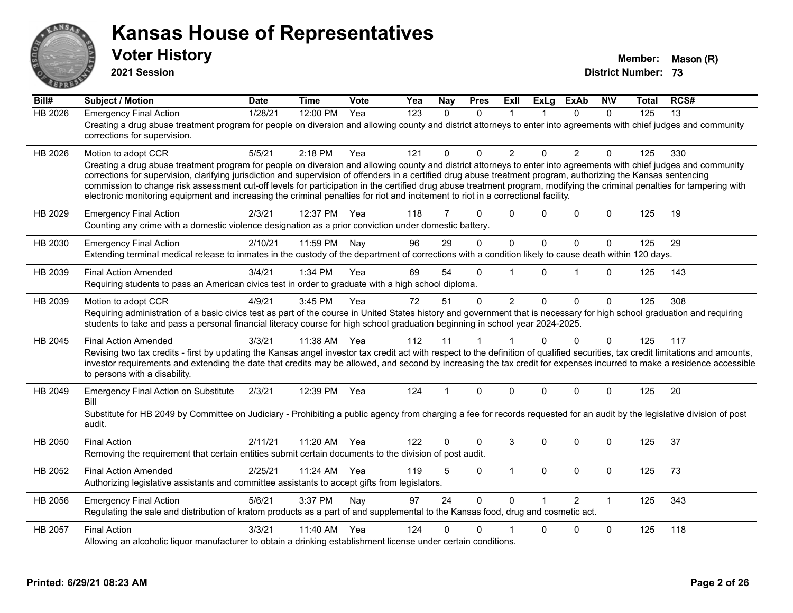

**2021 Session**

| Bill#          | <b>Subject / Motion</b>                                                                                                                                                                                                                                                                                                                                                                                                                                                                                                                                                                                                                                                         | <b>Date</b> | <b>Time</b> | Vote | Yea              | Nay          | <b>Pres</b>  | ExIl           | <b>ExLg</b>  | <b>ExAb</b>    | <b>NIV</b>   | Total | RCS#            |
|----------------|---------------------------------------------------------------------------------------------------------------------------------------------------------------------------------------------------------------------------------------------------------------------------------------------------------------------------------------------------------------------------------------------------------------------------------------------------------------------------------------------------------------------------------------------------------------------------------------------------------------------------------------------------------------------------------|-------------|-------------|------|------------------|--------------|--------------|----------------|--------------|----------------|--------------|-------|-----------------|
| <b>HB 2026</b> | <b>Emergency Final Action</b><br>Creating a drug abuse treatment program for people on diversion and allowing county and district attorneys to enter into agreements with chief judges and community<br>corrections for supervision.                                                                                                                                                                                                                                                                                                                                                                                                                                            | 1/28/21     | 12:00 PM    | Yea  | $\overline{123}$ | $\mathbf{0}$ | $\Omega$     | 1              |              | $\Omega$       | $\Omega$     | 125   | $\overline{13}$ |
| HB 2026        | Motion to adopt CCR<br>Creating a drug abuse treatment program for people on diversion and allowing county and district attorneys to enter into agreements with chief judges and community<br>corrections for supervision, clarifying jurisdiction and supervision of offenders in a certified drug abuse treatment program, authorizing the Kansas sentencing<br>commission to change risk assessment cut-off levels for participation in the certified drug abuse treatment program, modifying the criminal penalties for tampering with<br>electronic monitoring equipment and increasing the criminal penalties for riot and incitement to riot in a correctional facility. | 5/5/21      | $2:18$ PM   | Yea  | 121              | 0            | $\Omega$     | $\overline{2}$ | $\Omega$     | $\overline{2}$ | $\Omega$     | 125   | 330             |
| HB 2029        | <b>Emergency Final Action</b><br>Counting any crime with a domestic violence designation as a prior conviction under domestic battery.                                                                                                                                                                                                                                                                                                                                                                                                                                                                                                                                          | 2/3/21      | 12:37 PM    | Yea  | 118              | 7            | $\Omega$     | $\Omega$       | 0            | $\Omega$       | $\Omega$     | 125   | 19              |
| HB 2030        | <b>Emergency Final Action</b><br>Extending terminal medical release to inmates in the custody of the department of corrections with a condition likely to cause death within 120 days.                                                                                                                                                                                                                                                                                                                                                                                                                                                                                          | 2/10/21     | 11:59 PM    | Nay  | 96               | 29           | $\Omega$     | $\mathbf{0}$   | $\mathbf{0}$ | $\Omega$       | $\mathbf 0$  | 125   | 29              |
| HB 2039        | <b>Final Action Amended</b><br>Requiring students to pass an American civics test in order to graduate with a high school diploma.                                                                                                                                                                                                                                                                                                                                                                                                                                                                                                                                              | 3/4/21      | 1:34 PM     | Yea  | 69               | 54           | $\Omega$     | $\overline{1}$ | $\Omega$     | 1              | $\Omega$     | 125   | 143             |
| HB 2039        | Motion to adopt CCR<br>Requiring administration of a basic civics test as part of the course in United States history and government that is necessary for high school graduation and requiring<br>students to take and pass a personal financial literacy course for high school graduation beginning in school year 2024-2025.                                                                                                                                                                                                                                                                                                                                                | 4/9/21      | 3:45 PM     | Yea  | 72               | 51           | $\mathbf{0}$ | $\overline{2}$ | $\Omega$     | $\Omega$       | $\mathbf{0}$ | 125   | 308             |
| HB 2045        | <b>Final Action Amended</b><br>Revising two tax credits - first by updating the Kansas angel investor tax credit act with respect to the definition of qualified securities, tax credit limitations and amounts,<br>investor requirements and extending the date that credits may be allowed, and second by increasing the tax credit for expenses incurred to make a residence accessible<br>to persons with a disability.                                                                                                                                                                                                                                                     | 3/3/21      | 11:38 AM    | Yea  | 112              | 11           | 1            | $\mathbf{1}$   | $\Omega$     | $\Omega$       | $\mathbf{0}$ | 125   | 117             |
| HB 2049        | <b>Emergency Final Action on Substitute</b><br>Bill<br>Substitute for HB 2049 by Committee on Judiciary - Prohibiting a public agency from charging a fee for records requested for an audit by the legislative division of post<br>audit.                                                                                                                                                                                                                                                                                                                                                                                                                                      | 2/3/21      | 12:39 PM    | Yea  | 124              | 1            | $\mathbf{0}$ | $\Omega$       | $\Omega$     | $\Omega$       | $\mathbf{0}$ | 125   | 20              |
| HB 2050        | <b>Final Action</b><br>Removing the requirement that certain entities submit certain documents to the division of post audit.                                                                                                                                                                                                                                                                                                                                                                                                                                                                                                                                                   | 2/11/21     | 11:20 AM    | Yea  | 122              | 0            | $\Omega$     | 3              | $\Omega$     | $\Omega$       | $\Omega$     | 125   | 37              |
| HB 2052        | <b>Final Action Amended</b><br>Authorizing legislative assistants and committee assistants to accept gifts from legislators.                                                                                                                                                                                                                                                                                                                                                                                                                                                                                                                                                    | 2/25/21     | 11:24 AM    | Yea  | 119              | 5            | $\mathbf 0$  | $\mathbf{1}$   | $\mathbf{0}$ | $\Omega$       | $\mathbf 0$  | 125   | 73              |
| HB 2056        | <b>Emergency Final Action</b><br>Regulating the sale and distribution of kratom products as a part of and supplemental to the Kansas food, drug and cosmetic act.                                                                                                                                                                                                                                                                                                                                                                                                                                                                                                               | 5/6/21      | 3:37 PM     | Nay  | 97               | 24           | $\Omega$     | $\Omega$       |              | $\mathcal{P}$  | $\mathbf{1}$ | 125   | 343             |
| HB 2057        | <b>Final Action</b><br>Allowing an alcoholic liquor manufacturer to obtain a drinking establishment license under certain conditions.                                                                                                                                                                                                                                                                                                                                                                                                                                                                                                                                           | 3/3/21      | 11:40 AM    | Yea  | 124              | 0            | 0            |                | 0            | 0              | $\mathbf 0$  | 125   | 118             |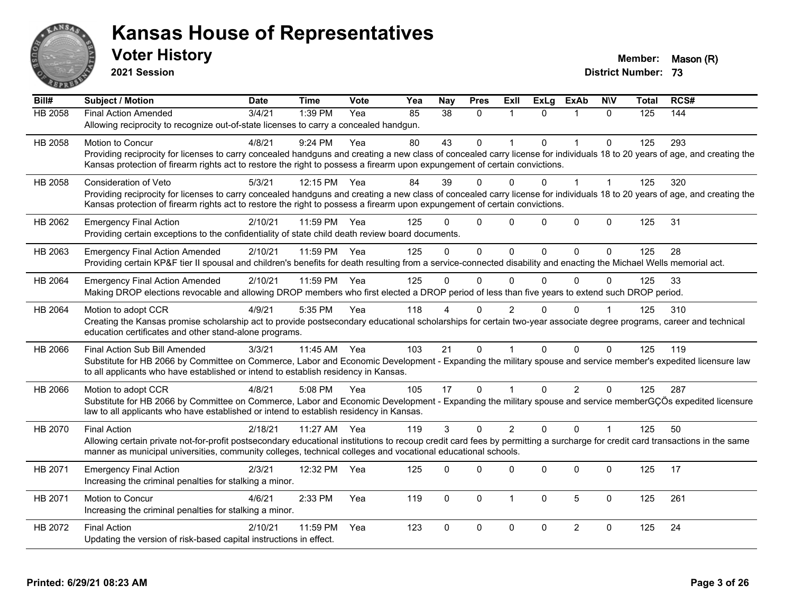

**2021 Session**

| Bill#          | <b>Subject / Motion</b>                                                                                                                                                                                                                                                                                  | <b>Date</b> | <b>Time</b> | <b>Vote</b> | Yea | Nay             | <b>Pres</b>  | ExII           | <b>ExLg</b> | <b>ExAb</b>    | <b>NIV</b>     | <b>Total</b>   | RCS# |
|----------------|----------------------------------------------------------------------------------------------------------------------------------------------------------------------------------------------------------------------------------------------------------------------------------------------------------|-------------|-------------|-------------|-----|-----------------|--------------|----------------|-------------|----------------|----------------|----------------|------|
| <b>HB 2058</b> | <b>Final Action Amended</b>                                                                                                                                                                                                                                                                              | 3/4/21      | 1:39 PM     | Yea         | 85  | $\overline{38}$ | $\mathbf{0}$ | 1              | $\Omega$    | 1              | $\Omega$       | $\frac{1}{25}$ | 144  |
|                | Allowing reciprocity to recognize out-of-state licenses to carry a concealed handgun.                                                                                                                                                                                                                    |             |             |             |     |                 |              |                |             |                |                |                |      |
| HB 2058        | <b>Motion to Concur</b>                                                                                                                                                                                                                                                                                  | 4/8/21      | $9:24$ PM   | Yea         | 80  | 43              | $\mathbf{0}$ | 1              | $\Omega$    | 1              | $\Omega$       | 125            | 293  |
|                | Providing reciprocity for licenses to carry concealed handguns and creating a new class of concealed carry license for individuals 18 to 20 years of age, and creating the                                                                                                                               |             |             |             |     |                 |              |                |             |                |                |                |      |
|                | Kansas protection of firearm rights act to restore the right to possess a firearm upon expungement of certain convictions.                                                                                                                                                                               |             |             |             |     |                 |              |                |             |                |                |                |      |
| HB 2058        | Consideration of Veto                                                                                                                                                                                                                                                                                    | 5/3/21      | 12:15 PM    | Yea         | 84  | 39              | $\Omega$     | 0              | $\Omega$    | $\overline{1}$ | $\overline{1}$ | 125            | 320  |
|                | Providing reciprocity for licenses to carry concealed handguns and creating a new class of concealed carry license for individuals 18 to 20 years of age, and creating the<br>Kansas protection of firearm rights act to restore the right to possess a firearm upon expungement of certain convictions. |             |             |             |     |                 |              |                |             |                |                |                |      |
|                |                                                                                                                                                                                                                                                                                                          |             |             |             |     |                 |              |                |             |                |                |                |      |
| HB 2062        | <b>Emergency Final Action</b>                                                                                                                                                                                                                                                                            | 2/10/21     | 11:59 PM    | Yea         | 125 | $\Omega$        | $\mathbf 0$  | $\Omega$       | $\Omega$    | $\overline{0}$ | $\mathbf 0$    | 125            | 31   |
|                | Providing certain exceptions to the confidentiality of state child death review board documents.                                                                                                                                                                                                         |             |             |             |     |                 |              |                |             |                |                |                |      |
| HB 2063        | <b>Emergency Final Action Amended</b>                                                                                                                                                                                                                                                                    | 2/10/21     | 11:59 PM    | Yea         | 125 | $\Omega$        | $\Omega$     | $\Omega$       | $\Omega$    | $\Omega$       | $\Omega$       | 125            | 28   |
|                | Providing certain KP&F tier II spousal and children's benefits for death resulting from a service-connected disability and enacting the Michael Wells memorial act.                                                                                                                                      |             |             |             |     |                 |              |                |             |                |                |                |      |
| HB 2064        | <b>Emergency Final Action Amended</b>                                                                                                                                                                                                                                                                    | 2/10/21     | 11:59 PM    | Yea         | 125 | $\Omega$        | $\Omega$     | 0              | $\Omega$    | $\Omega$       | 0              | 125            | 33   |
|                | Making DROP elections revocable and allowing DROP members who first elected a DROP period of less than five years to extend such DROP period.                                                                                                                                                            |             |             |             |     |                 |              |                |             |                |                |                |      |
| HB 2064        | Motion to adopt CCR                                                                                                                                                                                                                                                                                      | 4/9/21      | 5:35 PM     | Yea         | 118 |                 | 0            | $\overline{2}$ | $\Omega$    | $\Omega$       |                | 125            | 310  |
|                | Creating the Kansas promise scholarship act to provide postsecondary educational scholarships for certain two-year associate degree programs, career and technical                                                                                                                                       |             |             |             |     |                 |              |                |             |                |                |                |      |
|                | education certificates and other stand-alone programs.                                                                                                                                                                                                                                                   |             |             |             |     |                 |              |                |             |                |                |                |      |
| HB 2066        | Final Action Sub Bill Amended                                                                                                                                                                                                                                                                            | 3/3/21      | 11:45 AM    | Yea         | 103 | 21              | $\Omega$     | 1              | $\Omega$    | $\Omega$       | $\Omega$       | 125            | 119  |
|                | Substitute for HB 2066 by Committee on Commerce, Labor and Economic Development - Expanding the military spouse and service member's expedited licensure law                                                                                                                                             |             |             |             |     |                 |              |                |             |                |                |                |      |
|                | to all applicants who have established or intend to establish residency in Kansas.                                                                                                                                                                                                                       |             |             |             |     |                 |              |                |             |                |                |                |      |
| HB 2066        | Motion to adopt CCR                                                                                                                                                                                                                                                                                      | 4/8/21      | 5:08 PM     | Yea         | 105 | 17              | $\Omega$     | 1              | $\Omega$    | $\overline{2}$ | $\Omega$       | 125            | 287  |
|                | Substitute for HB 2066 by Committee on Commerce, Labor and Economic Development - Expanding the military spouse and service memberGÇÖs expedited licensure                                                                                                                                               |             |             |             |     |                 |              |                |             |                |                |                |      |
|                | law to all applicants who have established or intend to establish residency in Kansas.                                                                                                                                                                                                                   |             |             |             |     |                 |              |                |             |                |                |                |      |
| HB 2070        | <b>Final Action</b>                                                                                                                                                                                                                                                                                      | 2/18/21     | 11:27 AM    | Yea         | 119 | 3               | $\Omega$     | $\overline{2}$ | $\Omega$    | $\Omega$       |                | 125            | 50   |
|                | Allowing certain private not-for-profit postsecondary educational institutions to recoup credit card fees by permitting a surcharge for credit card transactions in the same<br>manner as municipal universities, community colleges, technical colleges and vocational educational schools.             |             |             |             |     |                 |              |                |             |                |                |                |      |
|                |                                                                                                                                                                                                                                                                                                          |             |             |             |     |                 |              |                |             |                |                |                |      |
| HB 2071        | <b>Emergency Final Action</b>                                                                                                                                                                                                                                                                            | 2/3/21      | 12:32 PM    | Yea         | 125 | $\Omega$        | $\Omega$     | 0              | $\Omega$    | $\mathbf 0$    | $\mathbf{0}$   | 125            | 17   |
|                | Increasing the criminal penalties for stalking a minor.                                                                                                                                                                                                                                                  |             |             |             |     |                 |              |                |             |                |                |                |      |
| HB 2071        | Motion to Concur                                                                                                                                                                                                                                                                                         | 4/6/21      | 2:33 PM     | Yea         | 119 | $\Omega$        | $\mathbf{0}$ | $\mathbf{1}$   | $\Omega$    | 5              | $\mathbf{0}$   | 125            | 261  |
|                | Increasing the criminal penalties for stalking a minor.                                                                                                                                                                                                                                                  |             |             |             |     |                 |              |                |             |                |                |                |      |
| HB 2072        | <b>Final Action</b>                                                                                                                                                                                                                                                                                      | 2/10/21     | 11:59 PM    | Yea         | 123 | $\Omega$        | $\mathbf 0$  | $\Omega$       | $\Omega$    | $\overline{2}$ | $\mathbf{0}$   | 125            | 24   |
|                | Updating the version of risk-based capital instructions in effect.                                                                                                                                                                                                                                       |             |             |             |     |                 |              |                |             |                |                |                |      |
|                |                                                                                                                                                                                                                                                                                                          |             |             |             |     |                 |              |                |             |                |                |                |      |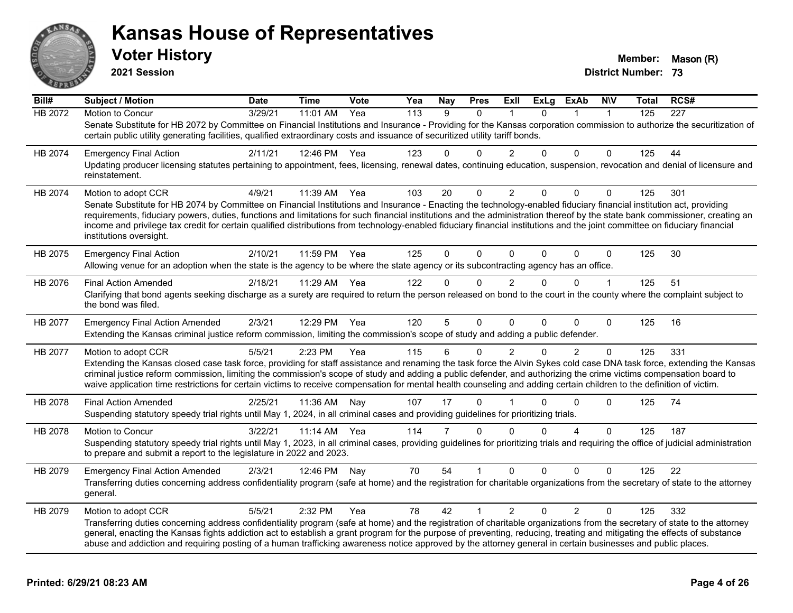

**2021 Session**

| Bill#   | <b>Subject / Motion</b>                                                                                                                                                                                                                                                                                                                                                                                                                                                                                                                                       | <b>Date</b> | <b>Time</b> | Vote | Yea              | <b>Nay</b> | <b>Pres</b> | ExII           | <b>ExLg</b> | ExAb           | <b>NIV</b>   | Total | RCS#             |
|---------|---------------------------------------------------------------------------------------------------------------------------------------------------------------------------------------------------------------------------------------------------------------------------------------------------------------------------------------------------------------------------------------------------------------------------------------------------------------------------------------------------------------------------------------------------------------|-------------|-------------|------|------------------|------------|-------------|----------------|-------------|----------------|--------------|-------|------------------|
| HB 2072 | Motion to Concur                                                                                                                                                                                                                                                                                                                                                                                                                                                                                                                                              | 3/29/21     | 11:01 AM    | Yea  | $\overline{113}$ | 9          | $\Omega$    |                | $\Omega$    |                | $\mathbf{1}$ | 125   | $\overline{227}$ |
|         | Senate Substitute for HB 2072 by Committee on Financial Institutions and Insurance - Providing for the Kansas corporation commission to authorize the securitization of<br>certain public utility generating facilities, qualified extraordinary costs and issuance of securitized utility tariff bonds.                                                                                                                                                                                                                                                      |             |             |      |                  |            |             |                |             |                |              |       |                  |
| HB 2074 | <b>Emergency Final Action</b>                                                                                                                                                                                                                                                                                                                                                                                                                                                                                                                                 | 2/11/21     | 12:46 PM    | Yea  | 123              | 0          | 0           | $\overline{2}$ | $\Omega$    | 0              | 0            | 125   | 44               |
|         | Updating producer licensing statutes pertaining to appointment, fees, licensing, renewal dates, continuing education, suspension, revocation and denial of licensure and<br>reinstatement.                                                                                                                                                                                                                                                                                                                                                                    |             |             |      |                  |            |             |                |             |                |              |       |                  |
| HB 2074 | Motion to adopt CCR                                                                                                                                                                                                                                                                                                                                                                                                                                                                                                                                           | 4/9/21      | 11:39 AM    | Yea  | 103              | 20         | $\Omega$    | $\overline{2}$ | $\Omega$    | 0              | $\Omega$     | 125   | 301              |
|         | Senate Substitute for HB 2074 by Committee on Financial Institutions and Insurance - Enacting the technology-enabled fiduciary financial institution act, providing<br>requirements, fiduciary powers, duties, functions and limitations for such financial institutions and the administration thereof by the state bank commissioner, creating an<br>income and privilege tax credit for certain qualified distributions from technology-enabled fiduciary financial institutions and the joint committee on fiduciary financial<br>institutions oversight. |             |             |      |                  |            |             |                |             |                |              |       |                  |
| HB 2075 | <b>Emergency Final Action</b>                                                                                                                                                                                                                                                                                                                                                                                                                                                                                                                                 | 2/10/21     | 11:59 PM    | Yea  | 125              | 0          | $\Omega$    | $\Omega$       | $\Omega$    | 0              | 0            | 125   | 30               |
|         | Allowing venue for an adoption when the state is the agency to be where the state agency or its subcontracting agency has an office.                                                                                                                                                                                                                                                                                                                                                                                                                          |             |             |      |                  |            |             |                |             |                |              |       |                  |
| HB 2076 | <b>Final Action Amended</b>                                                                                                                                                                                                                                                                                                                                                                                                                                                                                                                                   | 2/18/21     | 11:29 AM    | Yea  | 122              | 0          | $\Omega$    | 2              | $\Omega$    | $\Omega$       | 1            | 125   | 51               |
|         | Clarifying that bond agents seeking discharge as a surety are required to return the person released on bond to the court in the county where the complaint subject to<br>the bond was filed.                                                                                                                                                                                                                                                                                                                                                                 |             |             |      |                  |            |             |                |             |                |              |       |                  |
| HB 2077 | <b>Emergency Final Action Amended</b>                                                                                                                                                                                                                                                                                                                                                                                                                                                                                                                         | 2/3/21      | 12:29 PM    | Yea  | 120              | 5          | $\mathbf 0$ | $\Omega$       | $\Omega$    | 0              | $\mathbf 0$  | 125   | 16               |
|         | Extending the Kansas criminal justice reform commission, limiting the commission's scope of study and adding a public defender.                                                                                                                                                                                                                                                                                                                                                                                                                               |             |             |      |                  |            |             |                |             |                |              |       |                  |
| HB 2077 | Motion to adopt CCR                                                                                                                                                                                                                                                                                                                                                                                                                                                                                                                                           | 5/5/21      | 2:23 PM     | Yea  | 115              | 6          | $\Omega$    | 2              | $\Omega$    | $\overline{2}$ | $\Omega$     | 125   | 331              |
|         | Extending the Kansas closed case task force, providing for staff assistance and renaming the task force the Alvin Sykes cold case DNA task force, extending the Kansas<br>criminal justice reform commission, limiting the commission's scope of study and adding a public defender, and authorizing the crime victims compensation board to<br>waive application time restrictions for certain victims to receive compensation for mental health counseling and adding certain children to the definition of victim.                                         |             |             |      |                  |            |             |                |             |                |              |       |                  |
| HB 2078 | <b>Final Action Amended</b>                                                                                                                                                                                                                                                                                                                                                                                                                                                                                                                                   | 2/25/21     | 11:36 AM    | Nay  | 107              | 17         | $\Omega$    |                | 0           | 0              | $\Omega$     | 125   | 74               |
|         | Suspending statutory speedy trial rights until May 1, 2024, in all criminal cases and providing guidelines for prioritizing trials.                                                                                                                                                                                                                                                                                                                                                                                                                           |             |             |      |                  |            |             |                |             |                |              |       |                  |
| HB 2078 | Motion to Concur                                                                                                                                                                                                                                                                                                                                                                                                                                                                                                                                              | 3/22/21     | 11:14 AM    | Yea  | 114              | 7          | $\Omega$    | $\Omega$       | $\Omega$    | 4              | $\Omega$     | 125   | 187              |
|         | Suspending statutory speedy trial rights until May 1, 2023, in all criminal cases, providing guidelines for prioritizing trials and requiring the office of judicial administration<br>to prepare and submit a report to the legislature in 2022 and 2023.                                                                                                                                                                                                                                                                                                    |             |             |      |                  |            |             |                |             |                |              |       |                  |
| HB 2079 | <b>Emergency Final Action Amended</b>                                                                                                                                                                                                                                                                                                                                                                                                                                                                                                                         | 2/3/21      | 12:46 PM    | Nav  | 70               | 54         |             | $\Omega$       | $\Omega$    | $\Omega$       | $\Omega$     | 125   | 22               |
|         | Transferring duties concerning address confidentiality program (safe at home) and the registration for charitable organizations from the secretary of state to the attorney<br>general.                                                                                                                                                                                                                                                                                                                                                                       |             |             |      |                  |            |             |                |             |                |              |       |                  |
| HB 2079 | Motion to adopt CCR                                                                                                                                                                                                                                                                                                                                                                                                                                                                                                                                           | 5/5/21      | 2:32 PM     | Yea  | 78               | 42         | 1           | $\overline{2}$ | $\Omega$    | $\overline{2}$ | $\Omega$     | 125   | 332              |
|         | Transferring duties concerning address confidentiality program (safe at home) and the registration of charitable organizations from the secretary of state to the attorney<br>general, enacting the Kansas fights addiction act to establish a grant program for the purpose of preventing, reducing, treating and mitigating the effects of substance<br>abuse and addiction and requiring posting of a human trafficking awareness notice approved by the attorney general in certain businesses and public places.                                         |             |             |      |                  |            |             |                |             |                |              |       |                  |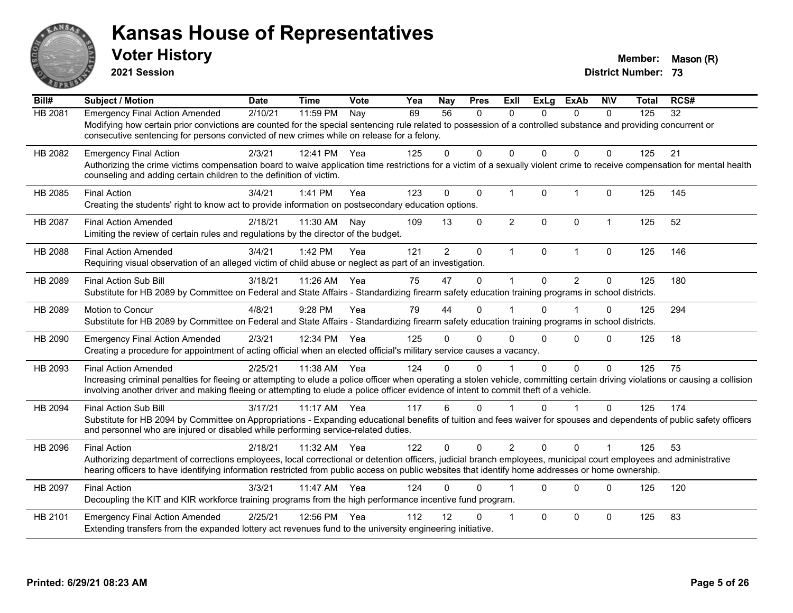

**2021 Session**

| Bill#   | <b>Subject / Motion</b>                                                                                                                                                                                                                                                                                                                                | <b>Date</b> | <b>Time</b> | Vote | Yea | Nay             | <b>Pres</b>  | ExII           | <b>ExLg</b>  | <b>ExAb</b>    | <b>NIV</b>   | <b>Total</b> | RCS# |
|---------|--------------------------------------------------------------------------------------------------------------------------------------------------------------------------------------------------------------------------------------------------------------------------------------------------------------------------------------------------------|-------------|-------------|------|-----|-----------------|--------------|----------------|--------------|----------------|--------------|--------------|------|
| HB 2081 | <b>Emergency Final Action Amended</b><br>Modifying how certain prior convictions are counted for the special sentencing rule related to possession of a controlled substance and providing concurrent or<br>consecutive sentencing for persons convicted of new crimes while on release for a felony.                                                  | 2/10/21     | 11:59 PM    | Nay  | 69  | $\overline{56}$ | 0            | $\mathbf{0}$   | $\Omega$     | $\mathbf{0}$   | $\mathbf{0}$ | 125          | 32   |
| HB 2082 | <b>Emergency Final Action</b><br>Authorizing the crime victims compensation board to waive application time restrictions for a victim of a sexually violent crime to receive compensation for mental health<br>counseling and adding certain children to the definition of victim.                                                                     | 2/3/21      | 12:41 PM    | Yea  | 125 | 0               | $\mathbf{0}$ | $\Omega$       | $\Omega$     | $\Omega$       | $\Omega$     | 125          | 21   |
| HB 2085 | <b>Final Action</b><br>Creating the students' right to know act to provide information on postsecondary education options.                                                                                                                                                                                                                             | 3/4/21      | 1:41 PM     | Yea  | 123 | $\Omega$        | $\mathbf 0$  | $\mathbf 1$    | $\mathbf{0}$ | $\mathbf{1}$   | $\Omega$     | 125          | 145  |
| HB 2087 | <b>Final Action Amended</b><br>Limiting the review of certain rules and regulations by the director of the budget.                                                                                                                                                                                                                                     | 2/18/21     | 11:30 AM    | Nay  | 109 | 13              | $\mathbf 0$  | $\overline{2}$ | $\mathbf{0}$ | $\mathbf 0$    | $\mathbf 1$  | 125          | 52   |
| HB 2088 | <b>Final Action Amended</b><br>Requiring visual observation of an alleged victim of child abuse or neglect as part of an investigation.                                                                                                                                                                                                                | 3/4/21      | 1:42 PM     | Yea  | 121 | $\overline{2}$  | $\mathbf 0$  | $\mathbf 1$    | $\mathbf 0$  | $\mathbf{1}$   | $\mathbf 0$  | 125          | 146  |
| HB 2089 | Final Action Sub Bill<br>Substitute for HB 2089 by Committee on Federal and State Affairs - Standardizing firearm safety education training programs in school districts.                                                                                                                                                                              | 3/18/21     | 11:26 AM    | Yea  | 75  | 47              | 0            | $\mathbf 1$    | $\Omega$     | $\overline{2}$ | 0            | 125          | 180  |
| HB 2089 | Motion to Concur<br>Substitute for HB 2089 by Committee on Federal and State Affairs - Standardizing firearm safety education training programs in school districts.                                                                                                                                                                                   | 4/8/21      | 9:28 PM     | Yea  | 79  | 44              | $\mathbf 0$  |                | $\Omega$     |                | $\mathbf 0$  | 125          | 294  |
| HB 2090 | <b>Emergency Final Action Amended</b><br>Creating a procedure for appointment of acting official when an elected official's military service causes a vacancy.                                                                                                                                                                                         | 2/3/21      | 12:34 PM    | Yea  | 125 | 0               | $\Omega$     | $\Omega$       | $\Omega$     | 0              | $\Omega$     | 125          | 18   |
| HB 2093 | <b>Final Action Amended</b><br>Increasing criminal penalties for fleeing or attempting to elude a police officer when operating a stolen vehicle, committing certain driving violations or causing a collision<br>involving another driver and making fleeing or attempting to elude a police officer evidence of intent to commit theft of a vehicle. | 2/25/21     | 11:38 AM    | Yea  | 124 | 0               | $\Omega$     |                | $\Omega$     | 0              | $\Omega$     | 125          | 75   |
| HB 2094 | <b>Final Action Sub Bill</b><br>Substitute for HB 2094 by Committee on Appropriations - Expanding educational benefits of tuition and fees waiver for spouses and dependents of public safety officers<br>and personnel who are injured or disabled while performing service-related duties.                                                           | 3/17/21     | $11:17$ AM  | Yea  | 117 | 6               | $\Omega$     |                | $\Omega$     | $\overline{1}$ | $\Omega$     | 125          | 174  |
| HB 2096 | <b>Final Action</b><br>Authorizing department of corrections employees, local correctional or detention officers, judicial branch employees, municipal court employees and administrative<br>hearing officers to have identifying information restricted from public access on public websites that identify home addresses or home ownership.         | 2/18/21     | 11:32 AM    | Yea  | 122 | $\Omega$        | $\Omega$     | $\overline{2}$ | $\Omega$     | $\Omega$       | $\mathbf 1$  | 125          | 53   |
| HB 2097 | <b>Final Action</b><br>Decoupling the KIT and KIR workforce training programs from the high performance incentive fund program.                                                                                                                                                                                                                        | 3/3/21      | 11:47 AM    | Yea  | 124 | 0               | $\Omega$     |                | $\Omega$     | $\Omega$       | $\Omega$     | 125          | 120  |
| HB 2101 | <b>Emergency Final Action Amended</b><br>Extending transfers from the expanded lottery act revenues fund to the university engineering initiative.                                                                                                                                                                                                     | 2/25/21     | 12:56 PM    | Yea  | 112 | 12              | $\Omega$     | $\overline{1}$ | $\Omega$     | $\mathbf 0$    | $\Omega$     | 125          | 83   |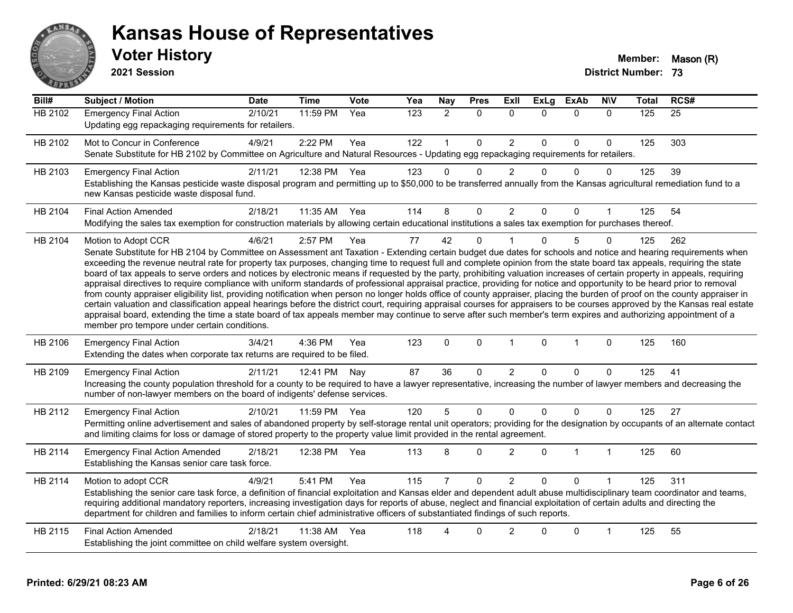

**2021 Session**

| Bill#          | Subject / Motion                                                                                                                                                                                                                                                                                                                                                                                                                                                                                                                                                                                                                                                                                                                                                                                                                                                                                                                                                                                                                                                                                                                                                                                                                                                                                            | <b>Date</b> | Time         | Vote | Yea              | <b>Nay</b>     | <b>Pres</b>  | Exll           | <b>ExLg</b> | <b>ExAb</b>  | <b>NIV</b>   | <b>Total</b> | RCS# |
|----------------|-------------------------------------------------------------------------------------------------------------------------------------------------------------------------------------------------------------------------------------------------------------------------------------------------------------------------------------------------------------------------------------------------------------------------------------------------------------------------------------------------------------------------------------------------------------------------------------------------------------------------------------------------------------------------------------------------------------------------------------------------------------------------------------------------------------------------------------------------------------------------------------------------------------------------------------------------------------------------------------------------------------------------------------------------------------------------------------------------------------------------------------------------------------------------------------------------------------------------------------------------------------------------------------------------------------|-------------|--------------|------|------------------|----------------|--------------|----------------|-------------|--------------|--------------|--------------|------|
| <b>HB 2102</b> | <b>Emergency Final Action</b><br>Updating egg repackaging requirements for retailers.                                                                                                                                                                                                                                                                                                                                                                                                                                                                                                                                                                                                                                                                                                                                                                                                                                                                                                                                                                                                                                                                                                                                                                                                                       | 2/10/21     | 11:59 PM     | Yea  | $\overline{123}$ | $\overline{2}$ | $\mathbf{0}$ | $\mathbf{0}$   | $\Omega$    | $\Omega$     | $\mathbf{0}$ | 125          | 25   |
| HB 2102        | Mot to Concur in Conference<br>Senate Substitute for HB 2102 by Committee on Agriculture and Natural Resources - Updating egg repackaging requirements for retailers.                                                                                                                                                                                                                                                                                                                                                                                                                                                                                                                                                                                                                                                                                                                                                                                                                                                                                                                                                                                                                                                                                                                                       | 4/9/21      | 2:22 PM      | Yea  | 122              |                | $\pmb{0}$    | $\overline{c}$ | $\Omega$    | $\Omega$     | $\mathbf 0$  | 125          | 303  |
| HB 2103        | <b>Emergency Final Action</b><br>Establishing the Kansas pesticide waste disposal program and permitting up to \$50,000 to be transferred annually from the Kansas agricultural remediation fund to a<br>new Kansas pesticide waste disposal fund.                                                                                                                                                                                                                                                                                                                                                                                                                                                                                                                                                                                                                                                                                                                                                                                                                                                                                                                                                                                                                                                          | 2/11/21     | 12:38 PM     | Yea  | 123              | $\Omega$       | $\Omega$     | $\overline{2}$ | $\Omega$    | $\Omega$     | $\Omega$     | 125          | 39   |
| HB 2104        | <b>Final Action Amended</b><br>Modifying the sales tax exemption for construction materials by allowing certain educational institutions a sales tax exemption for purchases thereof.                                                                                                                                                                                                                                                                                                                                                                                                                                                                                                                                                                                                                                                                                                                                                                                                                                                                                                                                                                                                                                                                                                                       | 2/18/21     | 11:35 AM Yea |      | 114              | 8              | $\Omega$     | $\overline{2}$ | $\Omega$    | $\Omega$     |              | 125          | 54   |
| HB 2104        | Motion to Adopt CCR<br>Senate Substitute for HB 2104 by Committee on Assessment ant Taxation - Extending certain budget due dates for schools and notice and hearing requirements when<br>exceeding the revenue neutral rate for property tax purposes, changing time to request full and complete opinion from the state board tax appeals, requiring the state<br>board of tax appeals to serve orders and notices by electronic means if requested by the party, prohibiting valuation increases of certain property in appeals, requiring<br>appraisal directives to require compliance with uniform standards of professional appraisal practice, providing for notice and opportunity to be heard prior to removal<br>from county appraiser eligibility list, providing notification when person no longer holds office of county appraiser, placing the burden of proof on the county appraiser in<br>certain valuation and classification appeal hearings before the district court, requiring appraisal courses for appraisers to be courses approved by the Kansas real estate<br>appraisal board, extending the time a state board of tax appeals member may continue to serve after such member's term expires and authorizing appointment of a<br>member pro tempore under certain conditions. | 4/6/21      | 2:57 PM      | Yea  | 77               | 42             | $\mathbf 0$  |                | $\Omega$    | 5            | $\Omega$     | 125          | 262  |
| HB 2106        | <b>Emergency Final Action</b><br>Extending the dates when corporate tax returns are required to be filed.                                                                                                                                                                                                                                                                                                                                                                                                                                                                                                                                                                                                                                                                                                                                                                                                                                                                                                                                                                                                                                                                                                                                                                                                   | 3/4/21      | 4:36 PM      | Yea  | 123              | $\Omega$       | $\mathbf 0$  | $\mathbf{1}$   | $\mathbf 0$ | $\mathbf{1}$ | $\mathbf 0$  | 125          | 160  |
| HB 2109        | <b>Emergency Final Action</b><br>Increasing the county population threshold for a county to be required to have a lawyer representative, increasing the number of lawyer members and decreasing the<br>number of non-lawyer members on the board of indigents' defense services.                                                                                                                                                                                                                                                                                                                                                                                                                                                                                                                                                                                                                                                                                                                                                                                                                                                                                                                                                                                                                            | 2/11/21     | 12:41 PM     | Nav  | 87               | 36             | $\mathbf{0}$ | $\overline{2}$ | 0           | $\Omega$     | $\Omega$     | 125          | 41   |
| HB 2112        | <b>Emergency Final Action</b><br>Permitting online advertisement and sales of abandoned property by self-storage rental unit operators; providing for the designation by occupants of an alternate contact<br>and limiting claims for loss or damage of stored property to the property value limit provided in the rental agreement.                                                                                                                                                                                                                                                                                                                                                                                                                                                                                                                                                                                                                                                                                                                                                                                                                                                                                                                                                                       | 2/10/21     | 11:59 PM     | Yea  | 120              | 5              | $\pmb{0}$    | $\Omega$       | $\Omega$    | $\Omega$     | $\Omega$     | 125          | 27   |
| HB 2114        | <b>Emergency Final Action Amended</b><br>Establishing the Kansas senior care task force.                                                                                                                                                                                                                                                                                                                                                                                                                                                                                                                                                                                                                                                                                                                                                                                                                                                                                                                                                                                                                                                                                                                                                                                                                    | 2/18/21     | 12:38 PM     | Yea  | 113              | 8              | $\mathbf 0$  | $\overline{2}$ | $\Omega$    | 1            | 1            | 125          | 60   |
| HB 2114        | Motion to adopt CCR<br>Establishing the senior care task force, a definition of financial exploitation and Kansas elder and dependent adult abuse multidisciplinary team coordinator and teams,<br>requiring additional mandatory reporters, increasing investigation days for reports of abuse, neglect and financial exploitation of certain adults and directing the<br>department for children and families to inform certain chief administrative officers of substantiated findings of such reports.                                                                                                                                                                                                                                                                                                                                                                                                                                                                                                                                                                                                                                                                                                                                                                                                  | 4/9/21      | 5:41 PM      | Yea  | 115              |                | $\mathbf 0$  | $\overline{2}$ | $\Omega$    | $\Omega$     |              | 125          | 311  |
| HB 2115        | <b>Final Action Amended</b><br>Establishing the joint committee on child welfare system oversight.                                                                                                                                                                                                                                                                                                                                                                                                                                                                                                                                                                                                                                                                                                                                                                                                                                                                                                                                                                                                                                                                                                                                                                                                          | 2/18/21     | 11:38 AM Yea |      | 118              |                | $\Omega$     | 2              | U           | $\Omega$     |              | 125          | 55   |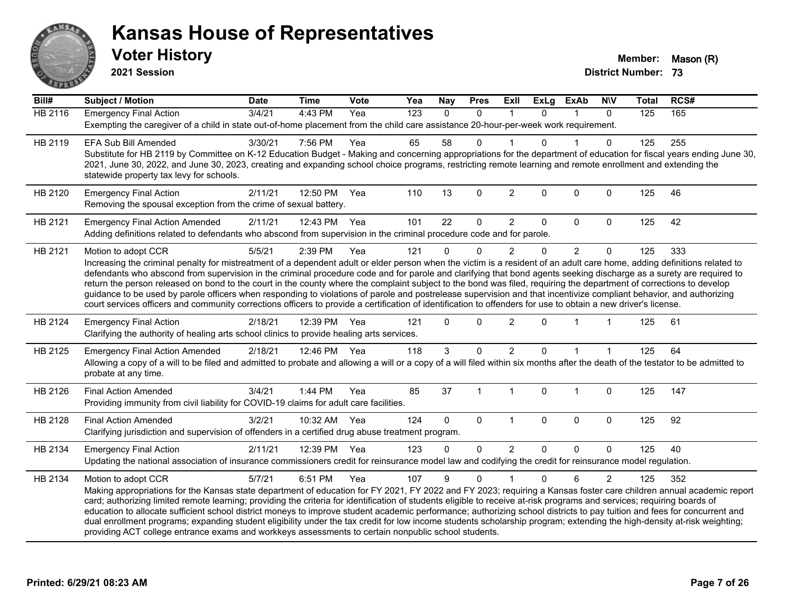

**2021 Session**

| Bill#          | Subject / Motion                                                                                                                                                                                                                                                                                                                      | <b>Date</b> | <b>Time</b>  | Vote | Yea              | <b>Nay</b>   | <b>Pres</b> | Exll           | ExLg         | <b>ExAb</b>    | <b>NIV</b>     | <b>Total</b> | RCS# |
|----------------|---------------------------------------------------------------------------------------------------------------------------------------------------------------------------------------------------------------------------------------------------------------------------------------------------------------------------------------|-------------|--------------|------|------------------|--------------|-------------|----------------|--------------|----------------|----------------|--------------|------|
| <b>HB 2116</b> | <b>Emergency Final Action</b>                                                                                                                                                                                                                                                                                                         | 3/4/21      | 4:43 PM      | Yea  | $\overline{123}$ | $\mathbf{0}$ | $\Omega$    | $\mathbf{1}$   | $\Omega$     | 1              | $\mathbf{0}$   | 125          | 165  |
|                | Exempting the caregiver of a child in state out-of-home placement from the child care assistance 20-hour-per-week work requirement.                                                                                                                                                                                                   |             |              |      |                  |              |             |                |              |                |                |              |      |
| HB 2119        | <b>EFA Sub Bill Amended</b>                                                                                                                                                                                                                                                                                                           | 3/30/21     | 7:56 PM      | Yea  | 65               | 58           | $\Omega$    |                | $\Omega$     |                | $\Omega$       | 125          | 255  |
|                | Substitute for HB 2119 by Committee on K-12 Education Budget - Making and concerning appropriations for the department of education for fiscal years ending June 30,                                                                                                                                                                  |             |              |      |                  |              |             |                |              |                |                |              |      |
|                | 2021, June 30, 2022, and June 30, 2023, creating and expanding school choice programs, restricting remote learning and remote enrollment and extending the                                                                                                                                                                            |             |              |      |                  |              |             |                |              |                |                |              |      |
|                | statewide property tax levy for schools.                                                                                                                                                                                                                                                                                              |             |              |      |                  |              |             |                |              |                |                |              |      |
| HB 2120        | <b>Emergency Final Action</b>                                                                                                                                                                                                                                                                                                         | 2/11/21     | 12:50 PM     | Yea  | 110              | 13           | 0           | $\overline{c}$ | $\Omega$     | 0              | $\mathbf 0$    | 125          | 46   |
|                | Removing the spousal exception from the crime of sexual battery.                                                                                                                                                                                                                                                                      |             |              |      |                  |              |             |                |              |                |                |              |      |
| HB 2121        | <b>Emergency Final Action Amended</b>                                                                                                                                                                                                                                                                                                 | 2/11/21     | 12:43 PM     | Yea  | 101              | 22           | 0           | $\overline{2}$ | 0            | 0              | $\mathbf{0}$   | 125          | 42   |
|                | Adding definitions related to defendants who abscond from supervision in the criminal procedure code and for parole.                                                                                                                                                                                                                  |             |              |      |                  |              |             |                |              |                |                |              |      |
| HB 2121        | Motion to adopt CCR                                                                                                                                                                                                                                                                                                                   | 5/5/21      | 2:39 PM      | Yea  | 121              | $\Omega$     | $\Omega$    | $\overline{2}$ | $\Omega$     | $\overline{2}$ | $\mathbf 0$    | 125          | 333  |
|                | Increasing the criminal penalty for mistreatment of a dependent adult or elder person when the victim is a resident of an adult care home, adding definitions related to                                                                                                                                                              |             |              |      |                  |              |             |                |              |                |                |              |      |
|                | defendants who abscond from supervision in the criminal procedure code and for parole and clarifying that bond agents seeking discharge as a surety are required to                                                                                                                                                                   |             |              |      |                  |              |             |                |              |                |                |              |      |
|                | return the person released on bond to the court in the county where the complaint subject to the bond was filed, requiring the department of corrections to develop                                                                                                                                                                   |             |              |      |                  |              |             |                |              |                |                |              |      |
|                | guidance to be used by parole officers when responding to violations of parole and postrelease supervision and that incentivize compliant behavior, and authorizing<br>court services officers and community corrections officers to provide a certification of identification to offenders for use to obtain a new driver's license. |             |              |      |                  |              |             |                |              |                |                |              |      |
|                |                                                                                                                                                                                                                                                                                                                                       |             |              |      |                  |              |             |                |              |                |                |              |      |
| HB 2124        | <b>Emergency Final Action</b>                                                                                                                                                                                                                                                                                                         | 2/18/21     | 12:39 PM     | Yea  | 121              | $\Omega$     | $\Omega$    | $\overline{c}$ | $\Omega$     | 1              |                | 125          | 61   |
|                | Clarifying the authority of healing arts school clinics to provide healing arts services.                                                                                                                                                                                                                                             |             |              |      |                  |              |             |                |              |                |                |              |      |
| HB 2125        | <b>Emergency Final Action Amended</b>                                                                                                                                                                                                                                                                                                 | 2/18/21     | 12:46 PM Yea |      | 118              | 3            | $\Omega$    | $\overline{2}$ | $\Omega$     | $\mathbf 1$    |                | 125          | 64   |
|                | Allowing a copy of a will to be filed and admitted to probate and allowing a will or a copy of a will filed within six months after the death of the testator to be admitted to                                                                                                                                                       |             |              |      |                  |              |             |                |              |                |                |              |      |
|                | probate at any time.                                                                                                                                                                                                                                                                                                                  |             |              |      |                  |              |             |                |              |                |                |              |      |
| HB 2126        | <b>Final Action Amended</b>                                                                                                                                                                                                                                                                                                           | 3/4/21      | 1:44 PM      | Yea  | 85               | 37           | $\mathbf 1$ | $\mathbf 1$    | $\Omega$     | $\mathbf 1$    | $\Omega$       | 125          | 147  |
|                | Providing immunity from civil liability for COVID-19 claims for adult care facilities.                                                                                                                                                                                                                                                |             |              |      |                  |              |             |                |              |                |                |              |      |
| HB 2128        | <b>Final Action Amended</b>                                                                                                                                                                                                                                                                                                           | 3/2/21      | 10:32 AM Yea |      | 124              | $\mathbf{0}$ | $\mathbf 0$ | $\mathbf{1}$   | $\mathbf{0}$ | $\Omega$       | $\mathbf 0$    | 125          | 92   |
|                | Clarifying jurisdiction and supervision of offenders in a certified drug abuse treatment program.                                                                                                                                                                                                                                     |             |              |      |                  |              |             |                |              |                |                |              |      |
| HB 2134        | <b>Emergency Final Action</b>                                                                                                                                                                                                                                                                                                         | 2/11/21     | 12:39 PM Yea |      | 123              | $\Omega$     | $\Omega$    | $\overline{2}$ | $\Omega$     | $\Omega$       | $\Omega$       | 125          | 40   |
|                | Updating the national association of insurance commissioners credit for reinsurance model law and codifying the credit for reinsurance model regulation.                                                                                                                                                                              |             |              |      |                  |              |             |                |              |                |                |              |      |
| HB 2134        |                                                                                                                                                                                                                                                                                                                                       | 5/7/21      | 6:51 PM      | Yea  | 107              | 9            | $\Omega$    |                | $\Omega$     | 6              | $\overline{2}$ | 125          | 352  |
|                | Motion to adopt CCR<br>Making appropriations for the Kansas state department of education for FY 2021, FY 2022 and FY 2023; requiring a Kansas foster care children annual academic report                                                                                                                                            |             |              |      |                  |              |             |                |              |                |                |              |      |
|                | card; authorizing limited remote learning; providing the criteria for identification of students eligible to receive at-risk programs and services; requiring boards of                                                                                                                                                               |             |              |      |                  |              |             |                |              |                |                |              |      |
|                | education to allocate sufficient school district moneys to improve student academic performance; authorizing school districts to pay tuition and fees for concurrent and                                                                                                                                                              |             |              |      |                  |              |             |                |              |                |                |              |      |
|                | dual enrollment programs; expanding student eligibility under the tax credit for low income students scholarship program; extending the high-density at-risk weighting;                                                                                                                                                               |             |              |      |                  |              |             |                |              |                |                |              |      |
|                | providing ACT college entrance exams and workkeys assessments to certain nonpublic school students.                                                                                                                                                                                                                                   |             |              |      |                  |              |             |                |              |                |                |              |      |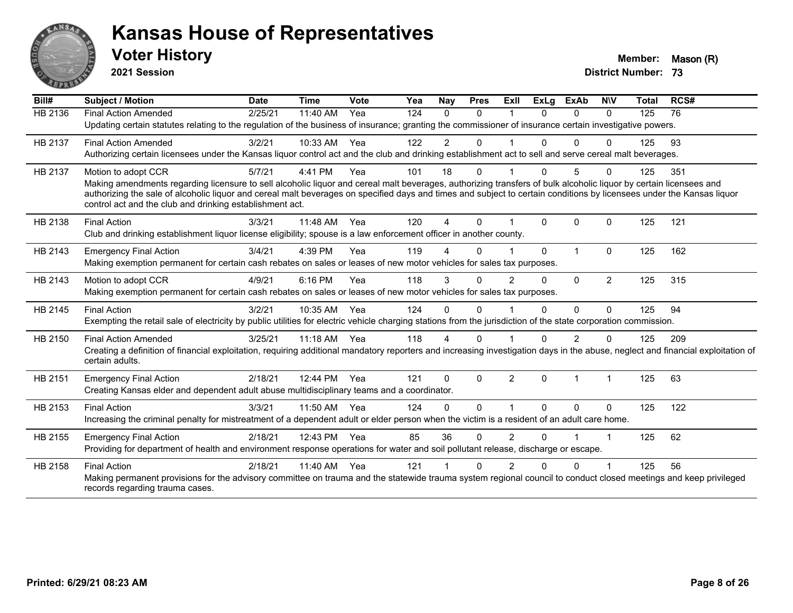

**2021 Session**

| Bill#          | Subject / Motion                                                                                                                                                                                                                                                                                                                                                                                       | <b>Date</b> | <b>Time</b> | <b>Vote</b> | Yea | Nay            | <b>Pres</b> | ExII                 | <b>ExLg</b>  | <b>ExAb</b>    | <b>NIV</b>     | <b>Total</b> | RCS# |
|----------------|--------------------------------------------------------------------------------------------------------------------------------------------------------------------------------------------------------------------------------------------------------------------------------------------------------------------------------------------------------------------------------------------------------|-------------|-------------|-------------|-----|----------------|-------------|----------------------|--------------|----------------|----------------|--------------|------|
| <b>HB 2136</b> | <b>Final Action Amended</b>                                                                                                                                                                                                                                                                                                                                                                            | 2/25/21     | 11:40 AM    | Yea         | 124 | $\Omega$       | $\Omega$    |                      | <sup>n</sup> | 0              | $\Omega$       | 125          | 76   |
|                | Updating certain statutes relating to the regulation of the business of insurance; granting the commissioner of insurance certain investigative powers.                                                                                                                                                                                                                                                |             |             |             |     |                |             |                      |              |                |                |              |      |
| HB 2137        | <b>Final Action Amended</b>                                                                                                                                                                                                                                                                                                                                                                            | 3/2/21      | 10:33 AM    | Yea         | 122 | $\overline{2}$ | $\Omega$    |                      | $\Omega$     | $\Omega$       | $\Omega$       | 125          | 93   |
|                | Authorizing certain licensees under the Kansas liquor control act and the club and drinking establishment act to sell and serve cereal malt beverages.                                                                                                                                                                                                                                                 |             |             |             |     |                |             |                      |              |                |                |              |      |
| HB 2137        | Motion to adopt CCR                                                                                                                                                                                                                                                                                                                                                                                    | 5/7/21      | 4:41 PM     | Yea         | 101 | 18             | 0           |                      |              | 5              | $\Omega$       | 125          | 351  |
|                | Making amendments regarding licensure to sell alcoholic liquor and cereal malt beverages, authorizing transfers of bulk alcoholic liquor by certain licensees and<br>authorizing the sale of alcoholic liquor and cereal malt beverages on specified days and times and subject to certain conditions by licensees under the Kansas liquor<br>control act and the club and drinking establishment act. |             |             |             |     |                |             |                      |              |                |                |              |      |
| HB 2138        | <b>Final Action</b>                                                                                                                                                                                                                                                                                                                                                                                    | 3/3/21      | 11:48 AM    | Yea         | 120 | 4              | $\Omega$    |                      | $\Omega$     | $\Omega$       | $\Omega$       | 125          | 121  |
|                | Club and drinking establishment liquor license eligibility; spouse is a law enforcement officer in another county.                                                                                                                                                                                                                                                                                     |             |             |             |     |                |             |                      |              |                |                |              |      |
| HB 2143        | <b>Emergency Final Action</b>                                                                                                                                                                                                                                                                                                                                                                          | 3/4/21      | 4:39 PM     | Yea         | 119 | 4              | $\Omega$    |                      | $\Omega$     | $\overline{1}$ | $\mathbf{0}$   | 125          | 162  |
|                | Making exemption permanent for certain cash rebates on sales or leases of new motor vehicles for sales tax purposes.                                                                                                                                                                                                                                                                                   |             |             |             |     |                |             |                      |              |                |                |              |      |
| HB 2143        | Motion to adopt CCR                                                                                                                                                                                                                                                                                                                                                                                    | 4/9/21      | 6:16 PM     | Yea         | 118 | 3              | 0           | $\overline{2}$       | $\Omega$     | $\Omega$       | $\overline{2}$ | 125          | 315  |
|                | Making exemption permanent for certain cash rebates on sales or leases of new motor vehicles for sales tax purposes.                                                                                                                                                                                                                                                                                   |             |             |             |     |                |             |                      |              |                |                |              |      |
| HB 2145        | <b>Final Action</b>                                                                                                                                                                                                                                                                                                                                                                                    | 3/2/21      | 10:35 AM    | Yea         | 124 | $\Omega$       | $\Omega$    |                      | $\Omega$     | $\Omega$       | $\Omega$       | 125          | 94   |
|                | Exempting the retail sale of electricity by public utilities for electric vehicle charging stations from the jurisdiction of the state corporation commission.                                                                                                                                                                                                                                         |             |             |             |     |                |             |                      |              |                |                |              |      |
| HB 2150        | <b>Final Action Amended</b>                                                                                                                                                                                                                                                                                                                                                                            | 3/25/21     | $11:18$ AM  | Yea         | 118 | Δ              | 0           |                      |              | 2              | 0              | 125          | 209  |
|                | Creating a definition of financial exploitation, requiring additional mandatory reporters and increasing investigation days in the abuse, neglect and financial exploitation of<br>certain adults.                                                                                                                                                                                                     |             |             |             |     |                |             |                      |              |                |                |              |      |
| HB 2151        | <b>Emergency Final Action</b>                                                                                                                                                                                                                                                                                                                                                                          | 2/18/21     | 12:44 PM    | Yea         | 121 | $\Omega$       | $\Omega$    | $\overline{2}$       | $\Omega$     | $\overline{1}$ | 1              | 125          | 63   |
|                | Creating Kansas elder and dependent adult abuse multidisciplinary teams and a coordinator.                                                                                                                                                                                                                                                                                                             |             |             |             |     |                |             |                      |              |                |                |              |      |
| HB 2153        | <b>Final Action</b>                                                                                                                                                                                                                                                                                                                                                                                    | 3/3/21      | 11:50 AM    | Yea         | 124 | $\Omega$       | $\Omega$    | $\blacktriangleleft$ | $\Omega$     | $\Omega$       | $\mathbf{0}$   | 125          | 122  |
|                | Increasing the criminal penalty for mistreatment of a dependent adult or elder person when the victim is a resident of an adult care home.                                                                                                                                                                                                                                                             |             |             |             |     |                |             |                      |              |                |                |              |      |
| HB 2155        | <b>Emergency Final Action</b>                                                                                                                                                                                                                                                                                                                                                                          | 2/18/21     | 12:43 PM    | Yea         | 85  | 36             | 0           | $\overline{2}$       | 0            |                |                | 125          | 62   |
|                | Providing for department of health and environment response operations for water and soil pollutant release, discharge or escape.                                                                                                                                                                                                                                                                      |             |             |             |     |                |             |                      |              |                |                |              |      |
| HB 2158        | <b>Final Action</b>                                                                                                                                                                                                                                                                                                                                                                                    | 2/18/21     | 11:40 AM    | Yea         | 121 |                | 0           | 2                    | 0            | $\Omega$       |                | 125          | 56   |
|                | Making permanent provisions for the advisory committee on trauma and the statewide trauma system regional council to conduct closed meetings and keep privileged<br>records regarding trauma cases.                                                                                                                                                                                                    |             |             |             |     |                |             |                      |              |                |                |              |      |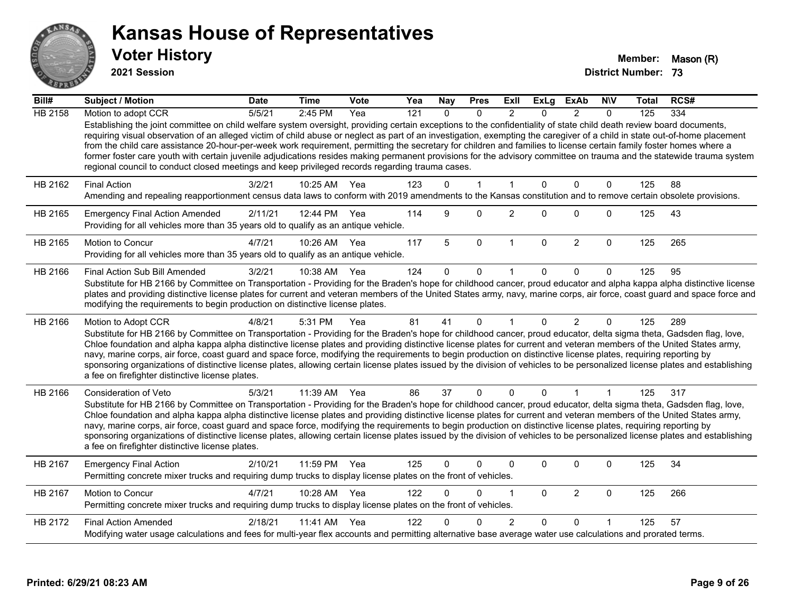

**2021 Session**

| Bill#          | Subject / Motion                                                                                                                                                                                                                                                                                                                                                                                                                                                                                                                                                                                                                                                                                                                                                                                      | <b>Date</b> | <b>Time</b> | Vote | Yea | <b>Nay</b> | <b>Pres</b>  | ExII           | <b>ExLg</b>  | <b>ExAb</b>    | <b>N\V</b>     | Total | RCS# |
|----------------|-------------------------------------------------------------------------------------------------------------------------------------------------------------------------------------------------------------------------------------------------------------------------------------------------------------------------------------------------------------------------------------------------------------------------------------------------------------------------------------------------------------------------------------------------------------------------------------------------------------------------------------------------------------------------------------------------------------------------------------------------------------------------------------------------------|-------------|-------------|------|-----|------------|--------------|----------------|--------------|----------------|----------------|-------|------|
| <b>HB 2158</b> | Motion to adopt CCR                                                                                                                                                                                                                                                                                                                                                                                                                                                                                                                                                                                                                                                                                                                                                                                   | 5/5/21      | 2:45 PM     | Yea  | 121 | $\Omega$   | $\Omega$     | $\mathfrak{p}$ | $\Omega$     | $\mathcal{P}$  | $\Omega$       | 125   | 334  |
|                | Establishing the joint committee on child welfare system oversight, providing certain exceptions to the confidentiality of state child death review board documents,<br>requiring visual observation of an alleged victim of child abuse or neglect as part of an investigation, exempting the caregiver of a child in state out-of-home placement<br>from the child care assistance 20-hour-per-week work requirement, permitting the secretary for children and families to license certain family foster homes where a<br>former foster care youth with certain juvenile adjudications resides making permanent provisions for the advisory committee on trauma and the statewide trauma system<br>regional council to conduct closed meetings and keep privileged records regarding trauma cases. |             |             |      |     |            |              |                |              |                |                |       |      |
| HB 2162        | <b>Final Action</b>                                                                                                                                                                                                                                                                                                                                                                                                                                                                                                                                                                                                                                                                                                                                                                                   | 3/2/21      | 10:25 AM    | Yea  | 123 | $\Omega$   | $\mathbf{1}$ | 1              | $\Omega$     | $\Omega$       | $\mathbf{0}$   | 125   | 88   |
|                | Amending and repealing reapportionment census data laws to conform with 2019 amendments to the Kansas constitution and to remove certain obsolete provisions.                                                                                                                                                                                                                                                                                                                                                                                                                                                                                                                                                                                                                                         |             |             |      |     |            |              |                |              |                |                |       |      |
| HB 2165        | <b>Emergency Final Action Amended</b><br>Providing for all vehicles more than 35 years old to qualify as an antique vehicle.                                                                                                                                                                                                                                                                                                                                                                                                                                                                                                                                                                                                                                                                          | 2/11/21     | 12:44 PM    | Yea  | 114 | 9          | $\Omega$     | $\overline{c}$ | $\Omega$     | $\Omega$       | $\mathbf 0$    | 125   | 43   |
| HB 2165        | <b>Motion to Concur</b><br>Providing for all vehicles more than 35 years old to qualify as an antique vehicle.                                                                                                                                                                                                                                                                                                                                                                                                                                                                                                                                                                                                                                                                                        | 4/7/21      | 10:26 AM    | Yea  | 117 | 5          | $\mathbf 0$  | $\mathbf{1}$   | $\mathbf 0$  | $\overline{2}$ | $\mathbf 0$    | 125   | 265  |
| HB 2166        | <b>Final Action Sub Bill Amended</b>                                                                                                                                                                                                                                                                                                                                                                                                                                                                                                                                                                                                                                                                                                                                                                  | 3/2/21      | 10:38 AM    | Yea  | 124 | 0          | 0            |                | <sup>0</sup> | $\Omega$       | 0              | 125   | 95   |
|                | Substitute for HB 2166 by Committee on Transportation - Providing for the Braden's hope for childhood cancer, proud educator and alpha kappa alpha distinctive license<br>plates and providing distinctive license plates for current and veteran members of the United States army, navy, marine corps, air force, coast guard and space force and<br>modifying the requirements to begin production on distinctive license plates.                                                                                                                                                                                                                                                                                                                                                                  |             |             |      |     |            |              |                |              |                |                |       |      |
| HB 2166        | Motion to Adopt CCR                                                                                                                                                                                                                                                                                                                                                                                                                                                                                                                                                                                                                                                                                                                                                                                   | 4/8/21      | 5:31 PM     | Yea  | 81  | 41         | $\mathbf{0}$ | $\mathbf 1$    | $\Omega$     | $\overline{2}$ | $\Omega$       | 125   | 289  |
|                | Substitute for HB 2166 by Committee on Transportation - Providing for the Braden's hope for childhood cancer, proud educator, delta sigma theta, Gadsden flag, love,<br>Chloe foundation and alpha kappa alpha distinctive license plates and providing distinctive license plates for current and veteran members of the United States army,<br>navy, marine corps, air force, coast guard and space force, modifying the requirements to begin production on distinctive license plates, requiring reporting by<br>sponsoring organizations of distinctive license plates, allowing certain license plates issued by the division of vehicles to be personalized license plates and establishing<br>a fee on firefighter distinctive license plates.                                                |             |             |      |     |            |              |                |              |                |                |       |      |
| HB 2166        | Consideration of Veto                                                                                                                                                                                                                                                                                                                                                                                                                                                                                                                                                                                                                                                                                                                                                                                 | 5/3/21      | 11:39 AM    | Yea  | 86  | 37         | $\Omega$     | $\Omega$       | $\Omega$     | $\overline{1}$ | $\overline{1}$ | 125   | 317  |
|                | Substitute for HB 2166 by Committee on Transportation - Providing for the Braden's hope for childhood cancer, proud educator, delta sigma theta, Gadsden flag, love,<br>Chloe foundation and alpha kappa alpha distinctive license plates and providing distinctive license plates for current and veteran members of the United States army,<br>navy, marine corps, air force, coast guard and space force, modifying the requirements to begin production on distinctive license plates, requiring reporting by<br>sponsoring organizations of distinctive license plates, allowing certain license plates issued by the division of vehicles to be personalized license plates and establishing<br>a fee on firefighter distinctive license plates.                                                |             |             |      |     |            |              |                |              |                |                |       |      |
| HB 2167        | <b>Emergency Final Action</b><br>Permitting concrete mixer trucks and requiring dump trucks to display license plates on the front of vehicles.                                                                                                                                                                                                                                                                                                                                                                                                                                                                                                                                                                                                                                                       | 2/10/21     | 11:59 PM    | Yea  | 125 | $\Omega$   | $\Omega$     | 0              | $\Omega$     | $\Omega$       | $\mathbf 0$    | 125   | 34   |
| HB 2167        | Motion to Concur<br>Permitting concrete mixer trucks and requiring dump trucks to display license plates on the front of vehicles.                                                                                                                                                                                                                                                                                                                                                                                                                                                                                                                                                                                                                                                                    | 4/7/21      | 10:28 AM    | Yea  | 122 | $\Omega$   | 0            | 1              | $\Omega$     | $\overline{2}$ | $\mathbf 0$    | 125   | 266  |
| HB 2172        | <b>Final Action Amended</b>                                                                                                                                                                                                                                                                                                                                                                                                                                                                                                                                                                                                                                                                                                                                                                           | 2/18/21     | 11:41 AM    | Yea  | 122 |            | <sup>0</sup> | $\overline{2}$ | $\Omega$     | $\Omega$       |                | 125   | 57   |
|                | Modifying water usage calculations and fees for multi-year flex accounts and permitting alternative base average water use calculations and prorated terms.                                                                                                                                                                                                                                                                                                                                                                                                                                                                                                                                                                                                                                           |             |             |      |     |            |              |                |              |                |                |       |      |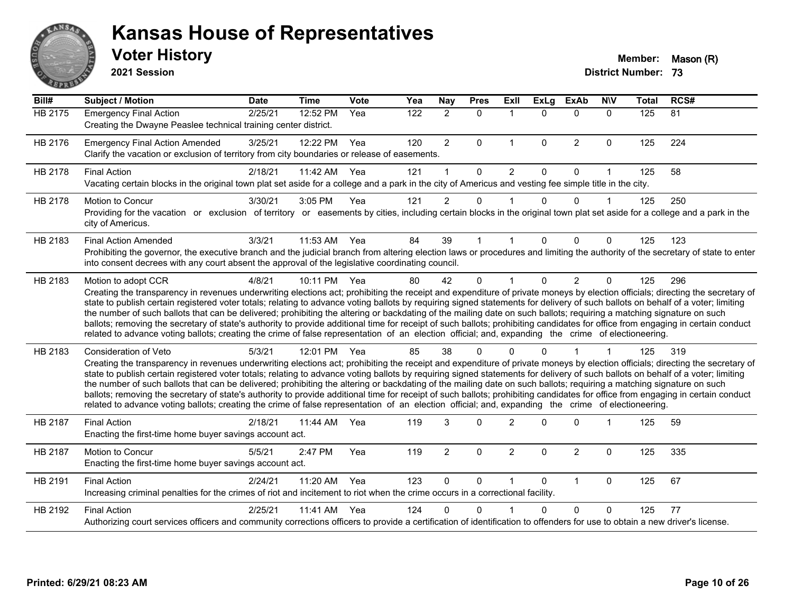

**2021 Session**

| Bill#          | <b>Subject / Motion</b>                                                                                                                                                                                                                                                                                                                                                                                                                                                                                                                                                                                                                                                                                                                                                                                                                                                                                           | <b>Date</b> | <b>Time</b>  | Vote | Yea | <b>Nay</b>     | <b>Pres</b> | Exll           | <b>ExLg</b>  | <b>ExAb</b>    | <b>NIV</b>   | <b>Total</b> | RCS# |
|----------------|-------------------------------------------------------------------------------------------------------------------------------------------------------------------------------------------------------------------------------------------------------------------------------------------------------------------------------------------------------------------------------------------------------------------------------------------------------------------------------------------------------------------------------------------------------------------------------------------------------------------------------------------------------------------------------------------------------------------------------------------------------------------------------------------------------------------------------------------------------------------------------------------------------------------|-------------|--------------|------|-----|----------------|-------------|----------------|--------------|----------------|--------------|--------------|------|
| <b>HB 2175</b> | <b>Emergency Final Action</b><br>Creating the Dwayne Peaslee technical training center district.                                                                                                                                                                                                                                                                                                                                                                                                                                                                                                                                                                                                                                                                                                                                                                                                                  | 2/25/21     | 12:52 PM     | Yea  | 122 | $\overline{2}$ | $\mathbf 0$ | $\mathbf{1}$   | $\Omega$     | $\mathbf 0$    | $\mathbf{0}$ | 125          | 81   |
| HB 2176        | <b>Emergency Final Action Amended</b><br>Clarify the vacation or exclusion of territory from city boundaries or release of easements.                                                                                                                                                                                                                                                                                                                                                                                                                                                                                                                                                                                                                                                                                                                                                                             | 3/25/21     | 12:22 PM     | Yea  | 120 | $\overline{2}$ | $\Omega$    | $\mathbf{1}$   | $\mathbf{0}$ | $\overline{2}$ | $\mathbf 0$  | 125          | 224  |
| HB 2178        | <b>Final Action</b><br>Vacating certain blocks in the original town plat set aside for a college and a park in the city of Americus and vesting fee simple title in the city.                                                                                                                                                                                                                                                                                                                                                                                                                                                                                                                                                                                                                                                                                                                                     | 2/18/21     | 11:42 AM     | Yea  | 121 |                | $\Omega$    | 2              | $\Omega$     | $\Omega$       | 1            | 125          | 58   |
| HB 2178        | <b>Motion to Concur</b><br>Providing for the vacation or exclusion of territory or easements by cities, including certain blocks in the original town plat set aside for a college and a park in the<br>city of Americus.                                                                                                                                                                                                                                                                                                                                                                                                                                                                                                                                                                                                                                                                                         | 3/30/21     | 3:05 PM      | Yea  | 121 | $\overline{2}$ | 0           |                | $\Omega$     | $\Omega$       | 1            | 125          | 250  |
| HB 2183        | <b>Final Action Amended</b><br>Prohibiting the governor, the executive branch and the judicial branch from altering election laws or procedures and limiting the authority of the secretary of state to enter<br>into consent decrees with any court absent the approval of the legislative coordinating council.                                                                                                                                                                                                                                                                                                                                                                                                                                                                                                                                                                                                 | 3/3/21      | 11:53 AM     | Yea  | 84  | 39             |             |                | $\Omega$     | $\Omega$       | 0            | 125          | 123  |
| HB 2183        | Motion to adopt CCR<br>Creating the transparency in revenues underwriting elections act; prohibiting the receipt and expenditure of private moneys by election officials; directing the secretary of<br>state to publish certain registered voter totals; relating to advance voting ballots by requiring signed statements for delivery of such ballots on behalf of a voter; limiting<br>the number of such ballots that can be delivered; prohibiting the altering or backdating of the mailing date on such ballots; requiring a matching signature on such<br>ballots; removing the secretary of state's authority to provide additional time for receipt of such ballots; prohibiting candidates for office from engaging in certain conduct<br>related to advance voting ballots; creating the crime of false representation of an election official; and, expanding the crime of electioneering.          | 4/8/21      | 10:11 PM Yea |      | 80  | 42             | $\Omega$    |                | $\Omega$     | $\overline{2}$ | 0            | 125          | 296  |
| HB 2183        | <b>Consideration of Veto</b><br>Creating the transparency in revenues underwriting elections act; prohibiting the receipt and expenditure of private moneys by election officials; directing the secretary of<br>state to publish certain registered voter totals; relating to advance voting ballots by requiring signed statements for delivery of such ballots on behalf of a voter; limiting<br>the number of such ballots that can be delivered; prohibiting the altering or backdating of the mailing date on such ballots; requiring a matching signature on such<br>ballots; removing the secretary of state's authority to provide additional time for receipt of such ballots; prohibiting candidates for office from engaging in certain conduct<br>related to advance voting ballots; creating the crime of false representation of an election official; and, expanding the crime of electioneering. | 5/3/21      | 12:01 PM     | Yea  | 85  | 38             | 0           |                |              |                |              | 125          | 319  |
| HB 2187        | <b>Final Action</b><br>Enacting the first-time home buyer savings account act.                                                                                                                                                                                                                                                                                                                                                                                                                                                                                                                                                                                                                                                                                                                                                                                                                                    | 2/18/21     | 11:44 AM     | Yea  | 119 | 3              | $\Omega$    | $\overline{2}$ | ∩            | $\Omega$       | 1            | 125          | 59   |
| HB 2187        | Motion to Concur<br>Enacting the first-time home buyer savings account act.                                                                                                                                                                                                                                                                                                                                                                                                                                                                                                                                                                                                                                                                                                                                                                                                                                       | 5/5/21      | 2:47 PM      | Yea  | 119 | $\overline{2}$ | $\Omega$    | $\overline{2}$ | $\Omega$     | $\overline{2}$ | 0            | 125          | 335  |
| HB 2191        | <b>Final Action</b><br>Increasing criminal penalties for the crimes of riot and incitement to riot when the crime occurs in a correctional facility.                                                                                                                                                                                                                                                                                                                                                                                                                                                                                                                                                                                                                                                                                                                                                              | 2/24/21     | 11:20 AM     | Yea  | 123 | $\mathbf{0}$   | $\Omega$    |                | $\Omega$     | $\mathbf{1}$   | $\Omega$     | 125          | 67   |
| HB 2192        | <b>Final Action</b><br>Authorizing court services officers and community corrections officers to provide a certification of identification to offenders for use to obtain a new driver's license.                                                                                                                                                                                                                                                                                                                                                                                                                                                                                                                                                                                                                                                                                                                 | 2/25/21     | 11:41 AM     | Yea  | 124 | 0              | 0           |                | U            | $\Omega$       | 0            | 125          | 77   |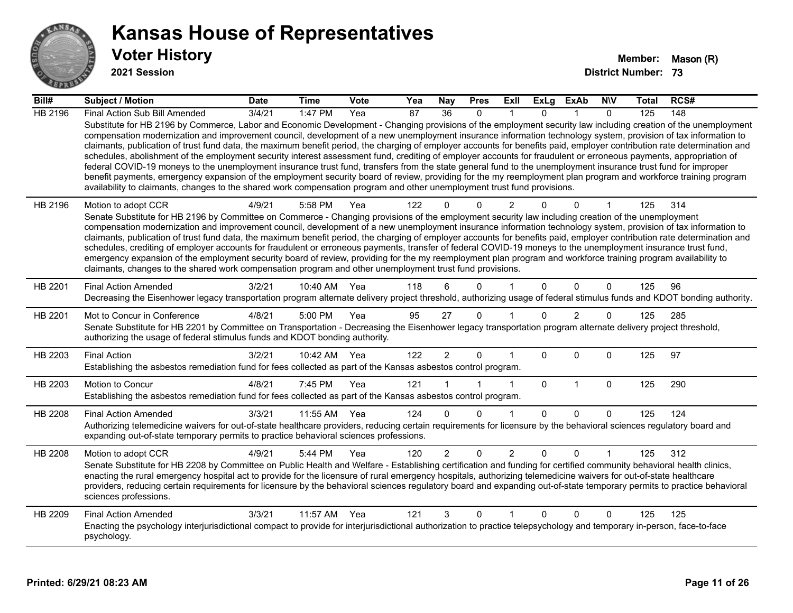

**2021 Session**

| Bill#   | Subject / Motion                                                                                                                                                                                                                                                                                                                                                                                                                                                                                                                                                                                                                                                                                                                                                                                                                                                                                                                                                                                                                                                                                                                                  | <b>Date</b> | <b>Time</b>  | Vote | Yea | <b>Nay</b>      | <b>Pres</b>  | Exll           | ExLg        | ExAb           | <b>NIV</b>   | Total | RCS# |
|---------|---------------------------------------------------------------------------------------------------------------------------------------------------------------------------------------------------------------------------------------------------------------------------------------------------------------------------------------------------------------------------------------------------------------------------------------------------------------------------------------------------------------------------------------------------------------------------------------------------------------------------------------------------------------------------------------------------------------------------------------------------------------------------------------------------------------------------------------------------------------------------------------------------------------------------------------------------------------------------------------------------------------------------------------------------------------------------------------------------------------------------------------------------|-------------|--------------|------|-----|-----------------|--------------|----------------|-------------|----------------|--------------|-------|------|
| HB 2196 | Final Action Sub Bill Amended                                                                                                                                                                                                                                                                                                                                                                                                                                                                                                                                                                                                                                                                                                                                                                                                                                                                                                                                                                                                                                                                                                                     | 3/4/21      | 1:47 PM      | Yea  | 87  | $\overline{36}$ | $\mathbf{0}$ |                | 0           |                | $\mathbf{0}$ | 125   | 148  |
|         | Substitute for HB 2196 by Commerce, Labor and Economic Development - Changing provisions of the employment security law including creation of the unemployment<br>compensation modernization and improvement council, development of a new unemployment insurance information technology system, provision of tax information to<br>claimants, publication of trust fund data, the maximum benefit period, the charging of employer accounts for benefits paid, employer contribution rate determination and<br>schedules, abolishment of the employment security interest assessment fund, crediting of employer accounts for fraudulent or erroneous payments, appropriation of<br>federal COVID-19 moneys to the unemployment insurance trust fund, transfers from the state general fund to the unemployment insurance trust fund for improper<br>benefit payments, emergency expansion of the employment security board of review, providing for the my reemployment plan program and workforce training program<br>availability to claimants, changes to the shared work compensation program and other unemployment trust fund provisions. |             |              |      |     |                 |              |                |             |                |              |       |      |
| HB 2196 | Motion to adopt CCR                                                                                                                                                                                                                                                                                                                                                                                                                                                                                                                                                                                                                                                                                                                                                                                                                                                                                                                                                                                                                                                                                                                               | 4/9/21      | 5:58 PM      | Yea  | 122 |                 | $\Omega$     | $\overline{2}$ |             | 0              |              | 125   | 314  |
|         | Senate Substitute for HB 2196 by Committee on Commerce - Changing provisions of the employment security law including creation of the unemployment                                                                                                                                                                                                                                                                                                                                                                                                                                                                                                                                                                                                                                                                                                                                                                                                                                                                                                                                                                                                |             |              |      |     |                 |              |                |             |                |              |       |      |
|         | compensation modernization and improvement council, development of a new unemployment insurance information technology system, provision of tax information to<br>claimants, publication of trust fund data, the maximum benefit period, the charging of employer accounts for benefits paid, employer contribution rate determination and                                                                                                                                                                                                                                                                                                                                                                                                                                                                                                                                                                                                                                                                                                                                                                                                        |             |              |      |     |                 |              |                |             |                |              |       |      |
|         | schedules, crediting of employer accounts for fraudulent or erroneous payments, transfer of federal COVID-19 moneys to the unemployment insurance trust fund,                                                                                                                                                                                                                                                                                                                                                                                                                                                                                                                                                                                                                                                                                                                                                                                                                                                                                                                                                                                     |             |              |      |     |                 |              |                |             |                |              |       |      |
|         | emergency expansion of the employment security board of review, providing for the my reemployment plan program and workforce training program availability to                                                                                                                                                                                                                                                                                                                                                                                                                                                                                                                                                                                                                                                                                                                                                                                                                                                                                                                                                                                     |             |              |      |     |                 |              |                |             |                |              |       |      |
|         | claimants, changes to the shared work compensation program and other unemployment trust fund provisions.                                                                                                                                                                                                                                                                                                                                                                                                                                                                                                                                                                                                                                                                                                                                                                                                                                                                                                                                                                                                                                          |             |              |      |     |                 |              |                |             |                |              |       |      |
| HB 2201 | <b>Final Action Amended</b>                                                                                                                                                                                                                                                                                                                                                                                                                                                                                                                                                                                                                                                                                                                                                                                                                                                                                                                                                                                                                                                                                                                       | 3/2/21      | 10:40 AM     | Yea  | 118 | 6               | $\Omega$     |                | $\Omega$    | $\Omega$       | $\mathbf{0}$ | 125   | 96   |
|         | Decreasing the Eisenhower legacy transportation program alternate delivery project threshold, authorizing usage of federal stimulus funds and KDOT bonding authority.                                                                                                                                                                                                                                                                                                                                                                                                                                                                                                                                                                                                                                                                                                                                                                                                                                                                                                                                                                             |             |              |      |     |                 |              |                |             |                |              |       |      |
| HB 2201 | Mot to Concur in Conference                                                                                                                                                                                                                                                                                                                                                                                                                                                                                                                                                                                                                                                                                                                                                                                                                                                                                                                                                                                                                                                                                                                       | 4/8/21      | 5:00 PM      | Yea  | 95  | 27              | $\mathbf 0$  |                | $\Omega$    | $\overline{2}$ | 0            | 125   | 285  |
|         | Senate Substitute for HB 2201 by Committee on Transportation - Decreasing the Eisenhower legacy transportation program alternate delivery project threshold,<br>authorizing the usage of federal stimulus funds and KDOT bonding authority.                                                                                                                                                                                                                                                                                                                                                                                                                                                                                                                                                                                                                                                                                                                                                                                                                                                                                                       |             |              |      |     |                 |              |                |             |                |              |       |      |
| HB 2203 | <b>Final Action</b>                                                                                                                                                                                                                                                                                                                                                                                                                                                                                                                                                                                                                                                                                                                                                                                                                                                                                                                                                                                                                                                                                                                               | 3/2/21      | 10:42 AM Yea |      | 122 | $\overline{2}$  | $\Omega$     |                | $\Omega$    | $\mathbf{0}$   | $\mathbf{0}$ | 125   | 97   |
|         | Establishing the asbestos remediation fund for fees collected as part of the Kansas asbestos control program.                                                                                                                                                                                                                                                                                                                                                                                                                                                                                                                                                                                                                                                                                                                                                                                                                                                                                                                                                                                                                                     |             |              |      |     |                 |              |                |             |                |              |       |      |
| HB 2203 | Motion to Concur                                                                                                                                                                                                                                                                                                                                                                                                                                                                                                                                                                                                                                                                                                                                                                                                                                                                                                                                                                                                                                                                                                                                  | 4/8/21      | 7:45 PM      | Yea  | 121 |                 |              | $\mathbf{1}$   | $\mathbf 0$ | $\mathbf{1}$   | $\mathbf 0$  | 125   | 290  |
|         | Establishing the asbestos remediation fund for fees collected as part of the Kansas asbestos control program.                                                                                                                                                                                                                                                                                                                                                                                                                                                                                                                                                                                                                                                                                                                                                                                                                                                                                                                                                                                                                                     |             |              |      |     |                 |              |                |             |                |              |       |      |
| HB 2208 | <b>Final Action Amended</b>                                                                                                                                                                                                                                                                                                                                                                                                                                                                                                                                                                                                                                                                                                                                                                                                                                                                                                                                                                                                                                                                                                                       | 3/3/21      | 11:55 AM     | Yea  | 124 | $\Omega$        | $\Omega$     | -1             | $\Omega$    | $\Omega$       | $\mathbf{0}$ | 125   | 124  |
|         | Authorizing telemedicine waivers for out-of-state healthcare providers, reducing certain requirements for licensure by the behavioral sciences regulatory board and                                                                                                                                                                                                                                                                                                                                                                                                                                                                                                                                                                                                                                                                                                                                                                                                                                                                                                                                                                               |             |              |      |     |                 |              |                |             |                |              |       |      |
|         | expanding out-of-state temporary permits to practice behavioral sciences professions.                                                                                                                                                                                                                                                                                                                                                                                                                                                                                                                                                                                                                                                                                                                                                                                                                                                                                                                                                                                                                                                             |             |              |      |     |                 |              |                |             |                |              |       |      |
| HB 2208 | Motion to adopt CCR                                                                                                                                                                                                                                                                                                                                                                                                                                                                                                                                                                                                                                                                                                                                                                                                                                                                                                                                                                                                                                                                                                                               | 4/9/21      | 5:44 PM      | Yea  | 120 | $\overline{2}$  | $\mathbf 0$  | $\overline{2}$ | 0           | 0              |              | 125   | 312  |
|         | Senate Substitute for HB 2208 by Committee on Public Health and Welfare - Establishing certification and funding for certified community behavioral health clinics,                                                                                                                                                                                                                                                                                                                                                                                                                                                                                                                                                                                                                                                                                                                                                                                                                                                                                                                                                                               |             |              |      |     |                 |              |                |             |                |              |       |      |
|         | enacting the rural emergency hospital act to provide for the licensure of rural emergency hospitals, authorizing telemedicine waivers for out-of-state healthcare<br>providers, reducing certain requirements for licensure by the behavioral sciences regulatory board and expanding out-of-state temporary permits to practice behavioral                                                                                                                                                                                                                                                                                                                                                                                                                                                                                                                                                                                                                                                                                                                                                                                                       |             |              |      |     |                 |              |                |             |                |              |       |      |
|         | sciences professions.                                                                                                                                                                                                                                                                                                                                                                                                                                                                                                                                                                                                                                                                                                                                                                                                                                                                                                                                                                                                                                                                                                                             |             |              |      |     |                 |              |                |             |                |              |       |      |
| HB 2209 | <b>Final Action Amended</b>                                                                                                                                                                                                                                                                                                                                                                                                                                                                                                                                                                                                                                                                                                                                                                                                                                                                                                                                                                                                                                                                                                                       | 3/3/21      | 11:57 AM     | Yea  | 121 | 3               | 0            |                | 0           | $\Omega$       | 0            | 125   | 125  |
|         | Enacting the psychology interjurisdictional compact to provide for interjurisdictional authorization to practice telepsychology and temporary in-person, face-to-face<br>psychology.                                                                                                                                                                                                                                                                                                                                                                                                                                                                                                                                                                                                                                                                                                                                                                                                                                                                                                                                                              |             |              |      |     |                 |              |                |             |                |              |       |      |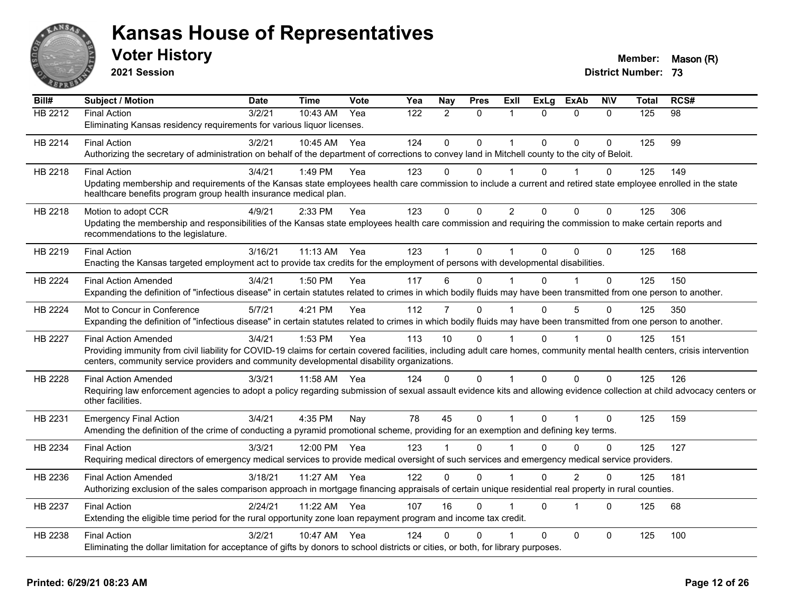

**2021 Session**

| Bill#          | <b>Subject / Motion</b>                                                                                                                                                                                                                                                    | <b>Date</b> | <b>Time</b>  | <b>Vote</b> | Yea | Nay            | <b>Pres</b>  | Exll           | <b>ExLg</b>  | <b>ExAb</b>    | <b>NIV</b>   | Total | RCS# |
|----------------|----------------------------------------------------------------------------------------------------------------------------------------------------------------------------------------------------------------------------------------------------------------------------|-------------|--------------|-------------|-----|----------------|--------------|----------------|--------------|----------------|--------------|-------|------|
| HB 2212        | <b>Final Action</b>                                                                                                                                                                                                                                                        | 3/2/21      | 10:43 AM     | Yea         | 122 | $\overline{2}$ | $\Omega$     | 1              | $\Omega$     | $\mathbf{0}$   | $\Omega$     | 125   | 98   |
|                | Eliminating Kansas residency requirements for various liquor licenses.                                                                                                                                                                                                     |             |              |             |     |                |              |                |              |                |              |       |      |
| HB 2214        | <b>Final Action</b>                                                                                                                                                                                                                                                        | 3/2/21      | 10:45 AM     | Yea         | 124 | $\Omega$       | $\Omega$     | 1              | $\Omega$     | $\Omega$       | $\Omega$     | 125   | 99   |
|                | Authorizing the secretary of administration on behalf of the department of corrections to convey land in Mitchell county to the city of Beloit.                                                                                                                            |             |              |             |     |                |              |                |              |                |              |       |      |
| HB 2218        | <b>Final Action</b>                                                                                                                                                                                                                                                        | 3/4/21      | 1:49 PM      | Yea         | 123 | $\Omega$       | $\Omega$     |                | $\Omega$     |                | $\Omega$     | 125   | 149  |
|                | Updating membership and requirements of the Kansas state employees health care commission to include a current and retired state employee enrolled in the state<br>healthcare benefits program group health insurance medical plan.                                        |             |              |             |     |                |              |                |              |                |              |       |      |
| HB 2218        | Motion to adopt CCR                                                                                                                                                                                                                                                        | 4/9/21      | 2:33 PM      | Yea         | 123 | $\mathbf{0}$   | $\mathbf{0}$ | $\overline{2}$ | $\Omega$     | $\Omega$       | $\mathbf{0}$ | 125   | 306  |
|                | Updating the membership and responsibilities of the Kansas state employees health care commission and requiring the commission to make certain reports and<br>recommendations to the legislature.                                                                          |             |              |             |     |                |              |                |              |                |              |       |      |
| HB 2219        | <b>Final Action</b>                                                                                                                                                                                                                                                        | 3/16/21     | 11:13 AM Yea |             | 123 |                | $\Omega$     |                | $\Omega$     | $\Omega$       | $\Omega$     | 125   | 168  |
|                | Enacting the Kansas targeted employment act to provide tax credits for the employment of persons with developmental disabilities.                                                                                                                                          |             |              |             |     |                |              |                |              |                |              |       |      |
| HB 2224        | <b>Final Action Amended</b>                                                                                                                                                                                                                                                | 3/4/21      | 1:50 PM      | Yea         | 117 | 6              | $\Omega$     |                | $\Omega$     |                | $\Omega$     | 125   | 150  |
|                | Expanding the definition of "infectious disease" in certain statutes related to crimes in which bodily fluids may have been transmitted from one person to another.                                                                                                        |             |              |             |     |                |              |                |              |                |              |       |      |
| HB 2224        | Mot to Concur in Conference                                                                                                                                                                                                                                                | 5/7/21      | 4:21 PM      | Yea         | 112 | 7              | $\Omega$     |                | $\Omega$     | 5              | $\Omega$     | 125   | 350  |
|                | Expanding the definition of "infectious disease" in certain statutes related to crimes in which bodily fluids may have been transmitted from one person to another.                                                                                                        |             |              |             |     |                |              |                |              |                |              |       |      |
| HB 2227        | <b>Final Action Amended</b>                                                                                                                                                                                                                                                | 3/4/21      | 1:53 PM      | Yea         | 113 | 10             | $\Omega$     |                | $\Omega$     |                | 0            | 125   | 151  |
|                | Providing immunity from civil liability for COVID-19 claims for certain covered facilities, including adult care homes, community mental health centers, crisis intervention<br>centers, community service providers and community developmental disability organizations. |             |              |             |     |                |              |                |              |                |              |       |      |
| HB 2228        | <b>Final Action Amended</b>                                                                                                                                                                                                                                                | 3/3/21      | 11:58 AM     | Yea         | 124 | 0              | $\mathbf{0}$ | 1              | $\Omega$     | $\mathbf 0$    | $\Omega$     | 125   | 126  |
|                | Requiring law enforcement agencies to adopt a policy regarding submission of sexual assault evidence kits and allowing evidence collection at child advocacy centers or<br>other facilities.                                                                               |             |              |             |     |                |              |                |              |                |              |       |      |
| HB 2231        | <b>Emergency Final Action</b>                                                                                                                                                                                                                                              | 3/4/21      | 4:35 PM      | Nay         | 78  | 45             | $\mathbf 0$  | 1              | $\mathbf{0}$ |                | $\mathbf 0$  | 125   | 159  |
|                | Amending the definition of the crime of conducting a pyramid promotional scheme, providing for an exemption and defining key terms.                                                                                                                                        |             |              |             |     |                |              |                |              |                |              |       |      |
| HB 2234        | <b>Final Action</b>                                                                                                                                                                                                                                                        | 3/3/21      | 12:00 PM     | Yea         | 123 |                | $\Omega$     |                | U            | $\Omega$       | $\mathbf{0}$ | 125   | 127  |
|                | Requiring medical directors of emergency medical services to provide medical oversight of such services and emergency medical service providers.                                                                                                                           |             |              |             |     |                |              |                |              |                |              |       |      |
| HB 2236        | <b>Final Action Amended</b>                                                                                                                                                                                                                                                | 3/18/21     | 11:27 AM     | Yea         | 122 | $\Omega$       | $\mathbf 0$  |                | $\Omega$     | $\overline{2}$ | 0            | 125   | 181  |
|                | Authorizing exclusion of the sales comparison approach in mortgage financing appraisals of certain unique residential real property in rural counties.                                                                                                                     |             |              |             |     |                |              |                |              |                |              |       |      |
| <b>HB 2237</b> | <b>Final Action</b>                                                                                                                                                                                                                                                        | 2/24/21     | 11:22 AM     | Yea         | 107 | 16             | $\Omega$     |                | $\Omega$     | 1              | $\Omega$     | 125   | 68   |
|                | Extending the eligible time period for the rural opportunity zone loan repayment program and income tax credit.                                                                                                                                                            |             |              |             |     |                |              |                |              |                |              |       |      |
| HB 2238        | <b>Final Action</b>                                                                                                                                                                                                                                                        | 3/2/21      | 10:47 AM     | Yea         | 124 | 0              | 0            |                | $\Omega$     | $\mathbf 0$    | $\Omega$     | 125   | 100  |
|                | Eliminating the dollar limitation for acceptance of gifts by donors to school districts or cities, or both, for library purposes.                                                                                                                                          |             |              |             |     |                |              |                |              |                |              |       |      |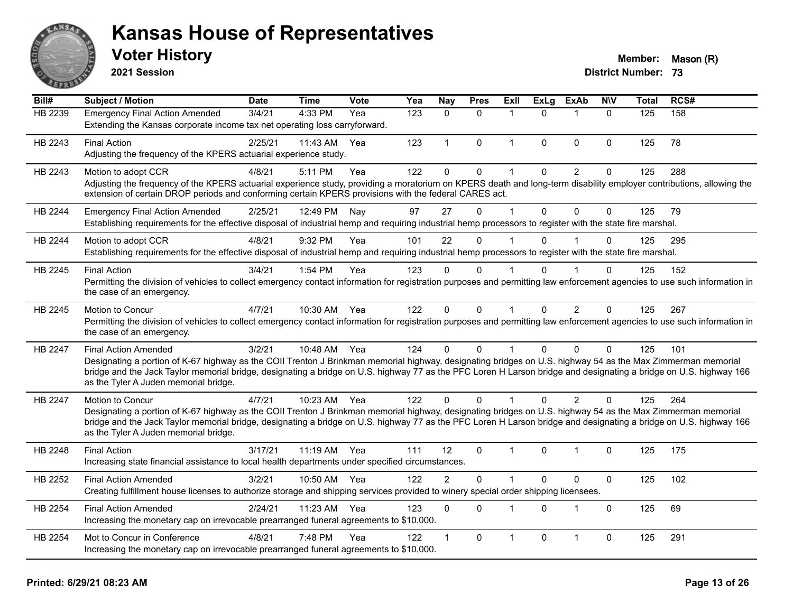

**2021 Session**

| Bill#   | <b>Subject / Motion</b>                                                                                                                                                                                                                                                                                                          | <b>Date</b> | <b>Time</b>  | <b>Vote</b> | Yea | Nay            | <b>Pres</b> | <b>Exll</b>  | <b>ExLg</b>  | <b>ExAb</b>    | <b>NIV</b>  | <b>Total</b> | RCS# |
|---------|----------------------------------------------------------------------------------------------------------------------------------------------------------------------------------------------------------------------------------------------------------------------------------------------------------------------------------|-------------|--------------|-------------|-----|----------------|-------------|--------------|--------------|----------------|-------------|--------------|------|
| HB 2239 | <b>Emergency Final Action Amended</b>                                                                                                                                                                                                                                                                                            | 3/4/21      | 4:33 PM      | Yea         | 123 | $\Omega$       | $\Omega$    | 1            | $\Omega$     |                | $\Omega$    | 125          | 158  |
|         | Extending the Kansas corporate income tax net operating loss carryforward.                                                                                                                                                                                                                                                       |             |              |             |     |                |             |              |              |                |             |              |      |
| HB 2243 | <b>Final Action</b>                                                                                                                                                                                                                                                                                                              | 2/25/21     | 11:43 AM     | Yea         | 123 | $\mathbf{1}$   | $\mathbf 0$ | $\mathbf{1}$ | $\mathbf{0}$ | $\mathbf 0$    | $\Omega$    | 125          | 78   |
|         | Adjusting the frequency of the KPERS actuarial experience study.                                                                                                                                                                                                                                                                 |             |              |             |     |                |             |              |              |                |             |              |      |
| HB 2243 | Motion to adopt CCR                                                                                                                                                                                                                                                                                                              | 4/8/21      | 5:11 PM      | Yea         | 122 | $\Omega$       | $\mathbf 0$ | 1            | $\mathbf{0}$ | $\overline{2}$ | $\Omega$    | 125          | 288  |
|         | Adjusting the frequency of the KPERS actuarial experience study, providing a moratorium on KPERS death and long-term disability employer contributions, allowing the                                                                                                                                                             |             |              |             |     |                |             |              |              |                |             |              |      |
|         | extension of certain DROP periods and conforming certain KPERS provisions with the federal CARES act.                                                                                                                                                                                                                            |             |              |             |     |                |             |              |              |                |             |              |      |
| HB 2244 | <b>Emergency Final Action Amended</b>                                                                                                                                                                                                                                                                                            | 2/25/21     | 12:49 PM     | Nay         | 97  | 27             | $\Omega$    | $\mathbf{1}$ | $\Omega$     | $\Omega$       | $\mathbf 0$ | 125          | 79   |
|         | Establishing requirements for the effective disposal of industrial hemp and requiring industrial hemp processors to register with the state fire marshal.                                                                                                                                                                        |             |              |             |     |                |             |              |              |                |             |              |      |
| HB 2244 | Motion to adopt CCR                                                                                                                                                                                                                                                                                                              | 4/8/21      | 9:32 PM      | Yea         | 101 | 22             | $\Omega$    | 1            | $\Omega$     |                | $\Omega$    | 125          | 295  |
|         | Establishing requirements for the effective disposal of industrial hemp and requiring industrial hemp processors to register with the state fire marshal.                                                                                                                                                                        |             |              |             |     |                |             |              |              |                |             |              |      |
| HB 2245 | <b>Final Action</b>                                                                                                                                                                                                                                                                                                              | 3/4/21      | 1:54 PM      | Yea         | 123 | $\Omega$       | $\Omega$    |              | U            |                | $\Omega$    | 125          | 152  |
|         | Permitting the division of vehicles to collect emergency contact information for registration purposes and permitting law enforcement agencies to use such information in                                                                                                                                                        |             |              |             |     |                |             |              |              |                |             |              |      |
|         | the case of an emergency.                                                                                                                                                                                                                                                                                                        |             |              |             |     |                |             |              |              |                |             |              |      |
| HB 2245 | Motion to Concur                                                                                                                                                                                                                                                                                                                 | 4/7/21      | 10:30 AM     | Yea         | 122 | $\Omega$       | $\Omega$    | $\mathbf 1$  | $\Omega$     | 2              | $\Omega$    | 125          | 267  |
|         | Permitting the division of vehicles to collect emergency contact information for registration purposes and permitting law enforcement agencies to use such information in                                                                                                                                                        |             |              |             |     |                |             |              |              |                |             |              |      |
|         | the case of an emergency.                                                                                                                                                                                                                                                                                                        |             |              |             |     |                |             |              |              |                |             |              |      |
| HB 2247 | <b>Final Action Amended</b>                                                                                                                                                                                                                                                                                                      | 3/2/21      | 10:48 AM Yea |             | 124 | $\Omega$       | $\Omega$    | 1            | $\Omega$     | $\Omega$       | $\Omega$    | 125          | 101  |
|         | Designating a portion of K-67 highway as the COII Trenton J Brinkman memorial highway, designating bridges on U.S. highway 54 as the Max Zimmerman memorial                                                                                                                                                                      |             |              |             |     |                |             |              |              |                |             |              |      |
|         | bridge and the Jack Taylor memorial bridge, designating a bridge on U.S. highway 77 as the PFC Loren H Larson bridge and designating a bridge on U.S. highway 166<br>as the Tyler A Juden memorial bridge.                                                                                                                       |             |              |             |     |                |             |              |              |                |             |              |      |
|         |                                                                                                                                                                                                                                                                                                                                  |             |              |             |     |                |             |              |              |                |             |              |      |
| HB 2247 | Motion to Concur                                                                                                                                                                                                                                                                                                                 | 4/7/21      | 10:23 AM Yea |             | 122 | $\Omega$       | $\Omega$    |              | $\Omega$     | 2              | $\Omega$    | 125          | 264  |
|         | Designating a portion of K-67 highway as the COII Trenton J Brinkman memorial highway, designating bridges on U.S. highway 54 as the Max Zimmerman memorial<br>bridge and the Jack Taylor memorial bridge, designating a bridge on U.S. highway 77 as the PFC Loren H Larson bridge and designating a bridge on U.S. highway 166 |             |              |             |     |                |             |              |              |                |             |              |      |
|         | as the Tyler A Juden memorial bridge.                                                                                                                                                                                                                                                                                            |             |              |             |     |                |             |              |              |                |             |              |      |
| HB 2248 | <b>Final Action</b>                                                                                                                                                                                                                                                                                                              | 3/17/21     | $11:19$ AM   | Yea         | 111 | 12             | $\Omega$    | 1            | $\Omega$     | $\mathbf{1}$   | $\Omega$    | 125          | 175  |
|         | Increasing state financial assistance to local health departments under specified circumstances.                                                                                                                                                                                                                                 |             |              |             |     |                |             |              |              |                |             |              |      |
| HB 2252 | <b>Final Action Amended</b>                                                                                                                                                                                                                                                                                                      | 3/2/21      | 10:50 AM     | Yea         | 122 | $\overline{2}$ | $\mathbf 0$ | $\mathbf{1}$ | $\Omega$     | $\mathbf 0$    | $\pmb{0}$   | 125          | 102  |
|         | Creating fulfillment house licenses to authorize storage and shipping services provided to winery special order shipping licensees.                                                                                                                                                                                              |             |              |             |     |                |             |              |              |                |             |              |      |
|         |                                                                                                                                                                                                                                                                                                                                  |             |              |             |     |                |             |              |              |                |             |              |      |
| HB 2254 | <b>Final Action Amended</b><br>Increasing the monetary cap on irrevocable prearranged funeral agreements to \$10,000.                                                                                                                                                                                                            | 2/24/21     | 11:23 AM     | Yea         | 123 | $\Omega$       | $\Omega$    | $\mathbf 1$  | $\Omega$     | 1              | $\Omega$    | 125          | 69   |
|         |                                                                                                                                                                                                                                                                                                                                  |             |              |             |     |                |             |              |              |                |             |              |      |
| HB 2254 | Mot to Concur in Conference                                                                                                                                                                                                                                                                                                      | 4/8/21      | 7:48 PM      | Yea         | 122 | 1              | 0           | 1            | 0            | 1              | $\mathbf 0$ | 125          | 291  |
|         | Increasing the monetary cap on irrevocable prearranged funeral agreements to \$10,000.                                                                                                                                                                                                                                           |             |              |             |     |                |             |              |              |                |             |              |      |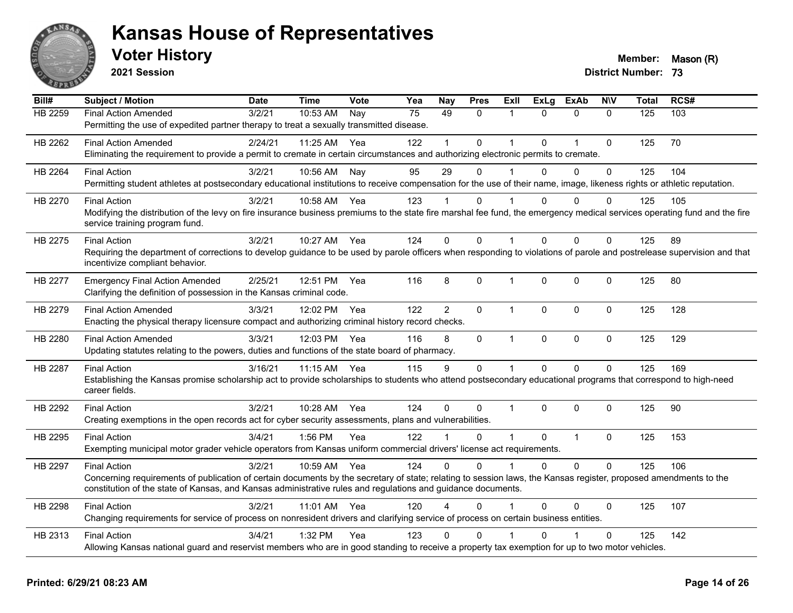

**2021 Session**

| Bill#          | <b>Subject / Motion</b>                                                                                                                                                                                                                                                          | <b>Date</b> | <b>Time</b>  | Vote | Yea | Nay            | <b>Pres</b>  | ExII           | <b>ExLg</b> | <b>ExAb</b>    | <b>NIV</b>   | <b>Total</b> | RCS# |
|----------------|----------------------------------------------------------------------------------------------------------------------------------------------------------------------------------------------------------------------------------------------------------------------------------|-------------|--------------|------|-----|----------------|--------------|----------------|-------------|----------------|--------------|--------------|------|
| <b>HB 2259</b> | <b>Final Action Amended</b>                                                                                                                                                                                                                                                      | 3/2/21      | 10:53 AM     | Nay  | 75  | 49             | 0            | 1              | $\Omega$    | $\mathbf{0}$   | $\mathbf{0}$ | 125          | 103  |
|                | Permitting the use of expedited partner therapy to treat a sexually transmitted disease.                                                                                                                                                                                         |             |              |      |     |                |              |                |             |                |              |              |      |
| HB 2262        | <b>Final Action Amended</b><br>Eliminating the requirement to provide a permit to cremate in certain circumstances and authorizing electronic permits to cremate.                                                                                                                | 2/24/21     | 11:25 AM     | Yea  | 122 |                | 0            |                | $\Omega$    | 1              | $\mathbf 0$  | 125          | 70   |
| HB 2264        | <b>Final Action</b>                                                                                                                                                                                                                                                              | 3/2/21      | 10:56 AM     | Nay  | 95  | 29             | $\Omega$     |                | $\Omega$    | $\Omega$       | $\Omega$     | 125          | 104  |
|                | Permitting student athletes at postsecondary educational institutions to receive compensation for the use of their name, image, likeness rights or athletic reputation.                                                                                                          |             |              |      |     |                |              |                |             |                |              |              |      |
| HB 2270        | <b>Final Action</b>                                                                                                                                                                                                                                                              | 3/2/21      | 10:58 AM     | Yea  | 123 |                | $\Omega$     |                | $\Omega$    | $\Omega$       | $\Omega$     | 125          | 105  |
|                | Modifying the distribution of the levy on fire insurance business premiums to the state fire marshal fee fund, the emergency medical services operating fund and the fire<br>service training program fund.                                                                      |             |              |      |     |                |              |                |             |                |              |              |      |
| HB 2275        | <b>Final Action</b>                                                                                                                                                                                                                                                              | 3/2/21      | 10:27 AM     | Yea  | 124 | $\Omega$       | $\Omega$     | $\overline{1}$ | $\Omega$    | $\Omega$       | $\mathbf{0}$ | 125          | 89   |
|                | Requiring the department of corrections to develop guidance to be used by parole officers when responding to violations of parole and postrelease supervision and that<br>incentivize compliant behavior.                                                                        |             |              |      |     |                |              |                |             |                |              |              |      |
| HB 2277        | <b>Emergency Final Action Amended</b><br>Clarifying the definition of possession in the Kansas criminal code.                                                                                                                                                                    | 2/25/21     | 12:51 PM     | Yea  | 116 | 8              | 0            | $\mathbf{1}$   | $\mathbf 0$ | $\mathbf{0}$   | $\mathbf 0$  | 125          | 80   |
| HB 2279        | <b>Final Action Amended</b>                                                                                                                                                                                                                                                      | 3/3/21      | 12:02 PM     | Yea  | 122 | $\overline{2}$ | $\Omega$     | $\mathbf 1$    | $\Omega$    | $\mathbf{0}$   | $\Omega$     | 125          | 128  |
|                | Enacting the physical therapy licensure compact and authorizing criminal history record checks.                                                                                                                                                                                  |             |              |      |     |                |              |                |             |                |              |              |      |
| HB 2280        | <b>Final Action Amended</b>                                                                                                                                                                                                                                                      | 3/3/21      | 12:03 PM Yea |      | 116 | 8              | $\mathbf 0$  | $\mathbf{1}$   | 0           | $\mathbf 0$    | $\mathbf 0$  | 125          | 129  |
|                | Updating statutes relating to the powers, duties and functions of the state board of pharmacy.                                                                                                                                                                                   |             |              |      |     |                |              |                |             |                |              |              |      |
| HB 2287        | <b>Final Action</b>                                                                                                                                                                                                                                                              | 3/16/21     | 11:15 AM     | Yea  | 115 | 9              | 0            | $\mathbf{1}$   | $\Omega$    | $\Omega$       | $\mathbf 0$  | 125          | 169  |
|                | Establishing the Kansas promise scholarship act to provide scholarships to students who attend postsecondary educational programs that correspond to high-need<br>career fields.                                                                                                 |             |              |      |     |                |              |                |             |                |              |              |      |
| HB 2292        | <b>Final Action</b>                                                                                                                                                                                                                                                              | 3/2/21      | 10:28 AM     | Yea  | 124 | $\Omega$       | $\mathbf{0}$ | -1             | $\Omega$    | $\Omega$       | $\mathbf{0}$ | 125          | 90   |
|                | Creating exemptions in the open records act for cyber security assessments, plans and vulnerabilities.                                                                                                                                                                           |             |              |      |     |                |              |                |             |                |              |              |      |
| HB 2295        | <b>Final Action</b>                                                                                                                                                                                                                                                              | 3/4/21      | 1:56 PM      | Yea  | 122 |                | 0            | $\overline{1}$ | $\mathbf 0$ | $\overline{1}$ | $\mathbf 0$  | 125          | 153  |
|                | Exempting municipal motor grader vehicle operators from Kansas uniform commercial drivers' license act requirements.                                                                                                                                                             |             |              |      |     |                |              |                |             |                |              |              |      |
| HB 2297        | <b>Final Action</b>                                                                                                                                                                                                                                                              | 3/2/21      | 10:59 AM     | Yea  | 124 | $\Omega$       | $\Omega$     | $\mathbf{1}$   | $\Omega$    | $\Omega$       | $\mathbf 0$  | 125          | 106  |
|                | Concerning requirements of publication of certain documents by the secretary of state; relating to session laws, the Kansas register, proposed amendments to the<br>constitution of the state of Kansas, and Kansas administrative rules and regulations and guidance documents. |             |              |      |     |                |              |                |             |                |              |              |      |
| HB 2298        | <b>Final Action</b>                                                                                                                                                                                                                                                              | 3/2/21      | 11:01 AM     | Yea  | 120 |                | $\Omega$     |                | $\Omega$    | $\Omega$       | $\mathbf{0}$ | 125          | 107  |
|                | Changing requirements for service of process on nonresident drivers and clarifying service of process on certain business entities.                                                                                                                                              |             |              |      |     |                |              |                |             |                |              |              |      |
| HB 2313        | <b>Final Action</b>                                                                                                                                                                                                                                                              | 3/4/21      | 1:32 PM      | Yea  | 123 | 0              | $\mathbf{0}$ |                | ი           |                | $\mathbf{0}$ | 125          | 142  |
|                | Allowing Kansas national guard and reservist members who are in good standing to receive a property tax exemption for up to two motor vehicles.                                                                                                                                  |             |              |      |     |                |              |                |             |                |              |              |      |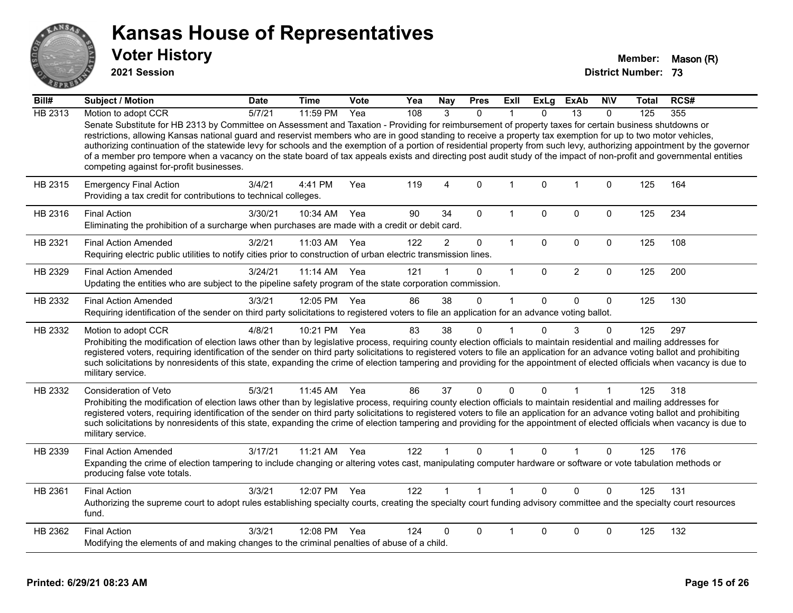

**2021 Session**

| Bill#   | Subject / Motion                                                                                                                                                                                                                                                                                                                                                                                                                                                                                                                                                                                                                                                                                                          | <b>Date</b> | <b>Time</b>  | Vote | Yea | <b>Nay</b>     | <b>Pres</b>  | ExII         | ExLg        | <b>ExAb</b>    | <b>NIV</b>  | Total | RCS# |
|---------|---------------------------------------------------------------------------------------------------------------------------------------------------------------------------------------------------------------------------------------------------------------------------------------------------------------------------------------------------------------------------------------------------------------------------------------------------------------------------------------------------------------------------------------------------------------------------------------------------------------------------------------------------------------------------------------------------------------------------|-------------|--------------|------|-----|----------------|--------------|--------------|-------------|----------------|-------------|-------|------|
| HB 2313 | Motion to adopt CCR                                                                                                                                                                                                                                                                                                                                                                                                                                                                                                                                                                                                                                                                                                       | 5/7/21      | 11:59 PM     | Yea  | 108 | 3              | $\Omega$     |              | U           | 13             | $\Omega$    | 125   | 355  |
|         | Senate Substitute for HB 2313 by Committee on Assessment and Taxation - Providing for reimbursement of property taxes for certain business shutdowns or<br>restrictions, allowing Kansas national guard and reservist members who are in good standing to receive a property tax exemption for up to two motor vehicles,<br>authorizing continuation of the statewide levy for schools and the exemption of a portion of residential property from such levy, authorizing appointment by the governor<br>of a member pro tempore when a vacancy on the state board of tax appeals exists and directing post audit study of the impact of non-profit and governmental entities<br>competing against for-profit businesses. |             |              |      |     |                |              |              |             |                |             |       |      |
| HB 2315 | <b>Emergency Final Action</b><br>Providing a tax credit for contributions to technical colleges.                                                                                                                                                                                                                                                                                                                                                                                                                                                                                                                                                                                                                          | 3/4/21      | 4:41 PM      | Yea  | 119 | 4              | $\mathbf{0}$ | $\mathbf{1}$ | $\mathbf 0$ | $\overline{1}$ | $\mathbf 0$ | 125   | 164  |
| HB 2316 | <b>Final Action</b><br>Eliminating the prohibition of a surcharge when purchases are made with a credit or debit card.                                                                                                                                                                                                                                                                                                                                                                                                                                                                                                                                                                                                    | 3/30/21     | 10:34 AM     | Yea  | 90  | 34             | $\Omega$     | 1            | 0           | $\Omega$       | $\mathbf 0$ | 125   | 234  |
| HB 2321 | <b>Final Action Amended</b><br>Requiring electric public utilities to notify cities prior to construction of urban electric transmission lines.                                                                                                                                                                                                                                                                                                                                                                                                                                                                                                                                                                           | 3/2/21      | 11:03 AM     | Yea  | 122 | $\overline{2}$ | $\mathbf 0$  | $\mathbf 1$  | $\mathbf 0$ | $\mathbf 0$    | $\mathbf 0$ | 125   | 108  |
| HB 2329 | <b>Final Action Amended</b><br>Updating the entities who are subject to the pipeline safety program of the state corporation commission.                                                                                                                                                                                                                                                                                                                                                                                                                                                                                                                                                                                  | 3/24/21     | $11:14$ AM   | Yea  | 121 |                | 0            | $\mathbf{1}$ | $\Omega$    | $\overline{2}$ | $\mathbf 0$ | 125   | 200  |
| HB 2332 | <b>Final Action Amended</b><br>Requiring identification of the sender on third party solicitations to registered voters to file an application for an advance voting ballot.                                                                                                                                                                                                                                                                                                                                                                                                                                                                                                                                              | 3/3/21      | 12:05 PM Yea |      | 86  | 38             | $\Omega$     | 1            | $\Omega$    | $\mathbf{0}$   | $\Omega$    | 125   | 130  |
| HB 2332 | Motion to adopt CCR<br>Prohibiting the modification of election laws other than by legislative process, requiring county election officials to maintain residential and mailing addresses for<br>registered voters, requiring identification of the sender on third party solicitations to registered voters to file an application for an advance voting ballot and prohibiting<br>such solicitations by nonresidents of this state, expanding the crime of election tampering and providing for the appointment of elected officials when vacancy is due to<br>military service.                                                                                                                                        | 4/8/21      | 10:21 PM     | Yea  | 83  | 38             | 0            | 1            | $\Omega$    | 3              | $\Omega$    | 125   | 297  |
| HB 2332 | Consideration of Veto<br>Prohibiting the modification of election laws other than by legislative process, requiring county election officials to maintain residential and mailing addresses for<br>registered voters, requiring identification of the sender on third party solicitations to registered voters to file an application for an advance voting ballot and prohibiting<br>such solicitations by nonresidents of this state, expanding the crime of election tampering and providing for the appointment of elected officials when vacancy is due to<br>military service.                                                                                                                                      | 5/3/21      | 11:45 AM     | Yea  | 86  | 37             | 0            | 0            | $\Omega$    | 1              | 1           | 125   | 318  |
| HB 2339 | <b>Final Action Amended</b><br>Expanding the crime of election tampering to include changing or altering votes cast, manipulating computer hardware or software or vote tabulation methods or<br>producing false vote totals.                                                                                                                                                                                                                                                                                                                                                                                                                                                                                             | 3/17/21     | 11:21 AM     | Yea  | 122 |                | $\Omega$     |              | 0           |                | 0           | 125   | 176  |
| HB 2361 | <b>Final Action</b><br>Authorizing the supreme court to adopt rules establishing specialty courts, creating the specialty court funding advisory committee and the specialty court resources<br>fund.                                                                                                                                                                                                                                                                                                                                                                                                                                                                                                                     | 3/3/21      | 12:07 PM     | Yea  | 122 |                | $\mathbf{1}$ | 1            | $\Omega$    | $\Omega$       | $\Omega$    | 125   | 131  |
| HB 2362 | <b>Final Action</b><br>Modifying the elements of and making changes to the criminal penalties of abuse of a child.                                                                                                                                                                                                                                                                                                                                                                                                                                                                                                                                                                                                        | 3/3/21      | 12:08 PM     | Yea  | 124 | 0              | 0            | 1            | 0           | 0              | 0           | 125   | 132  |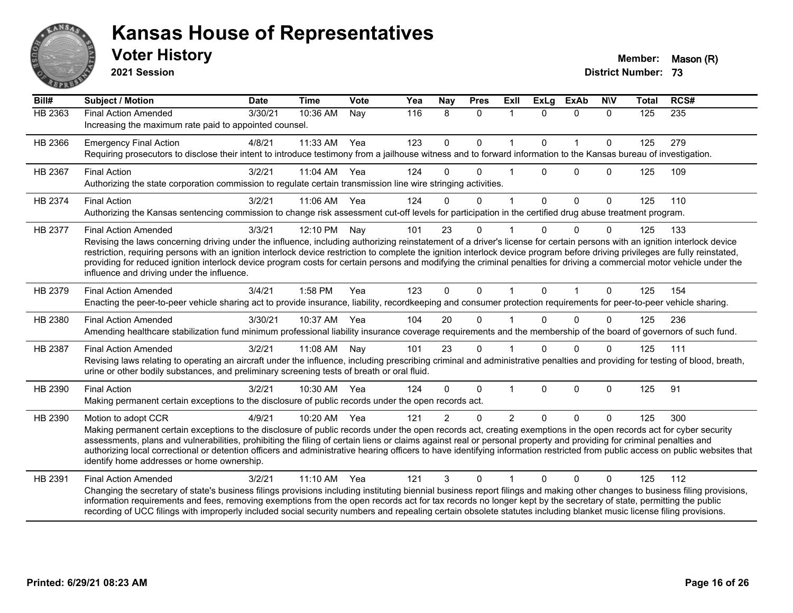

**2021 Session**

| Bill#          | <b>Subject / Motion</b>                                                                                                                                                                                                                                                                                                                                                                                                                                                                                                                                                                                             | <b>Date</b> | <b>Time</b> | Vote | Yea | Nay            | <b>Pres</b>  | Exll           | <b>ExLg</b>  | <b>ExAb</b>  | <b>NIV</b>  | <b>Total</b> | RCS# |
|----------------|---------------------------------------------------------------------------------------------------------------------------------------------------------------------------------------------------------------------------------------------------------------------------------------------------------------------------------------------------------------------------------------------------------------------------------------------------------------------------------------------------------------------------------------------------------------------------------------------------------------------|-------------|-------------|------|-----|----------------|--------------|----------------|--------------|--------------|-------------|--------------|------|
| <b>HB 2363</b> | <b>Final Action Amended</b><br>Increasing the maximum rate paid to appointed counsel.                                                                                                                                                                                                                                                                                                                                                                                                                                                                                                                               | 3/30/21     | 10:36 AM    | Nay  | 116 | 8              | $\mathbf{0}$ | $\mathbf{1}$   | $\Omega$     | $\mathbf{0}$ | $\Omega$    | 125          | 235  |
| HB 2366        | <b>Emergency Final Action</b><br>Requiring prosecutors to disclose their intent to introduce testimony from a jailhouse witness and to forward information to the Kansas bureau of investigation.                                                                                                                                                                                                                                                                                                                                                                                                                   | 4/8/21      | 11:33 AM    | Yea  | 123 | 0              | $\mathbf 0$  | $\mathbf{1}$   | $\mathbf{0}$ | 1            | $\Omega$    | 125          | 279  |
| HB 2367        | <b>Final Action</b><br>Authorizing the state corporation commission to regulate certain transmission line wire stringing activities.                                                                                                                                                                                                                                                                                                                                                                                                                                                                                | 3/2/21      | 11:04 AM    | Yea  | 124 | $\Omega$       | $\Omega$     | 1              | $\Omega$     | $\Omega$     | $\Omega$    | 125          | 109  |
| HB 2374        | <b>Final Action</b><br>Authorizing the Kansas sentencing commission to change risk assessment cut-off levels for participation in the certified drug abuse treatment program.                                                                                                                                                                                                                                                                                                                                                                                                                                       | 3/2/21      | 11:06 AM    | Yea  | 124 | $\Omega$       | $\Omega$     | 1              | $\Omega$     | $\mathbf 0$  | $\mathbf 0$ | 125          | 110  |
| HB 2377        | <b>Final Action Amended</b><br>Revising the laws concerning driving under the influence, including authorizing reinstatement of a driver's license for certain persons with an ignition interlock device<br>restriction, requiring persons with an ignition interlock device restriction to complete the ignition interlock device program before driving privileges are fully reinstated,<br>providing for reduced ignition interlock device program costs for certain persons and modifying the criminal penalties for driving a commercial motor vehicle under the<br>influence and driving under the influence. | 3/3/21      | 12:10 PM    | Nay  | 101 | 23             | $\Omega$     |                | <sup>n</sup> | $\Omega$     | $\Omega$    | 125          | 133  |
| HB 2379        | <b>Final Action Amended</b><br>Enacting the peer-to-peer vehicle sharing act to provide insurance, liability, recordkeeping and consumer protection requirements for peer-to-peer vehicle sharing.                                                                                                                                                                                                                                                                                                                                                                                                                  | 3/4/21      | $1:58$ PM   | Yea  | 123 | $\Omega$       | $\Omega$     | $\mathbf 1$    | $\mathbf{0}$ |              | $\Omega$    | 125          | 154  |
| HB 2380        | <b>Final Action Amended</b><br>Amending healthcare stabilization fund minimum professional liability insurance coverage requirements and the membership of the board of governors of such fund.                                                                                                                                                                                                                                                                                                                                                                                                                     | 3/30/21     | 10:37 AM    | Yea  | 104 | 20             | $\Omega$     | 1              | 0            | $\Omega$     | $\Omega$    | 125          | 236  |
| HB 2387        | <b>Final Action Amended</b><br>Revising laws relating to operating an aircraft under the influence, including prescribing criminal and administrative penalties and providing for testing of blood, breath,<br>urine or other bodily substances, and preliminary screening tests of breath or oral fluid.                                                                                                                                                                                                                                                                                                           | 3/2/21      | 11:08 AM    | Nay  | 101 | 23             | $\Omega$     | 1              | 0            | $\Omega$     | $\Omega$    | 125          | 111  |
| HB 2390        | <b>Final Action</b><br>Making permanent certain exceptions to the disclosure of public records under the open records act.                                                                                                                                                                                                                                                                                                                                                                                                                                                                                          | 3/2/21      | 10:30 AM    | Yea  | 124 | $\Omega$       | $\Omega$     | $\mathbf{1}$   | $\Omega$     | $\mathbf 0$  | $\Omega$    | 125          | 91   |
| HB 2390        | Motion to adopt CCR<br>Making permanent certain exceptions to the disclosure of public records under the open records act, creating exemptions in the open records act for cyber security<br>assessments, plans and vulnerabilities, prohibiting the filing of certain liens or claims against real or personal property and providing for criminal penalties and<br>authorizing local correctional or detention officers and administrative hearing officers to have identifying information restricted from public access on public websites that<br>identify home addresses or home ownership.                   | 4/9/21      | 10:20 AM    | Yea  | 121 | $\overline{2}$ | $\Omega$     | $\overline{2}$ | $\Omega$     | $\Omega$     | $\Omega$    | 125          | 300  |
| HB 2391        | <b>Final Action Amended</b><br>Changing the secretary of state's business filings provisions including instituting biennial business report filings and making other changes to business filing provisions,<br>information requirements and fees, removing exemptions from the open records act for tax records no longer kept by the secretary of state, permitting the public<br>recording of UCC filings with improperly included social security numbers and repealing certain obsolete statutes including blanket music license filing provisions.                                                             | 3/2/21      | $11:10$ AM  | Yea  | 121 | 3              | $\Omega$     |                | 0            | $\Omega$     | 0           | 125          | 112  |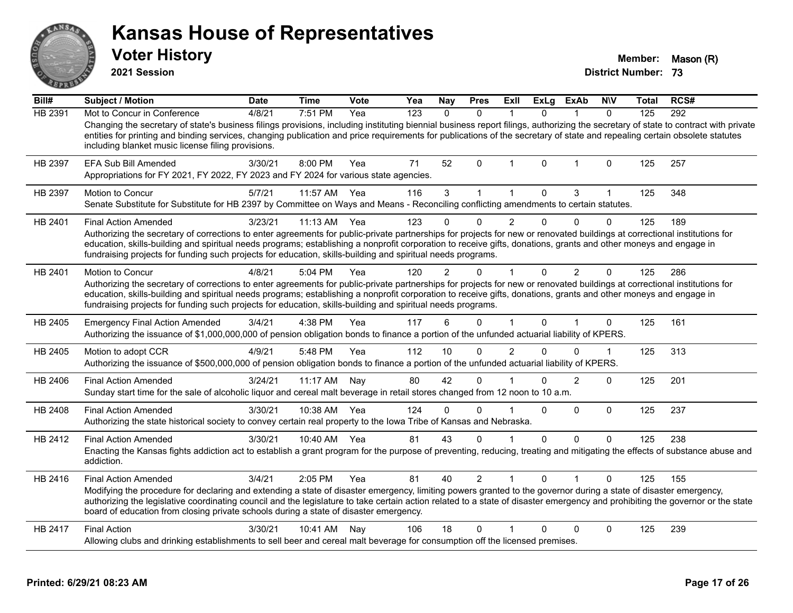| ANSAR          | <b>Kansas House of Representatives</b><br><b>Voter History</b><br>2021 Session                                                                                                                                                                                                                                                                                                                                                                                                              |             |              |             |     |              |                |                |              |                |              | Member:<br><b>District Number: 73</b> | Mason (R) |
|----------------|---------------------------------------------------------------------------------------------------------------------------------------------------------------------------------------------------------------------------------------------------------------------------------------------------------------------------------------------------------------------------------------------------------------------------------------------------------------------------------------------|-------------|--------------|-------------|-----|--------------|----------------|----------------|--------------|----------------|--------------|---------------------------------------|-----------|
| Bill#          | <b>Subject / Motion</b>                                                                                                                                                                                                                                                                                                                                                                                                                                                                     | <b>Date</b> | <b>Time</b>  | <b>Vote</b> | Yea | Nay          | <b>Pres</b>    | Exll           | <b>ExLg</b>  | <b>ExAb</b>    | <b>NIV</b>   | Total                                 | RCS#      |
| <b>HB 2391</b> | Mot to Concur in Conference<br>Changing the secretary of state's business filings provisions, including instituting biennial business report filings, authorizing the secretary of state to contract with private<br>entities for printing and binding services, changing publication and price requirements for publications of the secretary of state and repealing certain obsolete statutes<br>including blanket music license filing provisions.                                       | 4/8/21      | 7:51 PM      | Yea         | 123 | $\mathbf{0}$ | $\mathbf{0}$   | $\overline{1}$ | $\mathbf{0}$ | 1              | $\mathbf{0}$ | 125                                   | 292       |
| HB 2397        | <b>EFA Sub Bill Amended</b><br>Appropriations for FY 2021, FY 2022, FY 2023 and FY 2024 for various state agencies.                                                                                                                                                                                                                                                                                                                                                                         | 3/30/21     | 8:00 PM      | Yea         | 71  | 52           | $\mathbf{0}$   | $\mathbf{1}$   | 0            | $\mathbf 1$    | 0            | 125                                   | 257       |
| HB 2397        | Motion to Concur<br>Senate Substitute for Substitute for HB 2397 by Committee on Ways and Means - Reconciling conflicting amendments to certain statutes.                                                                                                                                                                                                                                                                                                                                   | 5/7/21      | 11:57 AM     | Yea         | 116 | 3            | $\mathbf{1}$   | $\mathbf{1}$   | $\mathbf 0$  | 3              | 1            | 125                                   | 348       |
| HB 2401        | <b>Final Action Amended</b><br>Authorizing the secretary of corrections to enter agreements for public-private partnerships for projects for new or renovated buildings at correctional institutions for<br>education, skills-building and spiritual needs programs; establishing a nonprofit corporation to receive gifts, donations, grants and other moneys and engage in<br>fundraising projects for funding such projects for education, skills-building and spiritual needs programs. | 3/23/21     | $11:13$ AM   | Yea         | 123 | $\Omega$     | 0              | $\overline{2}$ | $\mathbf 0$  | $\Omega$       | $\Omega$     | 125                                   | 189       |
| HB 2401        | Motion to Concur<br>Authorizing the secretary of corrections to enter agreements for public-private partnerships for projects for new or renovated buildings at correctional institutions for<br>education, skills-building and spiritual needs programs; establishing a nonprofit corporation to receive gifts, donations, grants and other moneys and engage in<br>fundraising projects for funding such projects for education, skills-building and spiritual needs programs.            | 4/8/21      | 5:04 PM      | Yea         | 120 |              | 0              | 1              | $\Omega$     | $\overline{2}$ | $\Omega$     | 125                                   | 286       |
| HB 2405        | <b>Emergency Final Action Amended</b><br>Authorizing the issuance of \$1,000,000,000 of pension obligation bonds to finance a portion of the unfunded actuarial liability of KPERS.                                                                                                                                                                                                                                                                                                         | 3/4/21      | 4:38 PM      | Yea         | 117 | 6            | $\Omega$       | $\mathbf{1}$   | $\Omega$     |                | $\Omega$     | 125                                   | 161       |
| HB 2405        | Motion to adopt CCR<br>Authorizing the issuance of \$500,000,000 of pension obligation bonds to finance a portion of the unfunded actuarial liability of KPERS.                                                                                                                                                                                                                                                                                                                             | 4/9/21      | 5:48 PM      | Yea         | 112 | 10           | $\Omega$       | $\overline{2}$ | $\Omega$     | $\Omega$       | $\mathbf{1}$ | 125                                   | 313       |
| HB 2406        | <b>Final Action Amended</b><br>Sunday start time for the sale of alcoholic liquor and cereal malt beverage in retail stores changed from 12 noon to 10 a.m.                                                                                                                                                                                                                                                                                                                                 | 3/24/21     | 11:17 AM     | Nav         | 80  | 42           | $\Omega$       | 1              | $\mathbf 0$  | $\overline{2}$ | $\Omega$     | 125                                   | 201       |
| HB 2408        | <b>Final Action Amended</b><br>Authorizing the state historical society to convey certain real property to the Iowa Tribe of Kansas and Nebraska.                                                                                                                                                                                                                                                                                                                                           | 3/30/21     | 10:38 AM     | Yea         | 124 | $\Omega$     | 0              | 1              | $\Omega$     | $\Omega$       | $\Omega$     | 125                                   | 237       |
| HB 2412        | <b>Final Action Amended</b><br>Enacting the Kansas fights addiction act to establish a grant program for the purpose of preventing, reducing, treating and mitigating the effects of substance abuse and<br>addiction.                                                                                                                                                                                                                                                                      | 3/30/21     | 10:40 AM Yea |             | 81  | 43           | $\Omega$       | 1              | 0            | $\Omega$       | $\mathbf 0$  | 125                                   | 238       |
| HB 2416        | <b>Final Action Amended</b><br>Modifying the procedure for declaring and extending a state of disaster emergency, limiting powers granted to the governor during a state of disaster emergency,<br>authorizing the legislative coordinating council and the legislature to take certain action related to a state of disaster emergency and prohibiting the governor or the state<br>board of education from closing private schools during a state of disaster emergency.                  | 3/4/21      | 2:05 PM      | Yea         | 81  | 40           | $\overline{2}$ | 1              | $\Omega$     |                | $\Omega$     | 125                                   | 155       |
| HB 2417        | <b>Final Action</b><br>Allowing clubs and drinking establishments to sell beer and cereal malt beverage for consumption off the licensed premises.                                                                                                                                                                                                                                                                                                                                          | 3/30/21     | 10:41 AM     | Nay         | 106 | 18           | 0              |                | $\mathbf{0}$ | $\Omega$       | $\Omega$     | 125                                   | 239       |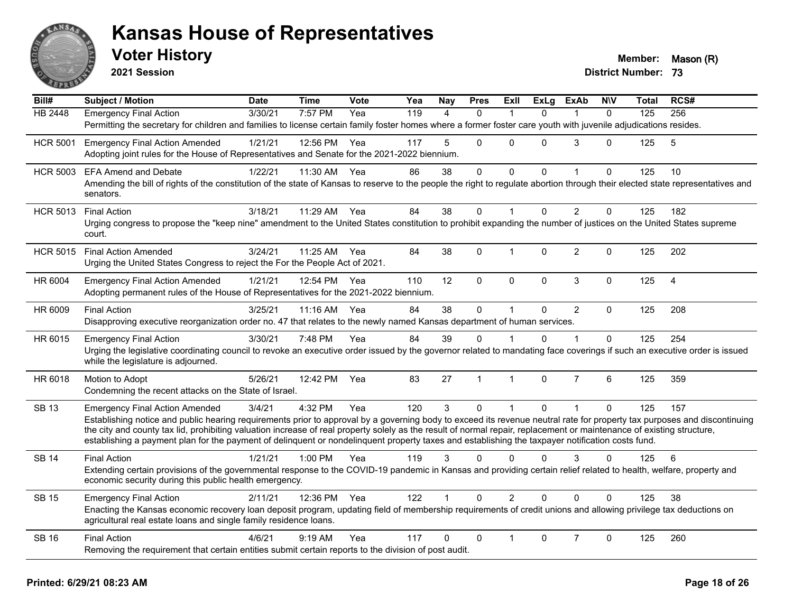

**2021 Session**

| $\overline{Bill#}$ | <b>Subject / Motion</b>                                                                                                                                                                                                                                                                                                                                                                                                                                                                               | <b>Date</b> | <b>Time</b> | Vote | Yea | Nay            | <b>Pres</b>  | ExIl           | <b>ExLg</b> | <b>ExAb</b>    | <b>NIV</b> | Total | RCS#           |
|--------------------|-------------------------------------------------------------------------------------------------------------------------------------------------------------------------------------------------------------------------------------------------------------------------------------------------------------------------------------------------------------------------------------------------------------------------------------------------------------------------------------------------------|-------------|-------------|------|-----|----------------|--------------|----------------|-------------|----------------|------------|-------|----------------|
| HB 2448            | <b>Emergency Final Action</b>                                                                                                                                                                                                                                                                                                                                                                                                                                                                         | 3/30/21     | 7:57 PM     | Yea  | 119 | $\overline{4}$ | $\Omega$     | $\mathbf 1$    | $\Omega$    | $\mathbf{1}$   | $\Omega$   | 125   | 256            |
|                    | Permitting the secretary for children and families to license certain family foster homes where a former foster care youth with juvenile adjudications resides.                                                                                                                                                                                                                                                                                                                                       |             |             |      |     |                |              |                |             |                |            |       |                |
| <b>HCR 5001</b>    | <b>Emergency Final Action Amended</b><br>Adopting joint rules for the House of Representatives and Senate for the 2021-2022 biennium.                                                                                                                                                                                                                                                                                                                                                                 | 1/21/21     | 12:56 PM    | Yea  | 117 | 5              | $\Omega$     | $\Omega$       | 0           | 3              | 0          | 125   | 5              |
| <b>HCR 5003</b>    | <b>EFA Amend and Debate</b>                                                                                                                                                                                                                                                                                                                                                                                                                                                                           | 1/22/21     | 11:30 AM    | Yea  | 86  | 38             | $\mathbf 0$  | $\mathbf 0$    | 0           | $\mathbf{1}$   | $\Omega$   | 125   | 10             |
|                    | Amending the bill of rights of the constitution of the state of Kansas to reserve to the people the right to regulate abortion through their elected state representatives and<br>senators.                                                                                                                                                                                                                                                                                                           |             |             |      |     |                |              |                |             |                |            |       |                |
| <b>HCR 5013</b>    | <b>Final Action</b>                                                                                                                                                                                                                                                                                                                                                                                                                                                                                   | 3/18/21     | 11:29 AM    | Yea  | 84  | 38             | 0            | $\mathbf 1$    | 0           | $\overline{2}$ | $\Omega$   | 125   | 182            |
|                    | Urging congress to propose the "keep nine" amendment to the United States constitution to prohibit expanding the number of justices on the United States supreme<br>court.                                                                                                                                                                                                                                                                                                                            |             |             |      |     |                |              |                |             |                |            |       |                |
| <b>HCR 5015</b>    | <b>Final Action Amended</b><br>Urging the United States Congress to reject the For the People Act of 2021.                                                                                                                                                                                                                                                                                                                                                                                            | 3/24/21     | $11:25$ AM  | Yea  | 84  | 38             | $\Omega$     | $\mathbf{1}$   | $\Omega$    | $\overline{2}$ | $\Omega$   | 125   | 202            |
| HR 6004            | <b>Emergency Final Action Amended</b><br>Adopting permanent rules of the House of Representatives for the 2021-2022 biennium.                                                                                                                                                                                                                                                                                                                                                                         | 1/21/21     | 12:54 PM    | Yea  | 110 | 12             | $\mathbf 0$  | $\mathbf 0$    | 0           | 3              | 0          | 125   | $\overline{4}$ |
| HR 6009            | <b>Final Action</b><br>Disapproving executive reorganization order no. 47 that relates to the newly named Kansas department of human services.                                                                                                                                                                                                                                                                                                                                                        | 3/25/21     | 11:16 AM    | Yea  | 84  | 38             | $\mathbf 0$  | $\mathbf{1}$   | 0           | $\overline{2}$ | $\Omega$   | 125   | 208            |
| HR 6015            | <b>Emergency Final Action</b>                                                                                                                                                                                                                                                                                                                                                                                                                                                                         | 3/30/21     | 7:48 PM     | Yea  | 84  | 39             | $\mathbf 0$  | $\mathbf{1}$   | 0           | $\mathbf{1}$   | $\Omega$   | 125   | 254            |
|                    | Urging the legislative coordinating council to revoke an executive order issued by the governor related to mandating face coverings if such an executive order is issued<br>while the legislature is adjourned.                                                                                                                                                                                                                                                                                       |             |             |      |     |                |              |                |             |                |            |       |                |
| HR 6018            | Motion to Adopt<br>Condemning the recent attacks on the State of Israel.                                                                                                                                                                                                                                                                                                                                                                                                                              | 5/26/21     | 12:42 PM    | Yea  | 83  | 27             | $\mathbf{1}$ | $\mathbf{1}$   | $\Omega$    | $\overline{7}$ | 6          | 125   | 359            |
| <b>SB 13</b>       | <b>Emergency Final Action Amended</b>                                                                                                                                                                                                                                                                                                                                                                                                                                                                 | 3/4/21      | 4:32 PM     | Yea  | 120 | 3              | $\Omega$     | $\mathbf{1}$   | $\Omega$    | $\mathbf{1}$   | $\Omega$   | 125   | 157            |
|                    | Establishing notice and public hearing requirements prior to approval by a governing body to exceed its revenue neutral rate for property tax purposes and discontinuing<br>the city and county tax lid, prohibiting valuation increase of real property solely as the result of normal repair, replacement or maintenance of existing structure,<br>establishing a payment plan for the payment of delinquent or nondelinquent property taxes and establishing the taxpayer notification costs fund. |             |             |      |     |                |              |                |             |                |            |       |                |
| <b>SB 14</b>       | <b>Final Action</b>                                                                                                                                                                                                                                                                                                                                                                                                                                                                                   | 1/21/21     | $1:00$ PM   | Yea  | 119 | 3              | $\Omega$     | $\Omega$       | 0           | 3              | $\Omega$   | 125   | 6              |
|                    | Extending certain provisions of the governmental response to the COVID-19 pandemic in Kansas and providing certain relief related to health, welfare, property and<br>economic security during this public health emergency.                                                                                                                                                                                                                                                                          |             |             |      |     |                |              |                |             |                |            |       |                |
| <b>SB 15</b>       | <b>Emergency Final Action</b>                                                                                                                                                                                                                                                                                                                                                                                                                                                                         | 2/11/21     | 12:36 PM    | Yea  | 122 |                | $\Omega$     | $\overline{2}$ | 0           | $\Omega$       | $\Omega$   | 125   | 38             |
|                    | Enacting the Kansas economic recovery loan deposit program, updating field of membership requirements of credit unions and allowing privilege tax deductions on<br>agricultural real estate loans and single family residence loans.                                                                                                                                                                                                                                                                  |             |             |      |     |                |              |                |             |                |            |       |                |
| <b>SB 16</b>       | <b>Final Action</b>                                                                                                                                                                                                                                                                                                                                                                                                                                                                                   | 4/6/21      | $9:19$ AM   | Yea  | 117 | $\Omega$       | $\mathbf 0$  | $\mathbf 1$    | 0           | $\overline{7}$ | 0          | 125   | 260            |
|                    | Removing the requirement that certain entities submit certain reports to the division of post audit.                                                                                                                                                                                                                                                                                                                                                                                                  |             |             |      |     |                |              |                |             |                |            |       |                |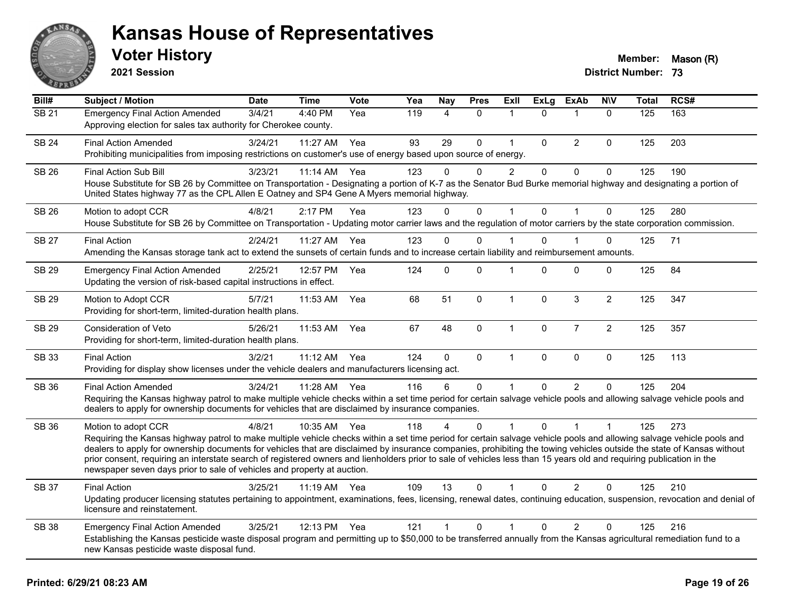

**2021 Session**

| Bill#        | <b>Subject / Motion</b>                                                                                                                                                                                                                                                                                                                                                                                                                                                                                                                                                                                                  | <b>Date</b> | <b>Time</b>  | Vote | Yea | Nay            | <b>Pres</b> | ExII           | <b>ExLg</b>  | <b>ExAb</b>    | <b>NIV</b>     | <b>Total</b> | RCS# |
|--------------|--------------------------------------------------------------------------------------------------------------------------------------------------------------------------------------------------------------------------------------------------------------------------------------------------------------------------------------------------------------------------------------------------------------------------------------------------------------------------------------------------------------------------------------------------------------------------------------------------------------------------|-------------|--------------|------|-----|----------------|-------------|----------------|--------------|----------------|----------------|--------------|------|
| <b>SB 21</b> | <b>Emergency Final Action Amended</b><br>Approving election for sales tax authority for Cherokee county.                                                                                                                                                                                                                                                                                                                                                                                                                                                                                                                 | 3/4/21      | 4:40 PM      | Yea  | 119 | 4              | $\Omega$    | 1              | $\Omega$     | $\mathbf 1$    | $\mathbf{0}$   | 125          | 163  |
| <b>SB 24</b> | <b>Final Action Amended</b><br>Prohibiting municipalities from imposing restrictions on customer's use of energy based upon source of energy.                                                                                                                                                                                                                                                                                                                                                                                                                                                                            | 3/24/21     | 11:27 AM     | Yea  | 93  | 29             | 0           | $\mathbf{1}$   | $\Omega$     | $\overline{2}$ | $\mathbf{0}$   | 125          | 203  |
| <b>SB 26</b> | Final Action Sub Bill<br>House Substitute for SB 26 by Committee on Transportation - Designating a portion of K-7 as the Senator Bud Burke memorial highway and designating a portion of<br>United States highway 77 as the CPL Allen E Oatney and SP4 Gene A Myers memorial highway.                                                                                                                                                                                                                                                                                                                                    | 3/23/21     | 11:14 AM     | Yea  | 123 | 0              | 0           | $\overline{c}$ | $\mathbf 0$  | $\mathbf 0$    | $\pmb{0}$      | 125          | 190  |
| <b>SB 26</b> | Motion to adopt CCR<br>House Substitute for SB 26 by Committee on Transportation - Updating motor carrier laws and the regulation of motor carriers by the state corporation commission.                                                                                                                                                                                                                                                                                                                                                                                                                                 | 4/8/21      | 2:17 PM      | Yea  | 123 | $\Omega$       | $\mathbf 0$ | $\mathbf{1}$   | $\Omega$     | $\overline{1}$ | $\mathbf{0}$   | 125          | 280  |
| <b>SB 27</b> | <b>Final Action</b><br>Amending the Kansas storage tank act to extend the sunsets of certain funds and to increase certain liability and reimbursement amounts.                                                                                                                                                                                                                                                                                                                                                                                                                                                          | 2/24/21     | 11:27 AM     | Yea  | 123 | $\Omega$       | 0           |                | $\Omega$     | 1              | 0              | 125          | 71   |
| <b>SB 29</b> | <b>Emergency Final Action Amended</b><br>Updating the version of risk-based capital instructions in effect.                                                                                                                                                                                                                                                                                                                                                                                                                                                                                                              | 2/25/21     | 12:57 PM     | Yea  | 124 | $\Omega$       | $\Omega$    | $\overline{1}$ | $\Omega$     | $\Omega$       | $\Omega$       | 125          | 84   |
| <b>SB 29</b> | Motion to Adopt CCR<br>Providing for short-term, limited-duration health plans.                                                                                                                                                                                                                                                                                                                                                                                                                                                                                                                                          | 5/7/21      | 11:53 AM     | Yea  | 68  | 51             | $\mathbf 0$ | $\mathbf{1}$   | $\mathbf{0}$ | $\mathbf{3}$   | $\overline{2}$ | 125          | 347  |
| SB 29        | Consideration of Veto<br>Providing for short-term, limited-duration health plans.                                                                                                                                                                                                                                                                                                                                                                                                                                                                                                                                        | 5/26/21     | 11:53 AM     | Yea  | 67  | 48             | 0           | $\mathbf{1}$   | $\pmb{0}$    | $\overline{7}$ | $\overline{2}$ | 125          | 357  |
| SB 33        | <b>Final Action</b><br>Providing for display show licenses under the vehicle dealers and manufacturers licensing act.                                                                                                                                                                                                                                                                                                                                                                                                                                                                                                    | 3/2/21      | 11:12 AM     | Yea  | 124 | $\mathbf 0$    | $\mathbf 0$ | $\mathbf{1}$   | $\mathbf 0$  | $\pmb{0}$      | $\pmb{0}$      | 125          | 113  |
| SB 36        | <b>Final Action Amended</b><br>Requiring the Kansas highway patrol to make multiple vehicle checks within a set time period for certain salvage vehicle pools and allowing salvage vehicle pools and<br>dealers to apply for ownership documents for vehicles that are disclaimed by insurance companies.                                                                                                                                                                                                                                                                                                                | 3/24/21     | 11:28 AM     | Yea  | 116 | 6              | 0           |                | $\Omega$     | 2              | $\Omega$       | 125          | 204  |
| SB 36        | Motion to adopt CCR<br>Requiring the Kansas highway patrol to make multiple vehicle checks within a set time period for certain salvage vehicle pools and allowing salvage vehicle pools and<br>dealers to apply for ownership documents for vehicles that are disclaimed by insurance companies, prohibiting the towing vehicles outside the state of Kansas without<br>prior consent, requiring an interstate search of registered owners and lienholders prior to sale of vehicles less than 15 years old and requiring publication in the<br>newspaper seven days prior to sale of vehicles and property at auction. | 4/8/21      | 10:35 AM     | Yea  | 118 | 4              | $\Omega$    | $\overline{1}$ | $\Omega$     | $\overline{1}$ | 1              | 125          | 273  |
| <b>SB 37</b> | <b>Final Action</b><br>Updating producer licensing statutes pertaining to appointment, examinations, fees, licensing, renewal dates, continuing education, suspension, revocation and denial of<br>licensure and reinstatement.                                                                                                                                                                                                                                                                                                                                                                                          | 3/25/21     | 11:19 AM Yea |      | 109 | 13             | $\Omega$    | 1              | $\Omega$     | $\overline{2}$ | $\Omega$       | 125          | 210  |
| <b>SB 38</b> | <b>Emergency Final Action Amended</b><br>Establishing the Kansas pesticide waste disposal program and permitting up to \$50,000 to be transferred annually from the Kansas agricultural remediation fund to a<br>new Kansas pesticide waste disposal fund.                                                                                                                                                                                                                                                                                                                                                               | 3/25/21     | 12:13 PM     | Yea  | 121 | $\overline{1}$ | 0           | 1              | 0            | 2              | $\mathbf 0$    | 125          | 216  |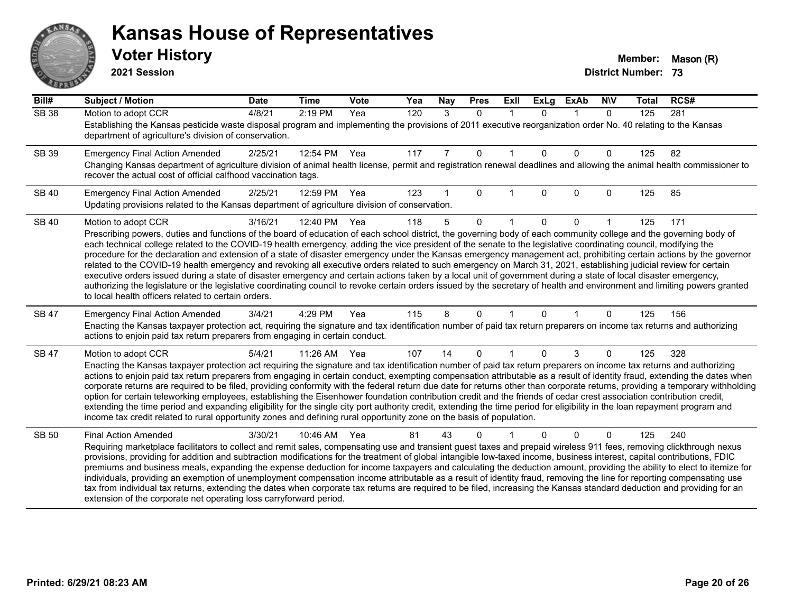# ANS **PARTIE**

#### **Kansas House of Representatives**

**2021 Session**

| $\overline{Bill#}$ | <b>Subject / Motion</b>                                                                                                                                                                                                                                                                                                                                                                                                                                                                                                                                                                                                                                                                                                                                                                                                                                                                                                                                                                                                                                                                                          | <b>Date</b> | <b>Time</b> | Vote | Yea | Nay | <b>Pres</b> | ExII         | <b>ExLg</b> | <b>ExAb</b>    | <b>NIV</b> | <b>Total</b> | RCS# |
|--------------------|------------------------------------------------------------------------------------------------------------------------------------------------------------------------------------------------------------------------------------------------------------------------------------------------------------------------------------------------------------------------------------------------------------------------------------------------------------------------------------------------------------------------------------------------------------------------------------------------------------------------------------------------------------------------------------------------------------------------------------------------------------------------------------------------------------------------------------------------------------------------------------------------------------------------------------------------------------------------------------------------------------------------------------------------------------------------------------------------------------------|-------------|-------------|------|-----|-----|-------------|--------------|-------------|----------------|------------|--------------|------|
| <b>SB 38</b>       | Motion to adopt CCR<br>Establishing the Kansas pesticide waste disposal program and implementing the provisions of 2011 executive reorganization order No. 40 relating to the Kansas<br>department of agriculture's division of conservation.                                                                                                                                                                                                                                                                                                                                                                                                                                                                                                                                                                                                                                                                                                                                                                                                                                                                    | 4/8/21      | 2:19 PM     | Yea  | 120 | 3   | $\Omega$    | $\mathbf{1}$ | $\Omega$    | $\overline{1}$ | $\Omega$   | 125          | 281  |
| SB 39              | <b>Emergency Final Action Amended</b><br>Changing Kansas department of agriculture division of animal health license, permit and registration renewal deadlines and allowing the animal health commissioner to<br>recover the actual cost of official calfhood vaccination tags.                                                                                                                                                                                                                                                                                                                                                                                                                                                                                                                                                                                                                                                                                                                                                                                                                                 | 2/25/21     | 12:54 PM    | Yea  | 117 | 7   | $\mathbf 0$ |              | $\Omega$    | $\mathbf{0}$   | 0          | 125          | 82   |
| <b>SB 40</b>       | <b>Emergency Final Action Amended</b><br>Updating provisions related to the Kansas department of agriculture division of conservation.                                                                                                                                                                                                                                                                                                                                                                                                                                                                                                                                                                                                                                                                                                                                                                                                                                                                                                                                                                           | 2/25/21     | 12:59 PM    | Yea  | 123 |     | $\Omega$    |              | $\Omega$    | $\mathbf{0}$   | 0          | 125          | 85   |
| <b>SB 40</b>       | Motion to adopt CCR<br>Prescribing powers, duties and functions of the board of education of each school district, the governing body of each community college and the governing body of<br>each technical college related to the COVID-19 health emergency, adding the vice president of the senate to the legislative coordinating council, modifying the<br>procedure for the declaration and extension of a state of disaster emergency under the Kansas emergency management act, prohibiting certain actions by the governor<br>related to the COVID-19 health emergency and revoking all executive orders related to such emergency on March 31, 2021, establishing judicial review for certain<br>executive orders issued during a state of disaster emergency and certain actions taken by a local unit of government during a state of local disaster emergency,<br>authorizing the legislature or the legislative coordinating council to revoke certain orders issued by the secretary of health and environment and limiting powers granted<br>to local health officers related to certain orders. | 3/16/21     | 12:40 PM    | Yea  | 118 | 5   | $\Omega$    |              | $\Omega$    | $\Omega$       |            | 125          | 171  |
| <b>SB 47</b>       | <b>Emergency Final Action Amended</b><br>Enacting the Kansas taxpayer protection act, requiring the signature and tax identification number of paid tax return preparers on income tax returns and authorizing<br>actions to enjoin paid tax return preparers from engaging in certain conduct.                                                                                                                                                                                                                                                                                                                                                                                                                                                                                                                                                                                                                                                                                                                                                                                                                  | 3/4/21      | 4:29 PM     | Yea  | 115 | 8   | 0           |              | $\Omega$    |                | 0          | 125          | 156  |
| <b>SB 47</b>       | Motion to adopt CCR<br>Enacting the Kansas taxpayer protection act requiring the signature and tax identification number of paid tax return preparers on income tax returns and authorizing<br>actions to enjoin paid tax return preparers from engaging in certain conduct, exempting compensation attributable as a result of identity fraud, extending the dates when<br>corporate returns are required to be filed, providing conformity with the federal return due date for returns other than corporate returns, providing a temporary withholding<br>option for certain teleworking employees, establishing the Eisenhower foundation contribution credit and the friends of cedar crest association contribution credit,<br>extending the time period and expanding eligibility for the single city port authority credit, extending the time period for eligibility in the loan repayment program and<br>income tax credit related to rural opportunity zones and defining rural opportunity zone on the basis of population.                                                                          | 5/4/21      | 11:26 AM    | Yea  | 107 | 14  | $\Omega$    |              | $\Omega$    | 3              | 0          | 125          | 328  |
| <b>SB 50</b>       | <b>Final Action Amended</b><br>Requiring marketplace facilitators to collect and remit sales, compensating use and transient guest taxes and prepaid wireless 911 fees, removing clickthrough nexus<br>provisions, providing for addition and subtraction modifications for the treatment of global intangible low-taxed income, business interest, capital contributions, FDIC<br>premiums and business meals, expanding the expense deduction for income taxpayers and calculating the deduction amount, providing the ability to elect to itemize for<br>individuals, providing an exemption of unemployment compensation income attributable as a result of identity fraud, removing the line for reporting compensating use<br>tax from individual tax returns, extending the dates when corporate tax returns are required to be filed, increasing the Kansas standard deduction and providing for an<br>extension of the corporate net operating loss carryforward period.                                                                                                                                | 3/30/21     | 10:46 AM    | Yea  | 81  | 43  | 0           |              | 0           | $\Omega$       | 0          | 125          | 240  |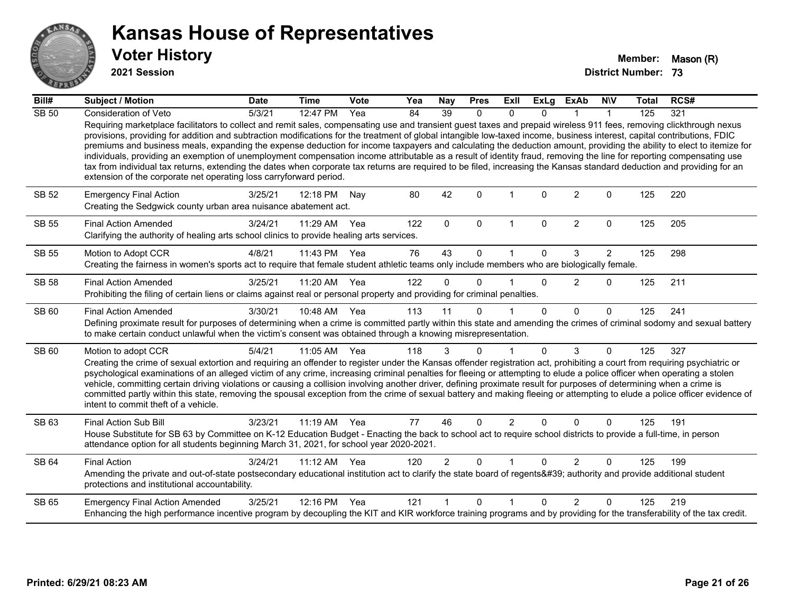

**2021 Session**

| Bill#        | <b>Subject / Motion</b>                                                                                                                                                                                                                                                                                                                                                                                                                                                                                                                                                                                                                                                                                                                                                                                                                                                                                                                            | <b>Date</b> | <b>Time</b>  | <b>Vote</b> | Yea | Nay            | <b>Pres</b>  | ExII           | <b>ExLg</b>  | <b>ExAb</b>    | <b>NIV</b>     | <b>Total</b> | RCS# |
|--------------|----------------------------------------------------------------------------------------------------------------------------------------------------------------------------------------------------------------------------------------------------------------------------------------------------------------------------------------------------------------------------------------------------------------------------------------------------------------------------------------------------------------------------------------------------------------------------------------------------------------------------------------------------------------------------------------------------------------------------------------------------------------------------------------------------------------------------------------------------------------------------------------------------------------------------------------------------|-------------|--------------|-------------|-----|----------------|--------------|----------------|--------------|----------------|----------------|--------------|------|
| <b>SB 50</b> | Consideration of Veto                                                                                                                                                                                                                                                                                                                                                                                                                                                                                                                                                                                                                                                                                                                                                                                                                                                                                                                              | 5/3/21      | 12:47 PM     | Yea         | 84  | 39             | 0            | $\Omega$       | $\Omega$     |                |                | 125          | 321  |
|              | Requiring marketplace facilitators to collect and remit sales, compensating use and transient guest taxes and prepaid wireless 911 fees, removing clickthrough nexus<br>provisions, providing for addition and subtraction modifications for the treatment of global intangible low-taxed income, business interest, capital contributions, FDIC<br>premiums and business meals, expanding the expense deduction for income taxpayers and calculating the deduction amount, providing the ability to elect to itemize for<br>individuals, providing an exemption of unemployment compensation income attributable as a result of identity fraud, removing the line for reporting compensating use<br>tax from individual tax returns, extending the dates when corporate tax returns are required to be filed, increasing the Kansas standard deduction and providing for an<br>extension of the corporate net operating loss carryforward period. |             |              |             |     |                |              |                |              |                |                |              |      |
| <b>SB 52</b> | <b>Emergency Final Action</b><br>Creating the Sedgwick county urban area nuisance abatement act.                                                                                                                                                                                                                                                                                                                                                                                                                                                                                                                                                                                                                                                                                                                                                                                                                                                   | 3/25/21     | 12:18 PM     | Nay         | 80  | 42             | $\Omega$     |                | $\Omega$     | $\overline{2}$ | $\Omega$       | 125          | 220  |
| <b>SB 55</b> | <b>Final Action Amended</b><br>Clarifying the authority of healing arts school clinics to provide healing arts services.                                                                                                                                                                                                                                                                                                                                                                                                                                                                                                                                                                                                                                                                                                                                                                                                                           | 3/24/21     | 11:29 AM     | Yea         | 122 | $\mathbf{0}$   | $\mathbf{0}$ | $\mathbf{1}$   | $\Omega$     | $\overline{2}$ | $\Omega$       | 125          | 205  |
| <b>SB 55</b> | Motion to Adopt CCR                                                                                                                                                                                                                                                                                                                                                                                                                                                                                                                                                                                                                                                                                                                                                                                                                                                                                                                                | 4/8/21      | 11:43 PM     | Yea         | 76  | 43             | $\Omega$     |                | $\Omega$     | 3              | $\overline{2}$ | 125          | 298  |
|              | Creating the fairness in women's sports act to require that female student athletic teams only include members who are biologically female.                                                                                                                                                                                                                                                                                                                                                                                                                                                                                                                                                                                                                                                                                                                                                                                                        |             |              |             |     |                |              |                |              |                |                |              |      |
| <b>SB 58</b> | <b>Final Action Amended</b>                                                                                                                                                                                                                                                                                                                                                                                                                                                                                                                                                                                                                                                                                                                                                                                                                                                                                                                        | 3/25/21     | 11:20 AM Yea |             | 122 | $\Omega$       | $\Omega$     |                | $\Omega$     | 2              | $\Omega$       | 125          | 211  |
|              | Prohibiting the filing of certain liens or claims against real or personal property and providing for criminal penalties.                                                                                                                                                                                                                                                                                                                                                                                                                                                                                                                                                                                                                                                                                                                                                                                                                          |             |              |             |     |                |              |                |              |                |                |              |      |
| SB 60        | <b>Final Action Amended</b>                                                                                                                                                                                                                                                                                                                                                                                                                                                                                                                                                                                                                                                                                                                                                                                                                                                                                                                        | 3/30/21     | 10:48 AM Yea |             | 113 | 11             | $\Omega$     |                | $\Omega$     | $\Omega$       | $\Omega$       | 125          | 241  |
|              | Defining proximate result for purposes of determining when a crime is committed partly within this state and amending the crimes of criminal sodomy and sexual battery<br>to make certain conduct unlawful when the victim's consent was obtained through a knowing misrepresentation.                                                                                                                                                                                                                                                                                                                                                                                                                                                                                                                                                                                                                                                             |             |              |             |     |                |              |                |              |                |                |              |      |
| SB 60        | Motion to adopt CCR                                                                                                                                                                                                                                                                                                                                                                                                                                                                                                                                                                                                                                                                                                                                                                                                                                                                                                                                | 5/4/21      | 11:05 AM Yea |             | 118 | 3              | $\Omega$     |                | $\Omega$     | 3              | $\Omega$       | 125          | 327  |
|              | Creating the crime of sexual extortion and requiring an offender to register under the Kansas offender registration act, prohibiting a court from requiring psychiatric or<br>psychological examinations of an alleged victim of any crime, increasing criminal penalties for fleeing or attempting to elude a police officer when operating a stolen<br>vehicle, committing certain driving violations or causing a collision involving another driver, defining proximate result for purposes of determining when a crime is<br>committed partly within this state, removing the spousal exception from the crime of sexual battery and making fleeing or attempting to elude a police officer evidence of<br>intent to commit theft of a vehicle.                                                                                                                                                                                               |             |              |             |     |                |              |                |              |                |                |              |      |
| SB 63        | Final Action Sub Bill                                                                                                                                                                                                                                                                                                                                                                                                                                                                                                                                                                                                                                                                                                                                                                                                                                                                                                                              | 3/23/21     | 11:19 AM Yea |             | 77  | 46             | $\Omega$     | $\overline{2}$ | $\Omega$     | $\Omega$       | $\Omega$       | 125          | 191  |
|              | House Substitute for SB 63 by Committee on K-12 Education Budget - Enacting the back to school act to require school districts to provide a full-time, in person<br>attendance option for all students beginning March 31, 2021, for school year 2020-2021.                                                                                                                                                                                                                                                                                                                                                                                                                                                                                                                                                                                                                                                                                        |             |              |             |     |                |              |                |              |                |                |              |      |
| <b>SB 64</b> | <b>Final Action</b>                                                                                                                                                                                                                                                                                                                                                                                                                                                                                                                                                                                                                                                                                                                                                                                                                                                                                                                                | 3/24/21     | 11:12 AM     | Yea         | 120 | $\overline{2}$ | $\Omega$     |                | $\Omega$     | 2              | $\Omega$       | 125          | 199  |
|              | Amending the private and out-of-state postsecondary educational institution act to clarify the state board of regents' authority and provide additional student<br>protections and institutional accountability.                                                                                                                                                                                                                                                                                                                                                                                                                                                                                                                                                                                                                                                                                                                                   |             |              |             |     |                |              |                |              |                |                |              |      |
| SB 65        | <b>Emergency Final Action Amended</b>                                                                                                                                                                                                                                                                                                                                                                                                                                                                                                                                                                                                                                                                                                                                                                                                                                                                                                              | 3/25/21     | 12:16 PM     | Yea         | 121 |                | $\Omega$     | 1              | <sup>0</sup> | $\mathcal{P}$  | $\Omega$       | 125          | 219  |
|              | Enhancing the high performance incentive program by decoupling the KIT and KIR workforce training programs and by providing for the transferability of the tax credit.                                                                                                                                                                                                                                                                                                                                                                                                                                                                                                                                                                                                                                                                                                                                                                             |             |              |             |     |                |              |                |              |                |                |              |      |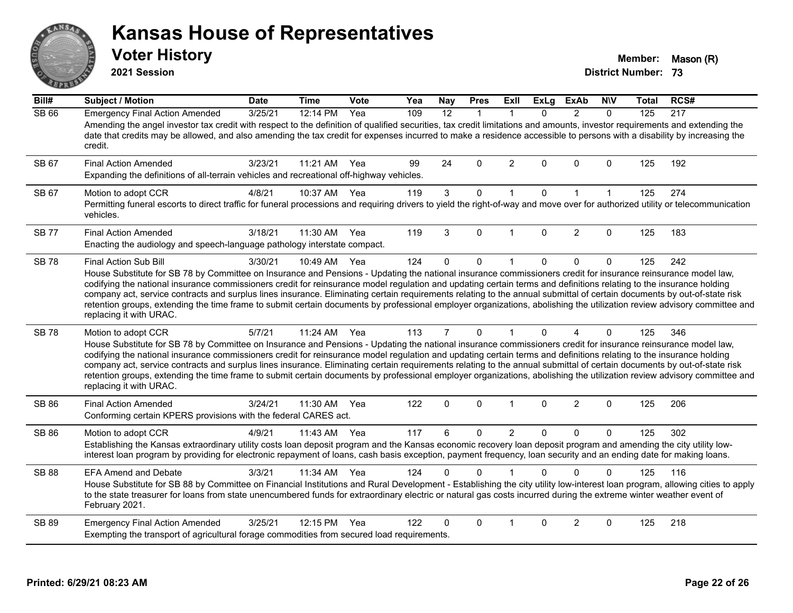**2021 Session**

**Voter History Member:** Mason (R)

| $\overline{Bill#}$ | <b>Subject / Motion</b>                                                                                                                                                                                                                                                                                                                                                                                                                                                                                                                                                                                                                                                                                                                        | <b>Date</b> | <b>Time</b> | <b>Vote</b> | Yea | <b>Nay</b>     | <b>Pres</b>  | <b>ExII</b>    | <b>ExLg</b> | <b>ExAb</b>    | <b>NIV</b>   | Total | RCS# |
|--------------------|------------------------------------------------------------------------------------------------------------------------------------------------------------------------------------------------------------------------------------------------------------------------------------------------------------------------------------------------------------------------------------------------------------------------------------------------------------------------------------------------------------------------------------------------------------------------------------------------------------------------------------------------------------------------------------------------------------------------------------------------|-------------|-------------|-------------|-----|----------------|--------------|----------------|-------------|----------------|--------------|-------|------|
| <b>SB 66</b>       | <b>Emergency Final Action Amended</b><br>Amending the angel investor tax credit with respect to the definition of qualified securities, tax credit limitations and amounts, investor requirements and extending the<br>date that credits may be allowed, and also amending the tax credit for expenses incurred to make a residence accessible to persons with a disability by increasing the<br>credit.                                                                                                                                                                                                                                                                                                                                       | 3/25/21     | 12:14 PM    | Yea         | 109 | 12             | 1            |                | $\Omega$    | $\overline{2}$ | $\Omega$     | 125   | 217  |
| SB 67              | <b>Final Action Amended</b><br>Expanding the definitions of all-terrain vehicles and recreational off-highway vehicles.                                                                                                                                                                                                                                                                                                                                                                                                                                                                                                                                                                                                                        | 3/23/21     | 11:21 AM    | Yea         | 99  | 24             | 0            | $\overline{2}$ | $\Omega$    | $\Omega$       | 0            | 125   | 192  |
| SB 67              | Motion to adopt CCR<br>Permitting funeral escorts to direct traffic for funeral processions and requiring drivers to yield the right-of-way and move over for authorized utility or telecommunication<br>vehicles.                                                                                                                                                                                                                                                                                                                                                                                                                                                                                                                             | 4/8/21      | 10:37 AM    | Yea         | 119 | $\mathbf{3}$   | $\mathsf{O}$ | $\mathbf{1}$   | $\Omega$    | $\mathbf{1}$   | $\mathbf{1}$ | 125   | 274  |
| <b>SB 77</b>       | <b>Final Action Amended</b><br>Enacting the audiology and speech-language pathology interstate compact.                                                                                                                                                                                                                                                                                                                                                                                                                                                                                                                                                                                                                                        | 3/18/21     | 11:30 AM    | Yea         | 119 | 3              | $\Omega$     | $\overline{1}$ | $\Omega$    | $\overline{2}$ | 0            | 125   | 183  |
| <b>SB78</b>        | Final Action Sub Bill<br>House Substitute for SB 78 by Committee on Insurance and Pensions - Updating the national insurance commissioners credit for insurance reinsurance model law,<br>codifying the national insurance commissioners credit for reinsurance model regulation and updating certain terms and definitions relating to the insurance holding<br>company act, service contracts and surplus lines insurance. Eliminating certain requirements relating to the annual submittal of certain documents by out-of-state risk<br>retention groups, extending the time frame to submit certain documents by professional employer organizations, abolishing the utilization review advisory committee and<br>replacing it with URAC. | 3/30/21     | 10:49 AM    | Yea         | 124 | $\Omega$       | $\mathbf 0$  | $\mathbf 1$    | 0           | $\mathbf 0$    | $\mathbf 0$  | 125   | 242  |
| <b>SB78</b>        | Motion to adopt CCR<br>House Substitute for SB 78 by Committee on Insurance and Pensions - Updating the national insurance commissioners credit for insurance reinsurance model law,<br>codifying the national insurance commissioners credit for reinsurance model regulation and updating certain terms and definitions relating to the insurance holding<br>company act, service contracts and surplus lines insurance. Eliminating certain requirements relating to the annual submittal of certain documents by out-of-state risk<br>retention groups, extending the time frame to submit certain documents by professional employer organizations, abolishing the utilization review advisory committee and<br>replacing it with URAC.   | 5/7/21      | 11:24 AM    | Yea         | 113 | $\overline{7}$ | $\mathbf 0$  | 1              | $\Omega$    | 4              | 0            | 125   | 346  |
| SB 86              | <b>Final Action Amended</b><br>Conforming certain KPERS provisions with the federal CARES act.                                                                                                                                                                                                                                                                                                                                                                                                                                                                                                                                                                                                                                                 | 3/24/21     | 11:30 AM    | Yea         | 122 | $\mathbf 0$    | $\mathbf 0$  | $\mathbf{1}$   | 0           | 2              | 0            | 125   | 206  |
| SB 86              | Motion to adopt CCR<br>Establishing the Kansas extraordinary utility costs loan deposit program and the Kansas economic recovery loan deposit program and amending the city utility low-<br>interest loan program by providing for electronic repayment of loans, cash basis exception, payment frequency, loan security and an ending date for making loans.                                                                                                                                                                                                                                                                                                                                                                                  | 4/9/21      | 11:43 AM    | Yea         | 117 | 6              | 0            | $\overline{2}$ | $\Omega$    | $\mathbf{0}$   | 0            | 125   | 302  |
| <b>SB 88</b>       | <b>EFA Amend and Debate</b><br>House Substitute for SB 88 by Committee on Financial Institutions and Rural Development - Establishing the city utility low-interest loan program, allowing cities to apply<br>to the state treasurer for loans from state unencumbered funds for extraordinary electric or natural gas costs incurred during the extreme winter weather event of<br>February 2021.                                                                                                                                                                                                                                                                                                                                             | 3/3/21      | 11:34 AM    | Yea         | 124 | 0              | $\Omega$     |                | 0           | $\Omega$       | 0            | 125   | 116  |
| <b>SB 89</b>       | <b>Emergency Final Action Amended</b><br>Exempting the transport of agricultural forage commodities from secured load requirements.                                                                                                                                                                                                                                                                                                                                                                                                                                                                                                                                                                                                            | 3/25/21     | 12:15 PM    | Yea         | 122 | 0              | $\Omega$     | $\overline{1}$ | $\Omega$    | 2              | 0            | 125   | 218  |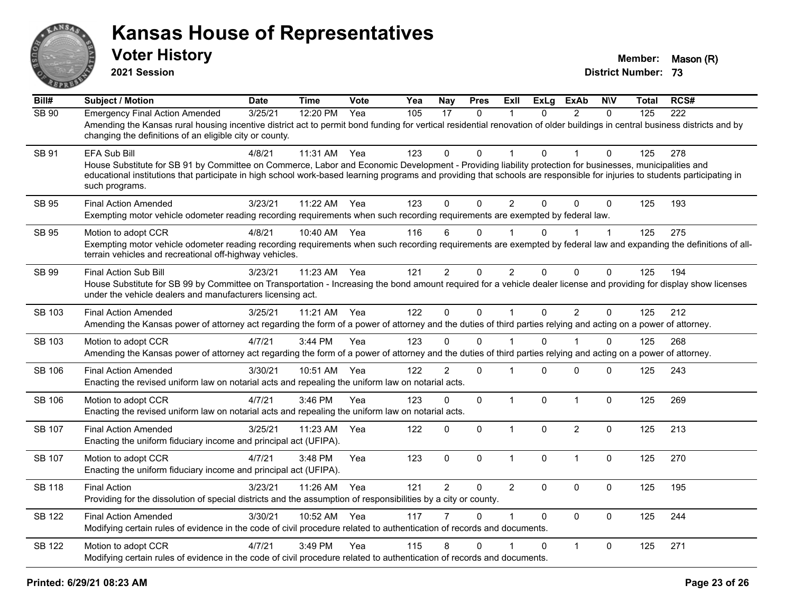

**2021 Session**

| Bill#         | <b>Subject / Motion</b>                                                                                                                                                                                                                                                                                                                                                        | <b>Date</b> | <b>Time</b> | Vote | Yea | <b>Nay</b>     | <b>Pres</b>  | <b>ExII</b>    | <b>ExLg</b>  | <b>ExAb</b>    | <b>NIV</b>   | <b>Total</b> | RCS# |
|---------------|--------------------------------------------------------------------------------------------------------------------------------------------------------------------------------------------------------------------------------------------------------------------------------------------------------------------------------------------------------------------------------|-------------|-------------|------|-----|----------------|--------------|----------------|--------------|----------------|--------------|--------------|------|
| SB 90         | <b>Emergency Final Action Amended</b><br>Amending the Kansas rural housing incentive district act to permit bond funding for vertical residential renovation of older buildings in central business districts and by<br>changing the definitions of an eligible city or county.                                                                                                | 3/25/21     | 12:20 PM    | Yea  | 105 | 17             | 0            | 1              | $\mathbf{0}$ | $\overline{2}$ | $\Omega$     | 125          | 222  |
| SB 91         | <b>EFA Sub Bill</b><br>House Substitute for SB 91 by Committee on Commerce, Labor and Economic Development - Providing liability protection for businesses, municipalities and<br>educational institutions that participate in high school work-based learning programs and providing that schools are responsible for injuries to students participating in<br>such programs. | 4/8/21      | 11:31 AM    | Yea  | 123 | $\Omega$       | $\Omega$     | 1              | $\Omega$     |                | $\Omega$     | 125          | 278  |
| <b>SB 95</b>  | <b>Final Action Amended</b><br>Exempting motor vehicle odometer reading recording requirements when such recording requirements are exempted by federal law.                                                                                                                                                                                                                   | 3/23/21     | 11:22 AM    | Yea  | 123 | $\Omega$       | $\mathbf{0}$ | $\overline{2}$ | $\Omega$     | $\Omega$       | $\mathbf{0}$ | 125          | 193  |
| SB 95         | Motion to adopt CCR<br>Exempting motor vehicle odometer reading recording requirements when such recording requirements are exempted by federal law and expanding the definitions of all-<br>terrain vehicles and recreational off-highway vehicles.                                                                                                                           | 4/8/21      | 10:40 AM    | Yea  | 116 | 6              | 0            |                | 0            |                | $\mathbf 1$  | 125          | 275  |
| SB 99         | <b>Final Action Sub Bill</b><br>House Substitute for SB 99 by Committee on Transportation - Increasing the bond amount required for a vehicle dealer license and providing for display show licenses<br>under the vehicle dealers and manufacturers licensing act.                                                                                                             | 3/23/21     | 11:23 AM    | Yea  | 121 | $\overline{2}$ | 0            | $\overline{2}$ | $\Omega$     | $\mathbf{0}$   | 0            | 125          | 194  |
| <b>SB 103</b> | <b>Final Action Amended</b><br>Amending the Kansas power of attorney act regarding the form of a power of attorney and the duties of third parties relying and acting on a power of attorney.                                                                                                                                                                                  | 3/25/21     | 11:21 AM    | Yea  | 122 | $\mathbf 0$    | $\mathbf 0$  | $\mathbf{1}$   | $\mathbf 0$  | $\overline{2}$ | $\mathbf 0$  | 125          | 212  |
| SB 103        | Motion to adopt CCR<br>Amending the Kansas power of attorney act regarding the form of a power of attorney and the duties of third parties relying and acting on a power of attorney.                                                                                                                                                                                          | 4/7/21      | 3:44 PM     | Yea  | 123 | 0              | $\Omega$     |                | 0            |                | 0            | 125          | 268  |
| <b>SB 106</b> | <b>Final Action Amended</b><br>Enacting the revised uniform law on notarial acts and repealing the uniform law on notarial acts.                                                                                                                                                                                                                                               | 3/30/21     | 10:51 AM    | Yea  | 122 | $\overline{2}$ | $\mathbf 0$  | 1              | $\Omega$     | $\mathbf 0$    | 0            | 125          | 243  |
| <b>SB 106</b> | Motion to adopt CCR<br>Enacting the revised uniform law on notarial acts and repealing the uniform law on notarial acts.                                                                                                                                                                                                                                                       | 4/7/21      | 3:46 PM     | Yea  | 123 | 0              | 0            | $\mathbf{1}$   | $\Omega$     | $\mathbf{1}$   | 0            | 125          | 269  |
| <b>SB 107</b> | <b>Final Action Amended</b><br>Enacting the uniform fiduciary income and principal act (UFIPA).                                                                                                                                                                                                                                                                                | 3/25/21     | 11:23 AM    | Yea  | 122 | $\Omega$       | $\mathbf 0$  | $\mathbf{1}$   | $\Omega$     | $\overline{2}$ | $\Omega$     | 125          | 213  |
| <b>SB 107</b> | Motion to adopt CCR<br>Enacting the uniform fiduciary income and principal act (UFIPA).                                                                                                                                                                                                                                                                                        | 4/7/21      | 3:48 PM     | Yea  | 123 | $\mathbf 0$    | 0            | $\mathbf{1}$   | 0            | $\mathbf{1}$   | $\mathbf 0$  | 125          | 270  |
| <b>SB 118</b> | <b>Final Action</b><br>Providing for the dissolution of special districts and the assumption of responsibilities by a city or county.                                                                                                                                                                                                                                          | 3/23/21     | 11:26 AM    | Yea  | 121 | $\overline{2}$ | $\Omega$     | $\overline{2}$ | $\Omega$     | $\mathbf{0}$   | $\mathbf 0$  | 125          | 195  |
| <b>SB 122</b> | <b>Final Action Amended</b><br>Modifying certain rules of evidence in the code of civil procedure related to authentication of records and documents.                                                                                                                                                                                                                          | 3/30/21     | 10:52 AM    | Yea  | 117 |                | $\Omega$     | $\mathbf 1$    | $\Omega$     | $\mathbf{0}$   | $\mathbf 0$  | 125          | 244  |
| <b>SB 122</b> | Motion to adopt CCR<br>Modifying certain rules of evidence in the code of civil procedure related to authentication of records and documents.                                                                                                                                                                                                                                  | 4/7/21      | 3:49 PM     | Yea  | 115 | 8              | $\Omega$     |                | $\Omega$     | $\mathbf{1}$   | $\Omega$     | 125          | 271  |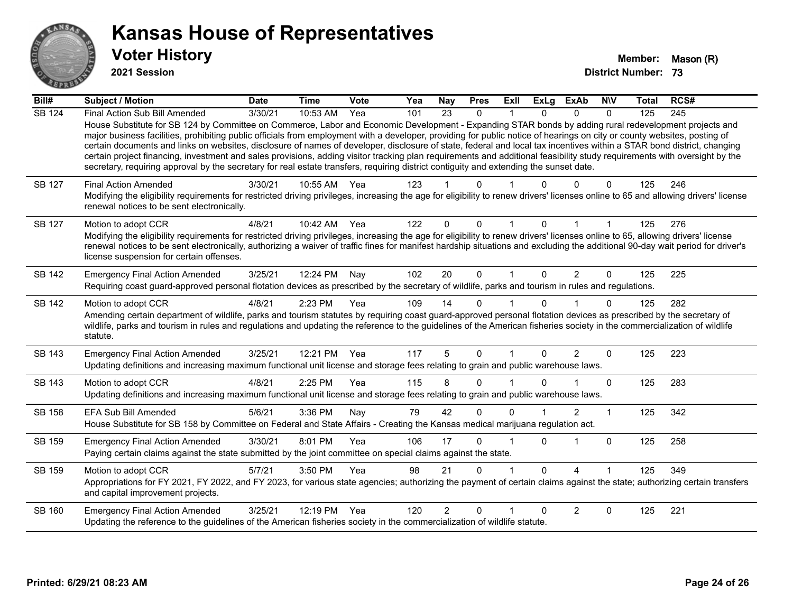

**2021 Session**

| Bill#         | <b>Subject / Motion</b>                                                                                                                                                                                                                                                                                                                                                                                                                                                                                                                                                                                                                                                                                                                                                                                                                                              | <b>Date</b> | <b>Time</b> | <b>Vote</b> | Yea | <b>Nay</b>     | <b>Pres</b>  | Exll     | <b>ExLg</b>  | <b>ExAb</b> | <b>NIV</b> | Total | RCS# |
|---------------|----------------------------------------------------------------------------------------------------------------------------------------------------------------------------------------------------------------------------------------------------------------------------------------------------------------------------------------------------------------------------------------------------------------------------------------------------------------------------------------------------------------------------------------------------------------------------------------------------------------------------------------------------------------------------------------------------------------------------------------------------------------------------------------------------------------------------------------------------------------------|-------------|-------------|-------------|-----|----------------|--------------|----------|--------------|-------------|------------|-------|------|
| <b>SB 124</b> | Final Action Sub Bill Amended<br>House Substitute for SB 124 by Committee on Commerce, Labor and Economic Development - Expanding STAR bonds by adding rural redevelopment projects and<br>major business facilities, prohibiting public officials from employment with a developer, providing for public notice of hearings on city or county websites, posting of<br>certain documents and links on websites, disclosure of names of developer, disclosure of state, federal and local tax incentives within a STAR bond district, changing<br>certain project financing, investment and sales provisions, adding visitor tracking plan requirements and additional feasibility study requirements with oversight by the<br>secretary, requiring approval by the secretary for real estate transfers, requiring district contiguity and extending the sunset date. | 3/30/21     | 10:53 AM    | Yea         | 101 | 23             | $\mathbf{0}$ |          | $\Omega$     | $\Omega$    | $\Omega$   | 125   | 245  |
| SB 127        | <b>Final Action Amended</b><br>Modifying the eligibility requirements for restricted driving privileges, increasing the age for eligibility to renew drivers' licenses online to 65 and allowing drivers' license<br>renewal notices to be sent electronically.                                                                                                                                                                                                                                                                                                                                                                                                                                                                                                                                                                                                      | 3/30/21     | 10:55 AM    | Yea         | 123 |                | 0            |          |              | 0           | 0          | 125   | 246  |
| SB 127        | Motion to adopt CCR<br>Modifying the eligibility requirements for restricted driving privileges, increasing the age for eligibility to renew drivers' licenses online to 65, allowing drivers' license<br>renewal notices to be sent electronically, authorizing a waiver of traffic fines for manifest hardship situations and excluding the additional 90-day wait period for driver's<br>license suspension for certain offenses.                                                                                                                                                                                                                                                                                                                                                                                                                                 | 4/8/21      | 10:42 AM    | Yea         | 122 | 0              | 0            |          |              |             |            | 125   | 276  |
| <b>SB 142</b> | <b>Emergency Final Action Amended</b><br>Requiring coast guard-approved personal flotation devices as prescribed by the secretary of wildlife, parks and tourism in rules and regulations.                                                                                                                                                                                                                                                                                                                                                                                                                                                                                                                                                                                                                                                                           | 3/25/21     | 12:24 PM    | Nay         | 102 | 20             | $\Omega$     |          | $\Omega$     | 2           | $\Omega$   | 125   | 225  |
| <b>SB 142</b> | Motion to adopt CCR<br>Amending certain department of wildlife, parks and tourism statutes by requiring coast guard-approved personal flotation devices as prescribed by the secretary of<br>wildlife, parks and tourism in rules and regulations and updating the reference to the guidelines of the American fisheries society in the commercialization of wildlife<br>statute.                                                                                                                                                                                                                                                                                                                                                                                                                                                                                    | 4/8/21      | 2:23 PM     | Yea         | 109 | 14             | $\Omega$     |          | U            |             | $\Omega$   | 125   | 282  |
| SB 143        | <b>Emergency Final Action Amended</b><br>Updating definitions and increasing maximum functional unit license and storage fees relating to grain and public warehouse laws.                                                                                                                                                                                                                                                                                                                                                                                                                                                                                                                                                                                                                                                                                           | 3/25/21     | 12:21 PM    | Yea         | 117 | 5              | $\Omega$     |          | $\Omega$     | 2           | $\Omega$   | 125   | 223  |
| SB 143        | Motion to adopt CCR<br>Updating definitions and increasing maximum functional unit license and storage fees relating to grain and public warehouse laws.                                                                                                                                                                                                                                                                                                                                                                                                                                                                                                                                                                                                                                                                                                             | 4/8/21      | 2:25 PM     | Yea         | 115 | 8              | 0            |          | U.           |             | $\Omega$   | 125   | 283  |
| SB 158        | <b>EFA Sub Bill Amended</b><br>House Substitute for SB 158 by Committee on Federal and State Affairs - Creating the Kansas medical marijuana regulation act.                                                                                                                                                                                                                                                                                                                                                                                                                                                                                                                                                                                                                                                                                                         | 5/6/21      | 3:36 PM     | Nay         | 79  | 42             | $\Omega$     | $\Omega$ |              | 2           | 1          | 125   | 342  |
| SB 159        | <b>Emergency Final Action Amended</b><br>Paying certain claims against the state submitted by the joint committee on special claims against the state.                                                                                                                                                                                                                                                                                                                                                                                                                                                                                                                                                                                                                                                                                                               | 3/30/21     | 8:01 PM     | Yea         | 106 | 17             | $\Omega$     |          | $\Omega$     |             | $\Omega$   | 125   | 258  |
| SB 159        | Motion to adopt CCR<br>Appropriations for FY 2021, FY 2022, and FY 2023, for various state agencies; authorizing the payment of certain claims against the state; authorizing certain transfers<br>and capital improvement projects.                                                                                                                                                                                                                                                                                                                                                                                                                                                                                                                                                                                                                                 | 5/7/21      | 3:50 PM     | Yea         | 98  | 21             | 0            |          | <sup>n</sup> | $\lambda$   |            | 125   | 349  |
| SB 160        | <b>Emergency Final Action Amended</b><br>Updating the reference to the guidelines of the American fisheries society in the commercialization of wildlife statute.                                                                                                                                                                                                                                                                                                                                                                                                                                                                                                                                                                                                                                                                                                    | 3/25/21     | 12:19 PM    | Yea         | 120 | $\overline{2}$ | $\Omega$     |          | ŋ            | 2           | 0          | 125   | 221  |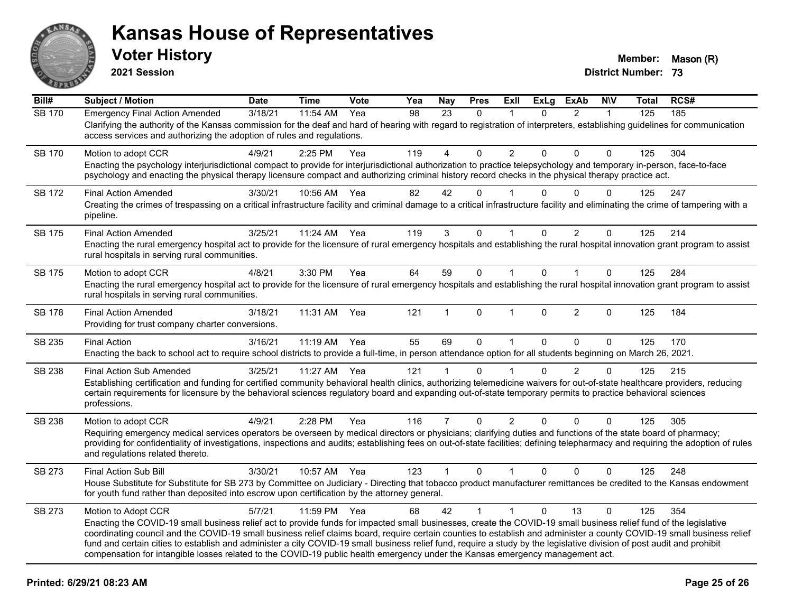

**2021 Session**

| Bill#         | <b>Subject / Motion</b>                                                                                                                                                                                                                                                                                                                                                                                                                                                                                                                                                                                                                                                       | <b>Date</b> | <b>Time</b>  | Vote | Yea | Nay            | <b>Pres</b>  | ExII           | <b>ExLg</b> | <b>ExAb</b>    | <b>NIV</b>   | <b>Total</b> | RCS# |
|---------------|-------------------------------------------------------------------------------------------------------------------------------------------------------------------------------------------------------------------------------------------------------------------------------------------------------------------------------------------------------------------------------------------------------------------------------------------------------------------------------------------------------------------------------------------------------------------------------------------------------------------------------------------------------------------------------|-------------|--------------|------|-----|----------------|--------------|----------------|-------------|----------------|--------------|--------------|------|
| <b>SB 170</b> | <b>Emergency Final Action Amended</b><br>Clarifying the authority of the Kansas commission for the deaf and hard of hearing with regard to registration of interpreters, establishing guidelines for communication<br>access services and authorizing the adoption of rules and regulations.                                                                                                                                                                                                                                                                                                                                                                                  | 3/18/21     | 11:54 AM     | Yea  | 98  | 23             | $\Omega$     |                | 0           | $\overline{2}$ | $\mathbf{1}$ | 125          | 185  |
| <b>SB 170</b> | Motion to adopt CCR<br>Enacting the psychology interjurisdictional compact to provide for interjurisdictional authorization to practice telepsychology and temporary in-person, face-to-face<br>psychology and enacting the physical therapy licensure compact and authorizing criminal history record checks in the physical therapy practice act.                                                                                                                                                                                                                                                                                                                           | 4/9/21      | 2:25 PM      | Yea  | 119 | 4              | 0            | $\overline{2}$ | 0           | 0              | $\Omega$     | 125          | 304  |
| SB 172        | <b>Final Action Amended</b><br>Creating the crimes of trespassing on a critical infrastructure facility and criminal damage to a critical infrastructure facility and eliminating the crime of tampering with a<br>pipeline.                                                                                                                                                                                                                                                                                                                                                                                                                                                  | 3/30/21     | 10:56 AM     | Yea  | 82  | 42             | $\Omega$     |                | 0           | 0              | $\Omega$     | 125          | 247  |
| SB 175        | <b>Final Action Amended</b><br>Enacting the rural emergency hospital act to provide for the licensure of rural emergency hospitals and establishing the rural hospital innovation grant program to assist<br>rural hospitals in serving rural communities.                                                                                                                                                                                                                                                                                                                                                                                                                    | 3/25/21     | 11:24 AM     | Yea  | 119 | 3              | 0            |                | 0           | 2              | $\mathbf 0$  | 125          | 214  |
| SB 175        | Motion to adopt CCR<br>Enacting the rural emergency hospital act to provide for the licensure of rural emergency hospitals and establishing the rural hospital innovation grant program to assist<br>rural hospitals in serving rural communities.                                                                                                                                                                                                                                                                                                                                                                                                                            | 4/8/21      | 3:30 PM      | Yea  | 64  | 59             | $\mathbf 0$  | $\mathbf{1}$   | $\Omega$    | $\mathbf{1}$   | $\mathbf{0}$ | 125          | 284  |
| SB 178        | <b>Final Action Amended</b><br>Providing for trust company charter conversions.                                                                                                                                                                                                                                                                                                                                                                                                                                                                                                                                                                                               | 3/18/21     | 11:31 AM     | Yea  | 121 | 1              | $\mathbf{0}$ | $\mathbf 1$    | $\Omega$    | $\overline{2}$ | $\Omega$     | 125          | 184  |
| SB 235        | <b>Final Action</b><br>Enacting the back to school act to require school districts to provide a full-time, in person attendance option for all students beginning on March 26, 2021.                                                                                                                                                                                                                                                                                                                                                                                                                                                                                          | 3/16/21     | $11:19$ AM   | Yea  | 55  | 69             | $\mathbf 0$  | $\overline{1}$ | $\Omega$    | $\Omega$       | $\Omega$     | 125          | 170  |
| <b>SB 238</b> | <b>Final Action Sub Amended</b><br>Establishing certification and funding for certified community behavioral health clinics, authorizing telemedicine waivers for out-of-state healthcare providers, reducing<br>certain requirements for licensure by the behavioral sciences regulatory board and expanding out-of-state temporary permits to practice behavioral sciences<br>professions.                                                                                                                                                                                                                                                                                  | 3/25/21     | 11:27 AM     | Yea  | 121 | 1              | $\Omega$     |                | 0           | $\overline{2}$ | $\Omega$     | 125          | 215  |
| SB 238        | Motion to adopt CCR<br>Requiring emergency medical services operators be overseen by medical directors or physicians; clarifying duties and functions of the state board of pharmacy;<br>providing for confidentiality of investigations, inspections and audits; establishing fees on out-of-state facilities; defining telepharmacy and requiring the adoption of rules<br>and regulations related thereto.                                                                                                                                                                                                                                                                 | 4/9/21      | 2:28 PM      | Yea  | 116 | $\overline{7}$ | $\Omega$     | $\overline{2}$ | $\Omega$    | $\Omega$       | $\mathbf{0}$ | 125          | 305  |
| SB 273        | Final Action Sub Bill<br>House Substitute for Substitute for SB 273 by Committee on Judiciary - Directing that tobacco product manufacturer remittances be credited to the Kansas endowment<br>for youth fund rather than deposited into escrow upon certification by the attorney general.                                                                                                                                                                                                                                                                                                                                                                                   | 3/30/21     | 10:57 AM     | Yea  | 123 | $\mathbf{1}$   | $\Omega$     | $\mathbf{1}$   | $\Omega$    | $\Omega$       | $\mathbf{0}$ | 125          | 248  |
| SB 273        | Motion to Adopt CCR<br>Enacting the COVID-19 small business relief act to provide funds for impacted small businesses, create the COVID-19 small business relief fund of the legislative<br>coordinating council and the COVID-19 small business relief claims board, require certain counties to establish and administer a county COVID-19 small business relief<br>fund and certain cities to establish and administer a city COVID-19 small business relief fund, require a study by the legislative division of post audit and prohibit<br>compensation for intangible losses related to the COVID-19 public health emergency under the Kansas emergency management act. | 5/7/21      | 11:59 PM Yea |      | 68  | 42             | $\mathbf{1}$ | $\overline{1}$ | $\Omega$    | 13             | $\Omega$     | 125          | 354  |